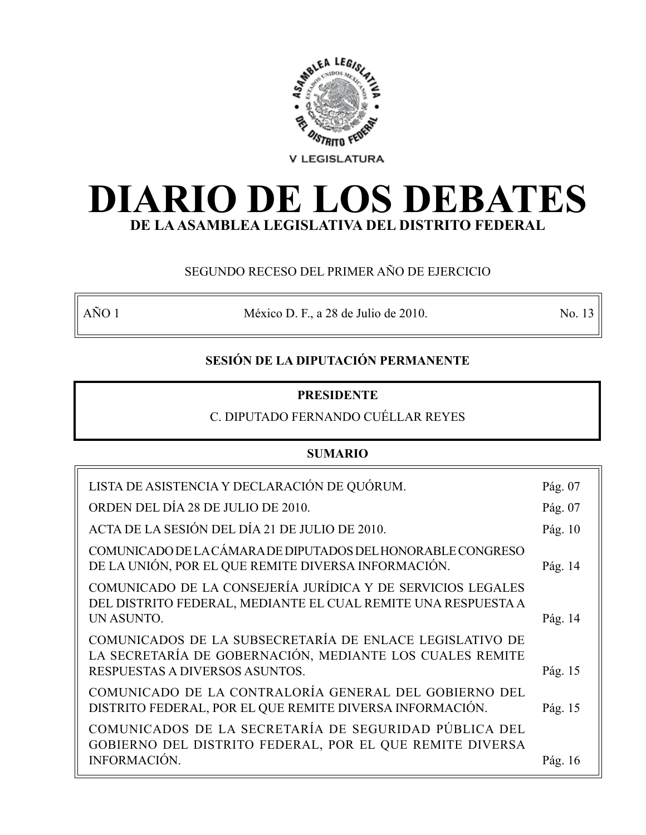

# **DIARIO DE LOS DEBATES DE LA ASAMBLEA LEGISLATIVA DEL DISTRITO FEDERAL**

# SEGUNDO RECESO DEL PRIMER AÑO DE EJERCICIO

AÑO 1 México D. F., a 28 de Julio de 2010. No. 13

# **SESIÓN DE LA DIPUTACIÓN PERMANENTE**

# **PRESIDENTE**

# C. DIPUTADO FERNANDO CUÉLLAR REYES

# **SUMARIO**

| LISTA DE ASISTENCIA Y DECLARACIÓN DE QUÓRUM.                                                                                                           | Pág. 07 |
|--------------------------------------------------------------------------------------------------------------------------------------------------------|---------|
| ORDEN DEL DÍA 28 DE JULIO DE 2010.                                                                                                                     | Pág. 07 |
| ACTA DE LA SESIÓN DEL DÍA 21 DE JULIO DE 2010.                                                                                                         | Pág. 10 |
| COMUNICADO DE LA CÁMARA DE DIPUTADOS DEL HONORABLE CONGRESO<br>DE LA UNIÓN, POR EL QUE REMITE DIVERSA INFORMACIÓN.                                     | Pág. 14 |
| COMUNICADO DE LA CONSEJERÍA JURÍDICA Y DE SERVICIOS LEGALES<br>DEL DISTRITO FEDERAL, MEDIANTE EL CUAL REMITE UNA RESPUESTA A<br>UN ASUNTO.             | Pág. 14 |
| COMUNICADOS DE LA SUBSECRETARÍA DE ENLACE LEGISLATIVO DE<br>LA SECRETARÍA DE GOBERNACIÓN, MEDIANTE LOS CUALES REMITE<br>RESPUESTAS A DIVERSOS ASUNTOS. | Pág. 15 |
| COMUNICADO DE LA CONTRALORÍA GENERAL DEL GOBIERNO DEL<br>DISTRITO FEDERAL, POR EL QUE REMITE DIVERSA INFORMACIÓN.                                      | Pág. 15 |
| COMUNICADOS DE LA SECRETARÍA DE SEGURIDAD PÚBLICA DEL<br>GOBIERNO DEL DISTRITO FEDERAL, POR EL QUE REMITE DIVERSA<br><b>INFORMACIÓN.</b>               | Pág. 16 |
|                                                                                                                                                        |         |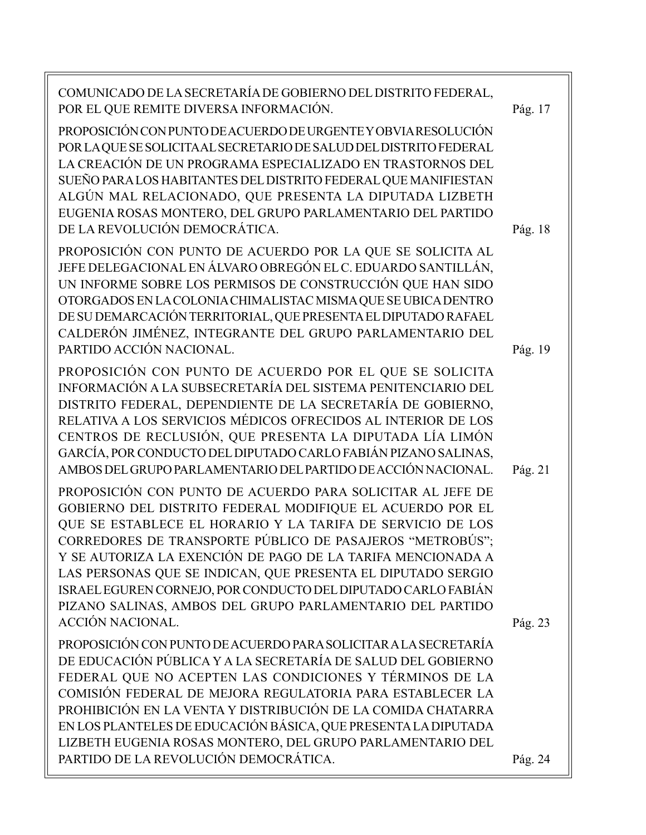| COMUNICADO DE LA SECRETARÍA DE GOBIERNO DEL DISTRITO FEDERAL,<br>POR EL QUE REMITE DIVERSA INFORMACIÓN.<br>PROPOSICIÓN CON PUNTO DE ACUERDO DE URGENTE Y OBVIA RESOLUCIÓN<br>POR LAQUE SE SOLICITAAL SECRETARIO DE SALUD DEL DISTRITO FEDERAL<br>LA CREACIÓN DE UN PROGRAMA ESPECIALIZADO EN TRASTORNOS DEL<br>SUEÑO PARA LOS HABITANTES DEL DISTRITO FEDERAL QUE MANIFIESTAN<br>ALGÚN MAL RELACIONADO, QUE PRESENTA LA DIPUTADA LIZBETH<br>EUGENIA ROSAS MONTERO, DEL GRUPO PARLAMENTARIO DEL PARTIDO<br>DE LA REVOLUCIÓN DEMOCRÁTICA.    | Pág. 17<br>Pág. 18 |
|--------------------------------------------------------------------------------------------------------------------------------------------------------------------------------------------------------------------------------------------------------------------------------------------------------------------------------------------------------------------------------------------------------------------------------------------------------------------------------------------------------------------------------------------|--------------------|
| PROPOSICIÓN CON PUNTO DE ACUERDO POR LA QUE SE SOLICITA AL<br>JEFE DELEGACIONAL EN ÁLVARO OBREGÓN EL C. EDUARDO SANTILLÁN,<br>UN INFORME SOBRE LOS PERMISOS DE CONSTRUCCIÓN QUE HAN SIDO<br>OTORGADOS EN LA COLONIA CHIMALISTAC MISMA QUE SE UBICA DENTRO<br>DE SU DEMARCACIÓN TERRITORIAL, QUE PRESENTA EL DIPUTADO RAFAEL<br>CALDERÓN JIMÉNEZ, INTEGRANTE DEL GRUPO PARLAMENTARIO DEL<br>PARTIDO ACCIÓN NACIONAL.                                                                                                                        | Pág. 19            |
| PROPOSICIÓN CON PUNTO DE ACUERDO POR EL QUE SE SOLICITA<br>INFORMACIÓN A LA SUBSECRETARÍA DEL SISTEMA PENITENCIARIO DEL<br>DISTRITO FEDERAL, DEPENDIENTE DE LA SECRETARÍA DE GOBIERNO,<br>RELATIVA A LOS SERVICIOS MÉDICOS OFRECIDOS AL INTERIOR DE LOS<br>CENTROS DE RECLUSIÓN, QUE PRESENTA LA DIPUTADA LÍA LIMÓN<br>GARCÍA, POR CONDUCTO DEL DIPUTADO CARLO FABIÁN PIZANO SALINAS,<br>AMBOS DEL GRUPO PARLAMENTARIO DEL PARTIDO DE ACCIÓN NACIONAL.                                                                                     | Pág. 21            |
| PROPOSICIÓN CON PUNTO DE ACUERDO PARA SOLICITAR AL JEFE DE<br>GOBIERNO DEL DISTRITO FEDERAL MODIFIQUE EL ACUERDO POR EL<br>QUE SE ESTABLECE EL HORARIO Y LA TARIFA DE SERVICIO DE LOS<br>CORREDORES DE TRANSPORTE PÚBLICO DE PASAJEROS "METROBÚS";<br>Y SE AUTORIZA LA EXENCIÓN DE PAGO DE LA TARIFA MENCIONADA A<br>LAS PERSONAS QUE SE INDICAN, QUE PRESENTA EL DIPUTADO SERGIO<br>ISRAEL EGUREN CORNEJO, POR CONDUCTO DEL DIPUTADO CARLO FABIÁN<br>PIZANO SALINAS, AMBOS DEL GRUPO PARLAMENTARIO DEL PARTIDO<br><b>ACCIÓN NACIONAL.</b> | Pág. 23            |
| PROPOSICIÓN CON PUNTO DE ACUERDO PARA SOLICITAR A LA SECRETARÍA<br>DE EDUCACIÓN PÚBLICA Y A LA SECRETARÍA DE SALUD DEL GOBIERNO<br>FEDERAL QUE NO ACEPTEN LAS CONDICIONES Y TÉRMINOS DE LA<br>COMISIÓN FEDERAL DE MEJORA REGULATORIA PARA ESTABLECER LA<br>PROHIBICIÓN EN LA VENTA Y DISTRIBUCIÓN DE LA COMIDA CHATARRA<br>EN LOS PLANTELES DE EDUCACIÓN BÁSICA, QUE PRESENTA LA DIPUTADA<br>LIZBETH EUGENIA ROSAS MONTERO, DEL GRUPO PARLAMENTARIO DEL<br>PARTIDO DE LA REVOLUCIÓN DEMOCRÁTICA.                                           | Pág. 24            |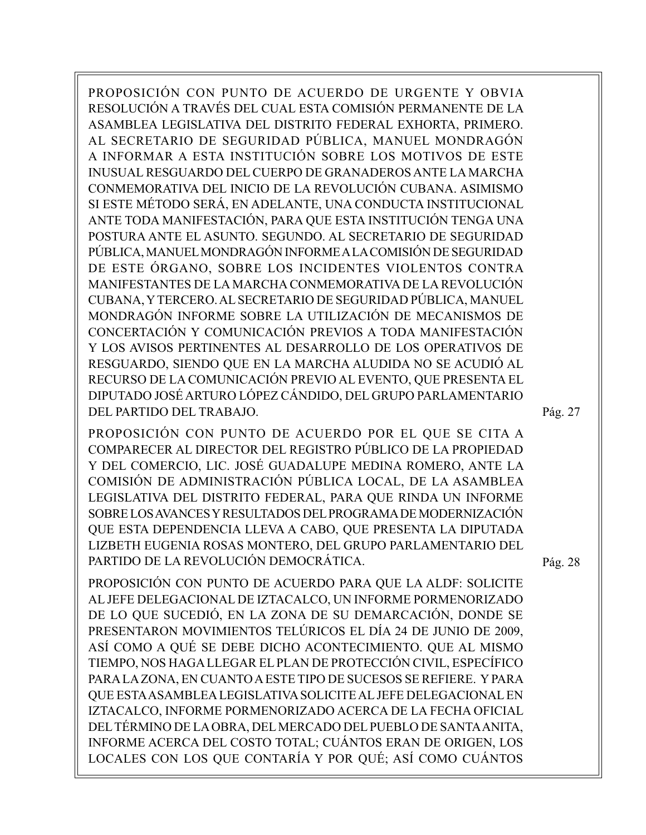PROPOSICIÓN CON PUNTO DE ACUERDO DE URGENTE Y OBVIA RESOLUCIÓN A TRAVÉS DEL CUAL ESTA COMISIÓN PERMANENTE DE LA ASAMBLEA LEGISLATIVA DEL DISTRITO FEDERAL EXHORTA, PRIMERO. AL SECRETARIO DE SEGURIDAD PÚBLICA, MANUEL MONDRAGÓN A INFORMAR A ESTA INSTITUCIÓN SOBRE LOS MOTIVOS DE ESTE INUSUAL RESGUARDO DEL CUERPO DE GRANADEROS ANTE LA MARCHA CONMEMORATIVA DEL INICIO DE LA REVOLUCIÓN CUBANA. ASIMISMO SI ESTE MÉTODO SERÁ, EN ADELANTE, UNA CONDUCTA INSTITUCIONAL ANTE TODA MANIFESTACIÓN, PARA QUE ESTA INSTITUCIÓN TENGA UNA POSTURA ANTE EL ASUNTO. SEGUNDO. AL SECRETARIO DE SEGURIDAD PÚBLICA, MANUEL MONDRAGÓN INFORME A LA COMISIÓN DE SEGURIDAD DE ESTE ÓRGANO, SOBRE LOS INCIDENTES VIOLENTOS CONTRA MANIFESTANTES DE LA MARCHA CONMEMORATIVA DE LA REVOLUCIÓN CUBANA, Y TERCERO. AL SECRETARIO DE SEGURIDAD PÚBLICA, MANUEL MONDRAGÓN INFORME SOBRE LA UTILIZACIÓN DE MECANISMOS DE CONCERTACIÓN Y COMUNICACIÓN PREVIOS A TODA MANIFESTACIÓN Y LOS AVISOS PERTINENTES AL DESARROLLO DE LOS OPERATIVOS DE RESGUARDO, SIENDO QUE EN LA MARCHA ALUDIDA NO SE ACUDIÓ AL RECURSO DE LA COMUNICACIÓN PREVIO AL EVENTO, QUE PRESENTA EL DIPUTADO JOSÉ ARTURO LÓPEZ CÁNDIDO, DEL GRUPO PARLAMENTARIO DEL PARTIDO DEL TRABAJO.

PROPOSICIÓN CON PUNTO DE ACUERDO POR EL QUE SE CITA A COMPARECER AL DIRECTOR DEL REGISTRO PÚBLICO DE LA PROPIEDAD Y DEL COMERCIO, LIC. JOSÉ GUADALUPE MEDINA ROMERO, ANTE LA COMISIÓN DE ADMINISTRACIÓN PÚBLICA LOCAL, DE LA ASAMBLEA LEGISLATIVA DEL DISTRITO FEDERAL, PARA QUE RINDA UN INFORME SOBRE LOS AVANCES Y RESULTADOS DEL PROGRAMA DE MODERNIZACIÓN QUE ESTA DEPENDENCIA LLEVA A CABO, QUE PRESENTA LA DIPUTADA LIZBETH EUGENIA ROSAS MONTERO, DEL GRUPO PARLAMENTARIO DEL PARTIDO DE LA REVOLUCIÓN DEMOCRÁTICA.

PROPOSICIÓN CON PUNTO DE ACUERDO PARA QUE LA ALDF: SOLICITE AL JEFE DELEGACIONAL DE IZTACALCO, UN INFORME PORMENORIZADO DE LO QUE SUCEDIÓ, EN LA ZONA DE SU DEMARCACIÓN, DONDE SE PRESENTARON MOVIMIENTOS TELÚRICOS EL DÍA 24 DE JUNIO DE 2009, ASÍ COMO A QUÉ SE DEBE DICHO ACONTECIMIENTO. QUE AL MISMO TIEMPO, NOS HAGA LLEGAR EL PLAN DE PROTECCIÓN CIVIL, ESPECÍFICO PARA LA ZONA, EN CUANTO A ESTE TIPO DE SUCESOS SE REFIERE. Y PARA QUE ESTA ASAMBLEA LEGISLATIVA SOLICITE AL JEFE DELEGACIONAL EN IZTACALCO, INFORME PORMENORIZADO ACERCA DE LA FECHA OFICIAL DEL TÉRMINO DE LA OBRA, DEL MERCADO DEL PUEBLO DE SANTA ANITA, INFORME ACERCA DEL COSTO TOTAL; CUÁNTOS ERAN DE ORIGEN, LOS LOCALES CON LOS QUE CONTARÍA Y POR QUÉ; ASÍ COMO CUÁNTOS Pág. 27

Pág. 28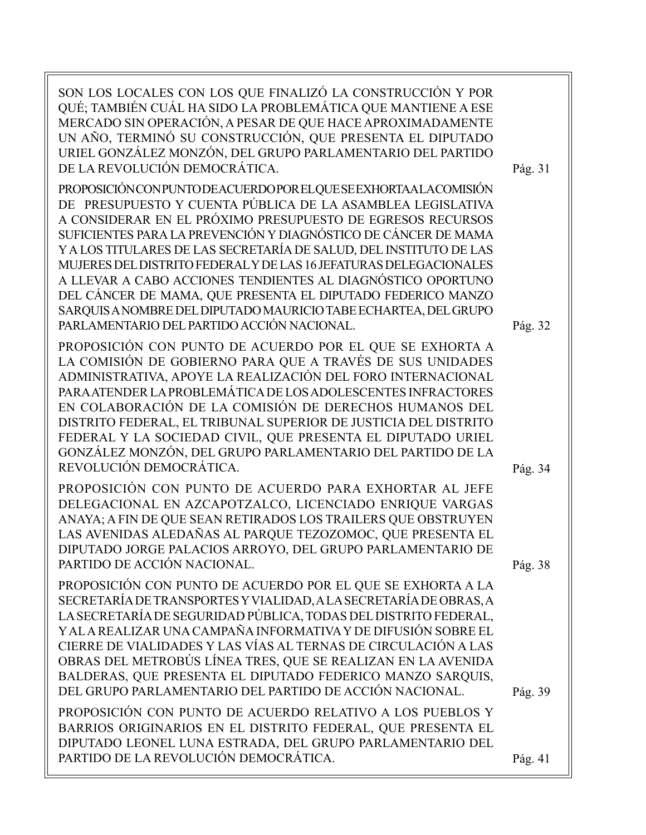SON LOS LOCALES CON LOS QUE FINALIZÓ LA CONSTRUCCIÓN Y POR QUÉ; TAMBIÉN CUÁL HA SIDO LA PROBLEMÁTICA QUE MANTIENE A ESE MERCADO SIN OPERACIÓN, A PESAR DE QUE HACE APROXIMADAMENTE UN AÑO, TERMINÓ SU CONSTRUCCIÓN, QUE PRESENTA EL DIPUTADO URIEL GONZÁLEZ MONZÓN, DEL GRUPO PARLAMENTARIO DEL PARTIDO DE LA REVOLUCIÓN DEMOCRÁTICA. PROPOSICIÓN CON PUNTO DE ACUERDO POR EL QUE SE EXHORTA A LA COMISIÓN DE PRESUPUESTO Y CUENTA PÚBLICA DE LA ASAMBLEA LEGISLATIVA A CONSIDERAR EN EL PRÓXIMO PRESUPUESTO DE EGRESOS RECURSOS SUFICIENTES PARA LA PREVENCIÓN Y DIAGNÓSTICO DE CÁNCER DE MAMA Y A LOS TITULARES DE LAS SECRETARÍA DE SALUD, DEL INSTITUTO DE LAS MUJERES DEL DISTRITO FEDERAL Y DE LAS 16 JEFATURAS DELEGACIONALES A LLEVAR A CABO ACCIONES TENDIENTES AL DIAGNÓSTICO OPORTUNO DEL CÁNCER DE MAMA, QUE PRESENTA EL DIPUTADO FEDERICO MANZO SARQUIS A NOMBRE DEL DIPUTADO MAURICIO TABE ECHARTEA, DEL GRUPO PARLAMENTARIO DEL PARTIDO ACCIÓN NACIONAL. PROPOSICIÓN CON PUNTO DE ACUERDO POR EL QUE SE EXHORTA A LA COMISIÓN DE GOBIERNO PARA QUE A TRAVÉS DE SUS UNIDADES ADMINISTRATIVA, APOYE LA REALIZACIÓN DEL FORO INTERNACIONAL PARA ATENDER LA PROBLEMÁTICA DE LOS ADOLESCENTES INFRACTORES EN COLABORACIÓN DE LA COMISIÓN DE DERECHOS HUMANOS DEL DISTRITO FEDERAL, EL TRIBUNAL SUPERIOR DE JUSTICIA DEL DISTRITO FEDERAL Y LA SOCIEDAD CIVIL, QUE PRESENTA EL DIPUTADO URIEL GONZÁLEZ MONZÓN, DEL GRUPO PARLAMENTARIO DEL PARTIDO DE LA REVOLUCIÓN DEMOCRÁTICA. PROPOSICIÓN CON PUNTO DE ACUERDO PARA EXHORTAR AL JEFE DELEGACIONAL EN AZCAPOTZALCO, LICENCIADO ENRIQUE VARGAS ANAYA; A FIN DE QUE SEAN RETIRADOS LOS TRAILERS QUE OBSTRUYEN LAS AVENIDAS ALEDAÑAS AL PARQUE TEZOZOMOC, QUE PRESENTA EL DIPUTADO JORGE PALACIOS ARROYO, DEL GRUPO PARLAMENTARIO DE PARTIDO DE ACCIÓN NACIONAL. PROPOSICIÓN CON PUNTO DE ACUERDO POR EL QUE SE EXHORTA A LA SECRETARÍA DE TRANSPORTES Y VIALIDAD, A LA SECRETARÍA DE OBRAS, A LA SECRETARÍA DE SEGURIDAD PÚBLICA, TODAS DEL DISTRITO FEDERAL, Y AL A REALIZAR UNA CAMPAÑA INFORMATIVA Y DE DIFUSIÓN SOBRE EL CIERRE DE VIALIDADES Y LAS VÍAS AL TERNAS DE CIRCULACIÓN A LAS OBRAS DEL METROBÚS LÍNEA TRES, QUE SE REALIZAN EN LA AVENIDA BALDERAS, QUE PRESENTA EL DIPUTADO FEDERICO MANZO SARQUIS, DEL GRUPO PARLAMENTARIO DEL PARTIDO DE ACCIÓN NACIONAL. PROPOSICIÓN CON PUNTO DE ACUERDO RELATIVO A LOS PUEBLOS Y BARRIOS ORIGINARIOS EN EL DISTRITO FEDERAL, QUE PRESENTA EL DIPUTADO LEONEL LUNA ESTRADA, DEL GRUPO PARLAMENTARIO DEL PARTIDO DE LA REVOLUCIÓN DEMOCRÁTICA. Pág. 31 Pág. 34 Pág. 41 Pág. 32 Pág. 38 Pág. 39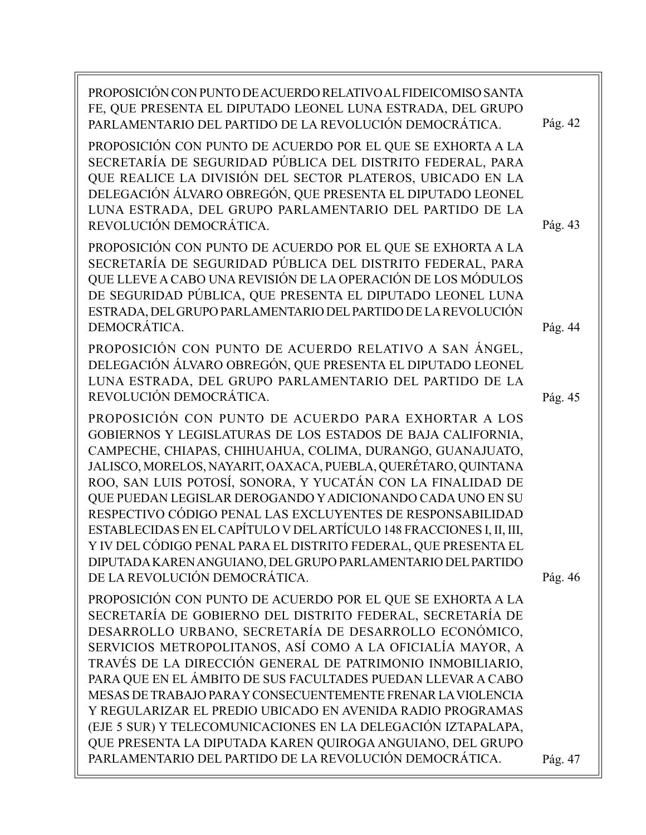| PROPOSICIÓN CON PUNTO DE ACUERDO RELATIVO AL FIDEICOMISO SANTA<br>FE, QUE PRESENTA EL DIPUTADO LEONEL LUNA ESTRADA, DEL GRUPO<br>PARLAMENTARIO DEL PARTIDO DE LA REVOLUCIÓN DEMOCRÁTICA.                                                                                                                                                                                                                                                                                                                                                                                                                                                                                                                | Pág. 42 |
|---------------------------------------------------------------------------------------------------------------------------------------------------------------------------------------------------------------------------------------------------------------------------------------------------------------------------------------------------------------------------------------------------------------------------------------------------------------------------------------------------------------------------------------------------------------------------------------------------------------------------------------------------------------------------------------------------------|---------|
| PROPOSICIÓN CON PUNTO DE ACUERDO POR EL QUE SE EXHORTA A LA<br>SECRETARÍA DE SEGURIDAD PÚBLICA DEL DISTRITO FEDERAL, PARA<br>QUE REALICE LA DIVISIÓN DEL SECTOR PLATEROS, UBICADO EN LA<br>DELEGACIÓN ÁLVARO OBREGÓN, QUE PRESENTA EL DIPUTADO LEONEL<br>LUNA ESTRADA, DEL GRUPO PARLAMENTARIO DEL PARTIDO DE LA<br>REVOLUCIÓN DEMOCRÁTICA.                                                                                                                                                                                                                                                                                                                                                             | Pág. 43 |
| PROPOSICIÓN CON PUNTO DE ACUERDO POR EL QUE SE EXHORTA A LA<br>SECRETARÍA DE SEGURIDAD PÚBLICA DEL DISTRITO FEDERAL, PARA<br>QUE LLEVE A CABO UNA REVISIÓN DE LA OPERACIÓN DE LOS MÓDULOS<br>DE SEGURIDAD PÚBLICA, QUE PRESENTA EL DIPUTADO LEONEL LUNA<br>ESTRADA, DEL GRUPO PARLAMENTARIO DEL PARTIDO DE LA REVOLUCIÓN<br>DEMOCRÁTICA.                                                                                                                                                                                                                                                                                                                                                                | Pág. 44 |
| PROPOSICIÓN CON PUNTO DE ACUERDO RELATIVO A SAN ÁNGEL,<br>DELEGACIÓN ÁLVARO OBREGÓN, QUE PRESENTA EL DIPUTADO LEONEL<br>LUNA ESTRADA, DEL GRUPO PARLAMENTARIO DEL PARTIDO DE LA<br>REVOLUCIÓN DEMOCRÁTICA.                                                                                                                                                                                                                                                                                                                                                                                                                                                                                              | Pág. 45 |
| PROPOSICIÓN CON PUNTO DE ACUERDO PARA EXHORTAR A LOS<br>GOBIERNOS Y LEGISLATURAS DE LOS ESTADOS DE BAJA CALIFORNIA,<br>CAMPECHE, CHIAPAS, CHIHUAHUA, COLIMA, DURANGO, GUANAJUATO,<br>JALISCO, MORELOS, NAYARIT, OAXACA, PUEBLA, QUERÉTARO, QUINTANA<br>ROO, SAN LUIS POTOSÍ, SONORA, Y YUCATÁN CON LA FINALIDAD DE<br>QUE PUEDAN LEGISLAR DEROGANDO Y ADICIONANDO CADA UNO EN SU<br>RESPECTIVO CÓDIGO PENAL LAS EXCLUYENTES DE RESPONSABILIDAD<br>ESTABLECIDAS EN EL CAPÍTULO V DEL ARTÍCULO 148 FRACCIONES I, II, III,<br>Y IV DEL CÓDIGO PENAL PARA EL DISTRITO FEDERAL, QUE PRESENTA EL<br>DIPUTADA KAREN ANGUIANO, DEL GRUPO PARLAMENTARIO DEL PARTIDO<br>DE LA REVOLUCIÓN DEMOCRÁTICA.             | Pág. 46 |
| PROPOSICIÓN CON PUNTO DE ACUERDO POR EL QUE SE EXHORTA A LA<br>SECRETARÍA DE GOBIERNO DEL DISTRITO FEDERAL, SECRETARÍA DE<br>DESARROLLO URBANO, SECRETARÍA DE DESARROLLO ECONÓMICO,<br>SERVICIOS METROPOLITANOS, ASÍ COMO A LA OFICIALÍA MAYOR, A<br>TRAVÉS DE LA DIRECCIÓN GENERAL DE PATRIMONIO INMOBILIARIO,<br>PARA QUE EN EL ÁMBITO DE SUS FACULTADES PUEDAN LLEVAR A CABO<br>MESAS DE TRABAJO PARA Y CONSECUENTEMENTE FRENAR LA VIOLENCIA<br>Y REGULARIZAR EL PREDIO UBICADO EN AVENIDA RADIO PROGRAMAS<br>(EJE 5 SUR) Y TELECOMUNICACIONES EN LA DELEGACIÓN IZTAPALAPA,<br>QUE PRESENTA LA DIPUTADA KAREN QUIROGA ANGUIANO, DEL GRUPO<br>PARLAMENTARIO DEL PARTIDO DE LA REVOLUCIÓN DEMOCRÁTICA. | Pág. 47 |
|                                                                                                                                                                                                                                                                                                                                                                                                                                                                                                                                                                                                                                                                                                         |         |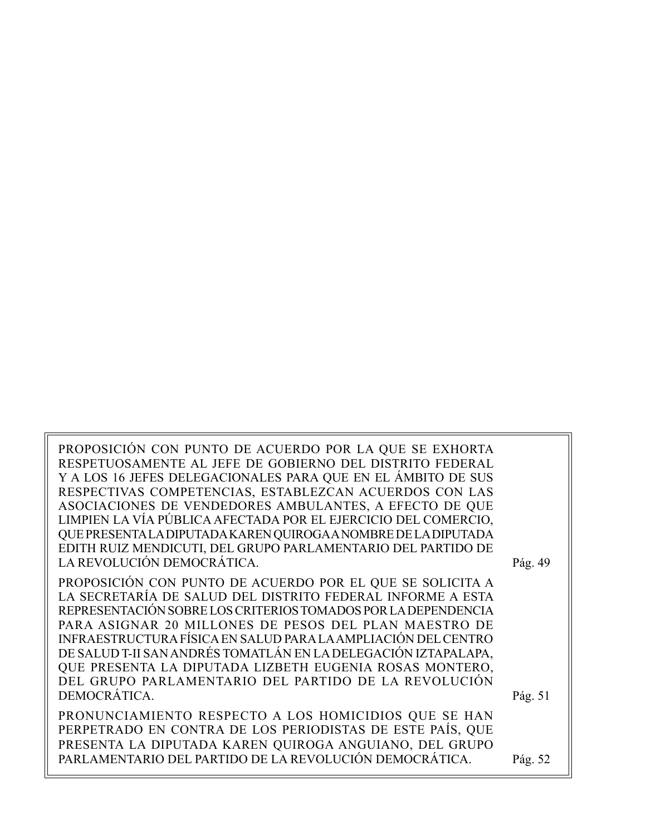PROPOSICIÓN CON PUNTO DE ACUERDO POR LA QUE SE EXHORTA RESPETUOSAMENTE AL JEFE DE GOBIERNO DEL DISTRITO FEDERAL Y A LOS 16 JEFES DELEGACIONALES PARA QUE EN EL ÁMBITO DE SUS RESPECTIVAS COMPETENCIAS, ESTABLEZCAN ACUERDOS CON LAS ASOCIACIONES DE VENDEDORES AMBULANTES, A EFECTO DE QUE LIMPIEN LA VÍA PÚBLICA AFECTADA POR EL EJERCICIO DEL COMERCIO, QUE PRESENTA LA DIPUTADA KAREN QUIROGA A NOMBRE DE LA DIPUTADA EDITH RUIZ MENDICUTI, DEL GRUPO PARLAMENTARIO DEL PARTIDO DE LA REVOLUCIÓN DEMOCRÁTICA. Pág. 49

PROPOSICIÓN CON PUNTO DE ACUERDO POR EL QUE SE SOLICITA A LA SECRETARÍA DE SALUD DEL DISTRITO FEDERAL INFORME A ESTA REPRESENTACIÓN SOBRE LOS CRITERIOS TOMADOS POR LA DEPENDENCIA PARA ASIGNAR 20 MILLONES DE PESOS DEL PLAN MAESTRO DE INFRAESTRUCTURA FÍSICA EN SALUD PARA LA AMPLIACIÓN DEL CENTRO DE SALUD T-II SAN ANDRÉS TOMATLÁN EN LA DELEGACIÓN IZTAPALAPA, QUE PRESENTA LA DIPUTADA LIZBETH EUGENIA ROSAS MONTERO, DEL GRUPO PARLAMENTARIO DEL PARTIDO DE LA REVOLUCIÓN DEMOCRÁTICA.

PRONUNCIAMIENTO RESPECTO A LOS HOMICIDIOS QUE SE HAN PERPETRADO EN CONTRA DE LOS PERIODISTAS DE ESTE PAÍS, QUE PRESENTA LA DIPUTADA KAREN QUIROGA ANGUIANO, DEL GRUPO PARLAMENTARIO DEL PARTIDO DE LA REVOLUCIÓN DEMOCRÁTICA.

Pág. 52

Pág. 51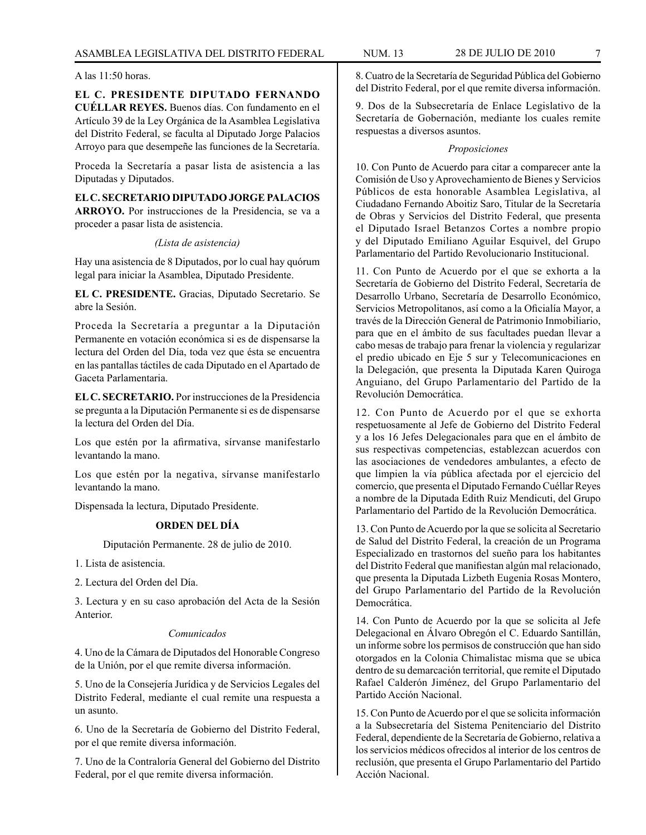#### A las 11:50 horas.

**EL C. PRESIDENTE DIPUTADO FERNANDO CUÉLLAR REYES.** Buenos días. Con fundamento en el Artículo 39 de la Ley Orgánica de la Asamblea Legislativa del Distrito Federal, se faculta al Diputado Jorge Palacios Arroyo para que desempeñe las funciones de la Secretaría.

Proceda la Secretaría a pasar lista de asistencia a las Diputadas y Diputados.

**EL C. SECRETARIO DIPUTADO JORGE PALACIOS ARROYO.** Por instrucciones de la Presidencia, se va a proceder a pasar lista de asistencia.

*(Lista de asistencia)*

Hay una asistencia de 8 Diputados, por lo cual hay quórum legal para iniciar la Asamblea, Diputado Presidente.

**EL C. PRESIDENTE.** Gracias, Diputado Secretario. Se abre la Sesión.

Proceda la Secretaría a preguntar a la Diputación Permanente en votación económica si es de dispensarse la lectura del Orden del Día, toda vez que ésta se encuentra en las pantallas táctiles de cada Diputado en el Apartado de Gaceta Parlamentaria.

**EL C. SECRETARIO.** Por instrucciones de la Presidencia se pregunta a la Diputación Permanente si es de dispensarse la lectura del Orden del Día.

Los que estén por la afirmativa, sírvanse manifestarlo levantando la mano.

Los que estén por la negativa, sírvanse manifestarlo levantando la mano.

Dispensada la lectura, Diputado Presidente.

#### **ORDEN DEL DÍA**

Diputación Permanente. 28 de julio de 2010.

1. Lista de asistencia.

2. Lectura del Orden del Día.

3. Lectura y en su caso aprobación del Acta de la Sesión Anterior.

#### *Comunicados*

4. Uno de la Cámara de Diputados del Honorable Congreso de la Unión, por el que remite diversa información.

5. Uno de la Consejería Jurídica y de Servicios Legales del Distrito Federal, mediante el cual remite una respuesta a un asunto.

6. Uno de la Secretaría de Gobierno del Distrito Federal, por el que remite diversa información.

7. Uno de la Contraloría General del Gobierno del Distrito Federal, por el que remite diversa información.

8. Cuatro de la Secretaría de Seguridad Pública del Gobierno del Distrito Federal, por el que remite diversa información.

9. Dos de la Subsecretaría de Enlace Legislativo de la Secretaría de Gobernación, mediante los cuales remite respuestas a diversos asuntos.

#### *Proposiciones*

10. Con Punto de Acuerdo para citar a comparecer ante la Comisión de Uso y Aprovechamiento de Bienes y Servicios Públicos de esta honorable Asamblea Legislativa, al Ciudadano Fernando Aboitiz Saro, Titular de la Secretaría de Obras y Servicios del Distrito Federal, que presenta el Diputado Israel Betanzos Cortes a nombre propio y del Diputado Emiliano Aguilar Esquivel, del Grupo Parlamentario del Partido Revolucionario Institucional.

11. Con Punto de Acuerdo por el que se exhorta a la Secretaría de Gobierno del Distrito Federal, Secretaría de Desarrollo Urbano, Secretaría de Desarrollo Económico, Servicios Metropolitanos, así como a la Oficialía Mayor, a través de la Dirección General de Patrimonio Inmobiliario, para que en el ámbito de sus facultades puedan llevar a cabo mesas de trabajo para frenar la violencia y regularizar el predio ubicado en Eje 5 sur y Telecomunicaciones en la Delegación, que presenta la Diputada Karen Quiroga Anguiano, del Grupo Parlamentario del Partido de la Revolución Democrática.

12. Con Punto de Acuerdo por el que se exhorta respetuosamente al Jefe de Gobierno del Distrito Federal y a los 16 Jefes Delegacionales para que en el ámbito de sus respectivas competencias, establezcan acuerdos con las asociaciones de vendedores ambulantes, a efecto de que limpien la vía pública afectada por el ejercicio del comercio, que presenta el Diputado Fernando Cuéllar Reyes a nombre de la Diputada Edith Ruiz Mendicuti, del Grupo Parlamentario del Partido de la Revolución Democrática.

13. Con Punto de Acuerdo por la que se solicita al Secretario de Salud del Distrito Federal, la creación de un Programa Especializado en trastornos del sueño para los habitantes del Distrito Federal que manifiestan algún mal relacionado, que presenta la Diputada Lizbeth Eugenia Rosas Montero, del Grupo Parlamentario del Partido de la Revolución Democrática.

14. Con Punto de Acuerdo por la que se solicita al Jefe Delegacional en Álvaro Obregón el C. Eduardo Santillán, un informe sobre los permisos de construcción que han sido otorgados en la Colonia Chimalistac misma que se ubica dentro de su demarcación territorial, que remite el Diputado Rafael Calderón Jiménez, del Grupo Parlamentario del Partido Acción Nacional.

15. Con Punto de Acuerdo por el que se solicita información a la Subsecretaría del Sistema Penitenciario del Distrito Federal, dependiente de la Secretaría de Gobierno, relativa a los servicios médicos ofrecidos al interior de los centros de reclusión, que presenta el Grupo Parlamentario del Partido Acción Nacional.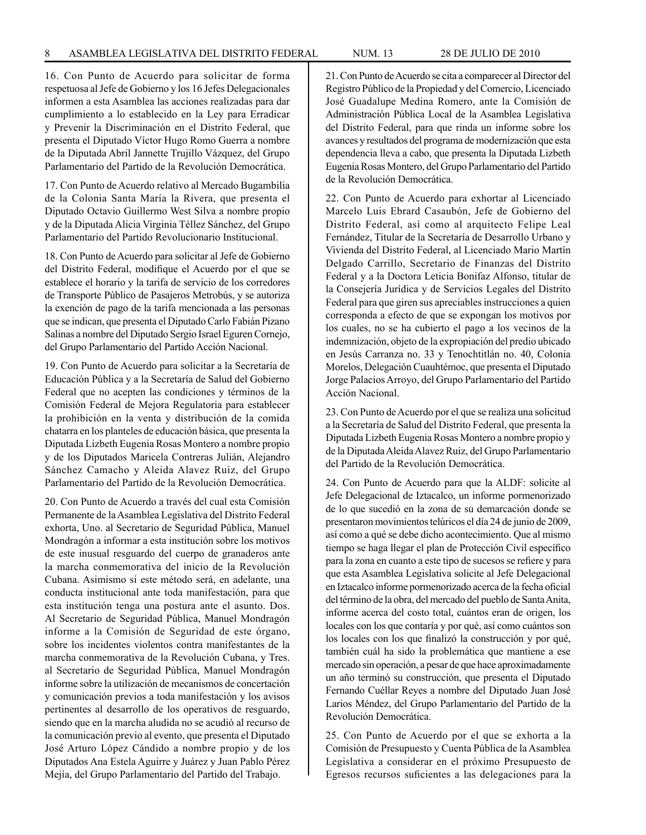16. Con Punto de Acuerdo para solicitar de forma respetuosa al Jefe de Gobierno y los 16 Jefes Delegacionales informen a esta Asamblea las acciones realizadas para dar cumplimiento a lo establecido en la Ley para Erradicar y Prevenir la Discriminación en el Distrito Federal, que presenta el Diputado Víctor Hugo Romo Guerra a nombre de la Diputada Abril Jannette Trujillo Vázquez, del Grupo Parlamentario del Partido de la Revolución Democrática.

17. Con Punto de Acuerdo relativo al Mercado Bugambilia de la Colonia Santa María la Rivera, que presenta el Diputado Octavio Guillermo West Silva a nombre propio y de la Diputada Alicia Virginia Téllez Sánchez, del Grupo Parlamentario del Partido Revolucionario Institucional.

18. Con Punto de Acuerdo para solicitar al Jefe de Gobierno del Distrito Federal, modifique el Acuerdo por el que se establece el horario y la tarifa de servicio de los corredores de Transporte Público de Pasajeros Metrobús, y se autoriza la exención de pago de la tarifa mencionada a las personas que se indican, que presenta el Diputado Carlo Fabián Pizano Salinas a nombre del Diputado Sergio Israel Eguren Cornejo, del Grupo Parlamentario del Partido Acción Nacional.

19. Con Punto de Acuerdo para solicitar a la Secretaría de Educación Pública y a la Secretaría de Salud del Gobierno Federal que no acepten las condiciones y términos de la Comisión Federal de Mejora Regulatoria para establecer la prohibición en la venta y distribución de la comida chatarra en los planteles de educación básica, que presenta la Diputada Lizbeth Eugenia Rosas Montero a nombre propio y de los Diputados Maricela Contreras Julián, Alejandro Sánchez Camacho y Aleida Alavez Ruiz, del Grupo Parlamentario del Partido de la Revolución Democrática.

20. Con Punto de Acuerdo a través del cual esta Comisión Permanente de la Asamblea Legislativa del Distrito Federal exhorta, Uno. al Secretario de Seguridad Pública, Manuel Mondragón a informar a esta institución sobre los motivos de este inusual resguardo del cuerpo de granaderos ante la marcha conmemorativa del inicio de la Revolución Cubana. Asimismo si este método será, en adelante, una conducta institucional ante toda manifestación, para que esta institución tenga una postura ante el asunto. Dos. Al Secretario de Seguridad Pública, Manuel Mondragón informe a la Comisión de Seguridad de este órgano, sobre los incidentes violentos contra manifestantes de la marcha conmemorativa de la Revolución Cubana, y Tres. al Secretario de Seguridad Pública, Manuel Mondragón informe sobre la utilización de mecanismos de concertación y comunicación previos a toda manifestación y los avisos pertinentes al desarrollo de los operativos de resguardo, siendo que en la marcha aludida no se acudió al recurso de la comunicación previo al evento, que presenta el Diputado José Arturo López Cándido a nombre propio y de los Diputados Ana Estela Aguirre y Juárez y Juan Pablo Pérez Mejía, del Grupo Parlamentario del Partido del Trabajo.

21. Con Punto de Acuerdo se cita a comparecer al Director del Registro Público de la Propiedad y del Comercio, Licenciado José Guadalupe Medina Romero, ante la Comisión de Administración Pública Local de la Asamblea Legislativa del Distrito Federal, para que rinda un informe sobre los avances y resultados del programa de modernización que esta dependencia lleva a cabo, que presenta la Diputada Lizbeth Eugenia Rosas Montero, del Grupo Parlamentario del Partido de la Revolución Democrática.

22. Con Punto de Acuerdo para exhortar al Licenciado Marcelo Luis Ebrard Casaubón, Jefe de Gobierno del Distrito Federal, así como al arquitecto Felipe Leal Fernández, Titular de la Secretaría de Desarrollo Urbano y Vivienda del Distrito Federal, al Licenciado Mario Martín Delgado Carrillo, Secretario de Finanzas del Distrito Federal y a la Doctora Leticia Bonifaz Alfonso, titular de la Consejería Jurídica y de Servicios Legales del Distrito Federal para que giren sus apreciables instrucciones a quien corresponda a efecto de que se expongan los motivos por los cuales, no se ha cubierto el pago a los vecinos de la indemnización, objeto de la expropiación del predio ubicado en Jesús Carranza no. 33 y Tenochtitlán no. 40, Colonia Morelos, Delegación Cuauhtémoc, que presenta el Diputado Jorge Palacios Arroyo, del Grupo Parlamentario del Partido Acción Nacional.

23. Con Punto de Acuerdo por el que se realiza una solicitud a la Secretaría de Salud del Distrito Federal, que presenta la Diputada Lizbeth Eugenia Rosas Montero a nombre propio y de la Diputada Aleida Alavez Ruiz, del Grupo Parlamentario del Partido de la Revolución Democrática.

24. Con Punto de Acuerdo para que la ALDF: solicite al Jefe Delegacional de Iztacalco, un informe pormenorizado de lo que sucedió en la zona de su demarcación donde se presentaron movimientos telúricos el día 24 de junio de 2009, así como a qué se debe dicho acontecimiento. Que al mismo tiempo se haga llegar el plan de Protección Civil específico para la zona en cuanto a este tipo de sucesos se refiere y para que esta Asamblea Legislativa solicite al Jefe Delegacional en Iztacalco informe pormenorizado acerca de la fecha oficial del término de la obra, del mercado del pueblo de Santa Anita, informe acerca del costo total, cuántos eran de origen, los locales con los que contaría y por qué, así como cuántos son los locales con los que finalizó la construcción y por qué, también cuál ha sido la problemática que mantiene a ese mercado sin operación, a pesar de que hace aproximadamente un año terminó su construcción, que presenta el Diputado Fernando Cuéllar Reyes a nombre del Diputado Juan José Larios Méndez, del Grupo Parlamentario del Partido de la Revolución Democrática.

25. Con Punto de Acuerdo por el que se exhorta a la Comisión de Presupuesto y Cuenta Pública de la Asamblea Legislativa a considerar en el próximo Presupuesto de Egresos recursos suficientes a las delegaciones para la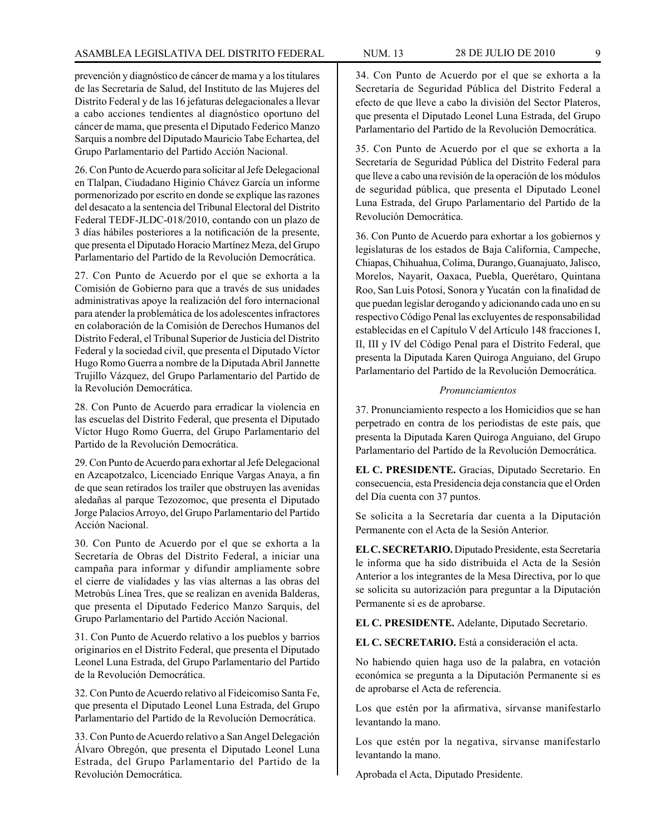prevención y diagnóstico de cáncer de mama y a los titulares de las Secretaría de Salud, del Instituto de las Mujeres del Distrito Federal y de las 16 jefaturas delegacionales a llevar a cabo acciones tendientes al diagnóstico oportuno del cáncer de mama, que presenta el Diputado Federico Manzo Sarquis a nombre del Diputado Mauricio Tabe Echartea, del Grupo Parlamentario del Partido Acción Nacional.

26. Con Punto de Acuerdo para solicitar al Jefe Delegacional en Tlalpan, Ciudadano Higinio Chávez García un informe pormenorizado por escrito en donde se explique las razones del desacato a la sentencia del Tribunal Electoral del Distrito Federal TEDF-JLDC-018/2010, contando con un plazo de 3 días hábiles posteriores a la notificación de la presente, que presenta el Diputado Horacio Martínez Meza, del Grupo Parlamentario del Partido de la Revolución Democrática.

27. Con Punto de Acuerdo por el que se exhorta a la Comisión de Gobierno para que a través de sus unidades administrativas apoye la realización del foro internacional para atender la problemática de los adolescentes infractores en colaboración de la Comisión de Derechos Humanos del Distrito Federal, el Tribunal Superior de Justicia del Distrito Federal y la sociedad civil, que presenta el Diputado Víctor Hugo Romo Guerra a nombre de la Diputada Abril Jannette Trujillo Vázquez, del Grupo Parlamentario del Partido de la Revolución Democrática.

28. Con Punto de Acuerdo para erradicar la violencia en las escuelas del Distrito Federal, que presenta el Diputado Víctor Hugo Romo Guerra, del Grupo Parlamentario del Partido de la Revolución Democrática.

29. Con Punto de Acuerdo para exhortar al Jefe Delegacional en Azcapotzalco, Licenciado Enrique Vargas Anaya, a fin de que sean retirados los trailer que obstruyen las avenidas aledañas al parque Tezozomoc, que presenta el Diputado Jorge Palacios Arroyo, del Grupo Parlamentario del Partido Acción Nacional.

30. Con Punto de Acuerdo por el que se exhorta a la Secretaría de Obras del Distrito Federal, a iniciar una campaña para informar y difundir ampliamente sobre el cierre de vialidades y las vías alternas a las obras del Metrobús Línea Tres, que se realizan en avenida Balderas, que presenta el Diputado Federico Manzo Sarquis, del Grupo Parlamentario del Partido Acción Nacional.

31. Con Punto de Acuerdo relativo a los pueblos y barrios originarios en el Distrito Federal, que presenta el Diputado Leonel Luna Estrada, del Grupo Parlamentario del Partido de la Revolución Democrática.

32. Con Punto de Acuerdo relativo al Fideicomiso Santa Fe, que presenta el Diputado Leonel Luna Estrada, del Grupo Parlamentario del Partido de la Revolución Democrática.

33. Con Punto de Acuerdo relativo a San Angel Delegación Álvaro Obregón, que presenta el Diputado Leonel Luna Estrada, del Grupo Parlamentario del Partido de la Revolución Democrática.

34. Con Punto de Acuerdo por el que se exhorta a la Secretaría de Seguridad Pública del Distrito Federal a efecto de que lleve a cabo la división del Sector Plateros, que presenta el Diputado Leonel Luna Estrada, del Grupo Parlamentario del Partido de la Revolución Democrática.

35. Con Punto de Acuerdo por el que se exhorta a la Secretaría de Seguridad Pública del Distrito Federal para que lleve a cabo una revisión de la operación de los módulos de seguridad pública, que presenta el Diputado Leonel Luna Estrada, del Grupo Parlamentario del Partido de la Revolución Democrática.

36. Con Punto de Acuerdo para exhortar a los gobiernos y legislaturas de los estados de Baja California, Campeche, Chiapas, Chihuahua, Colima, Durango, Guanajuato, Jalisco, Morelos, Nayarit, Oaxaca, Puebla, Querétaro, Quintana Roo, San Luis Potosí, Sonora y Yucatán con la finalidad de que puedan legislar derogando y adicionando cada uno en su respectivo Código Penal las excluyentes de responsabilidad establecidas en el Capítulo V del Artículo 148 fracciones I, II, III y IV del Código Penal para el Distrito Federal, que presenta la Diputada Karen Quiroga Anguiano, del Grupo Parlamentario del Partido de la Revolución Democrática.

# *Pronunciamientos*

37. Pronunciamiento respecto a los Homicidios que se han perpetrado en contra de los periodistas de este país, que presenta la Diputada Karen Quiroga Anguiano, del Grupo Parlamentario del Partido de la Revolución Democrática.

**EL C. PRESIDENTE.** Gracias, Diputado Secretario. En consecuencia, esta Presidencia deja constancia que el Orden del Día cuenta con 37 puntos.

Se solicita a la Secretaría dar cuenta a la Diputación Permanente con el Acta de la Sesión Anterior.

**EL C. SECRETARIO.** Diputado Presidente, esta Secretaría le informa que ha sido distribuida el Acta de la Sesión Anterior a los integrantes de la Mesa Directiva, por lo que se solicita su autorización para preguntar a la Diputación Permanente si es de aprobarse.

**EL C. PRESIDENTE.** Adelante, Diputado Secretario.

**EL C. SECRETARIO.** Está a consideración el acta.

No habiendo quien haga uso de la palabra, en votación económica se pregunta a la Diputación Permanente si es de aprobarse el Acta de referencia.

Los que estén por la afirmativa, sírvanse manifestarlo levantando la mano.

Los que estén por la negativa, sírvanse manifestarlo levantando la mano.

Aprobada el Acta, Diputado Presidente.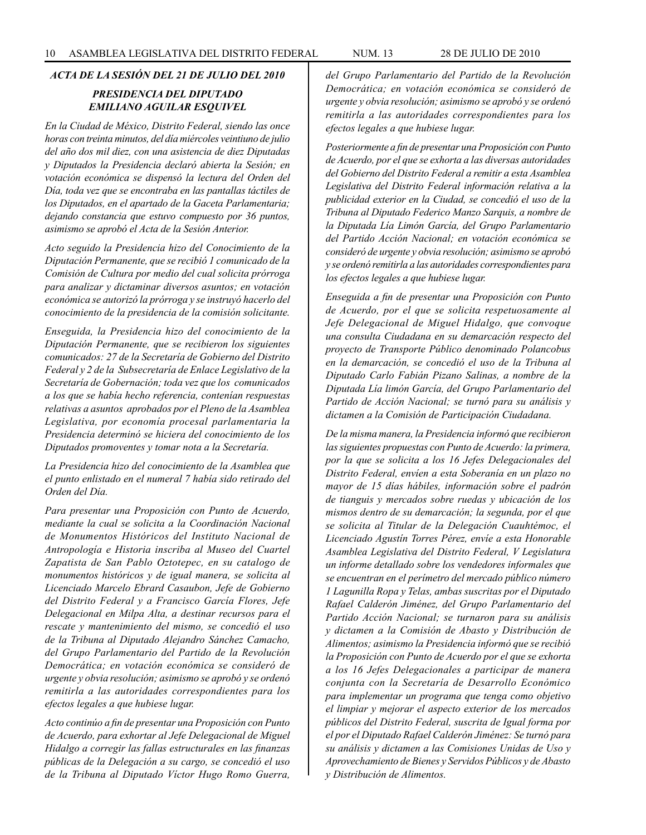# *ACTA DE LA SESIÓN DEL 21 DE JULIO DEL 2010*

# *PRESIDENCIA DEL DIPUTADO EMILIANO AGUILAR ESQUIVEL*

*En la Ciudad de México, Distrito Federal, siendo las once horas con treinta minutos, del día miércoles veintiuno de julio del año dos mil diez, con una asistencia de diez Diputadas y Diputados la Presidencia declaró abierta la Sesión; en votación económica se dispensó la lectura del Orden del Día, toda vez que se encontraba en las pantallas táctiles de los Diputados, en el apartado de la Gaceta Parlamentaria; dejando constancia que estuvo compuesto por 36 puntos, asimismo se aprobó el Acta de la Sesión Anterior.* 

*Acto seguido la Presidencia hizo del Conocimiento de la Diputación Permanente, que se recibió 1 comunicado de la Comisión de Cultura por medio del cual solicita prórroga para analizar y dictaminar diversos asuntos; en votación económica se autorizó la prórroga y se instruyó hacerlo del conocimiento de la presidencia de la comisión solicitante.*

*Enseguida, la Presidencia hizo del conocimiento de la Diputación Permanente, que se recibieron los siguientes comunicados: 27 de la Secretaría de Gobierno del Distrito Federal y 2 de la Subsecretaría de Enlace Legislativo de la Secretaría de Gobernación; toda vez que los comunicados a los que se había hecho referencia, contenían respuestas relativas a asuntos aprobados por el Pleno de la Asamblea Legislativa, por economía procesal parlamentaria la Presidencia determinó se hiciera del conocimiento de los Diputados promoventes y tomar nota a la Secretaría.*

*La Presidencia hizo del conocimiento de la Asamblea que el punto enlistado en el numeral 7 había sido retirado del Orden del Día.*

*Para presentar una Proposición con Punto de Acuerdo, mediante la cual se solicita a la Coordinación Nacional de Monumentos Históricos del Instituto Nacional de Antropología e Historia inscriba al Museo del Cuartel Zapatista de San Pablo Oztotepec, en su catalogo de monumentos históricos y de igual manera, se solicita al Licenciado Marcelo Ebrard Casaubon, Jefe de Gobierno del Distrito Federal y a Francisco García Flores, Jefe Delegacional en Milpa Alta, a destinar recursos para el rescate y mantenimiento del mismo, se concedió el uso de la Tribuna al Diputado Alejandro Sánchez Camacho, del Grupo Parlamentario del Partido de la Revolución Democrática; en votación económica se consideró de urgente y obvia resolución; asimismo se aprobó y se ordenó remitirla a las autoridades correspondientes para los efectos legales a que hubiese lugar.*

*Acto continúo a fin de presentar una Proposición con Punto de Acuerdo, para exhortar al Jefe Delegacional de Miguel Hidalgo a corregir las fallas estructurales en las finanzas públicas de la Delegación a su cargo, se concedió el uso de la Tribuna al Diputado Víctor Hugo Romo Guerra,* 

*del Grupo Parlamentario del Partido de la Revolución Democrática; en votación económica se consideró de urgente y obvia resolución; asimismo se aprobó y se ordenó remitirla a las autoridades correspondientes para los efectos legales a que hubiese lugar.*

*Posteriormente a fin de presentar una Proposición con Punto de Acuerdo, por el que se exhorta a las diversas autoridades del Gobierno del Distrito Federal a remitir a esta Asamblea Legislativa del Distrito Federal información relativa a la publicidad exterior en la Ciudad, se concedió el uso de la Tribuna al Diputado Federico Manzo Sarquis, a nombre de la Diputada Lía Limón García, del Grupo Parlamentario del Partido Acción Nacional; en votación económica se consideró de urgente y obvia resolución; asimismo se aprobó y se ordenó remitirla a las autoridades correspondientes para los efectos legales a que hubiese lugar.*

*Enseguida a fin de presentar una Proposición con Punto de Acuerdo, por el que se solicita respetuosamente al Jefe Delegacional de Miguel Hidalgo, que convoque una consulta Ciudadana en su demarcación respecto del proyecto de Transporte Público denominado Polancobus en la demarcación, se concedió el uso de la Tribuna al Diputado Carlo Fabián Pizano Salinas, a nombre de la Diputada Lía limón García, del Grupo Parlamentario del Partido de Acción Nacional; se turnó para su análisis y dictamen a la Comisión de Participación Ciudadana.*

*De la misma manera, la Presidencia informó que recibieron las siguientes propuestas con Punto de Acuerdo: la primera, por la que se solicita a los 16 Jefes Delegacionales del Distrito Federal, envíen a esta Soberanía en un plazo no mayor de 15 días hábiles, información sobre el padrón de tianguis y mercados sobre ruedas y ubicación de los mismos dentro de su demarcación; la segunda, por el que se solicita al Titular de la Delegación Cuauhtémoc, el Licenciado Agustín Torres Pérez, envíe a esta Honorable Asamblea Legislativa del Distrito Federal, V Legislatura un informe detallado sobre los vendedores informales que se encuentran en el perímetro del mercado público número 1 Lagunilla Ropa y Telas, ambas suscritas por el Diputado Rafael Calderón Jiménez, del Grupo Parlamentario del Partido Acción Nacional; se turnaron para su análisis y dictamen a la Comisión de Abasto y Distribución de Alimentos; asimismo la Presidencia informó que se recibió la Proposición con Punto de Acuerdo por el que se exhorta a los 16 Jefes Delegacionales a participar de manera conjunta con la Secretaría de Desarrollo Económico para implementar un programa que tenga como objetivo el limpiar y mejorar el aspecto exterior de los mercados públicos del Distrito Federal, suscrita de Igual forma por el por el Diputado Rafael Calderón Jiménez: Se turnó para su análisis y dictamen a las Comisiones Unidas de Uso y Aprovechamiento de Bienes y Servidos Públicos y de Abasto y Distribución de Alimentos.*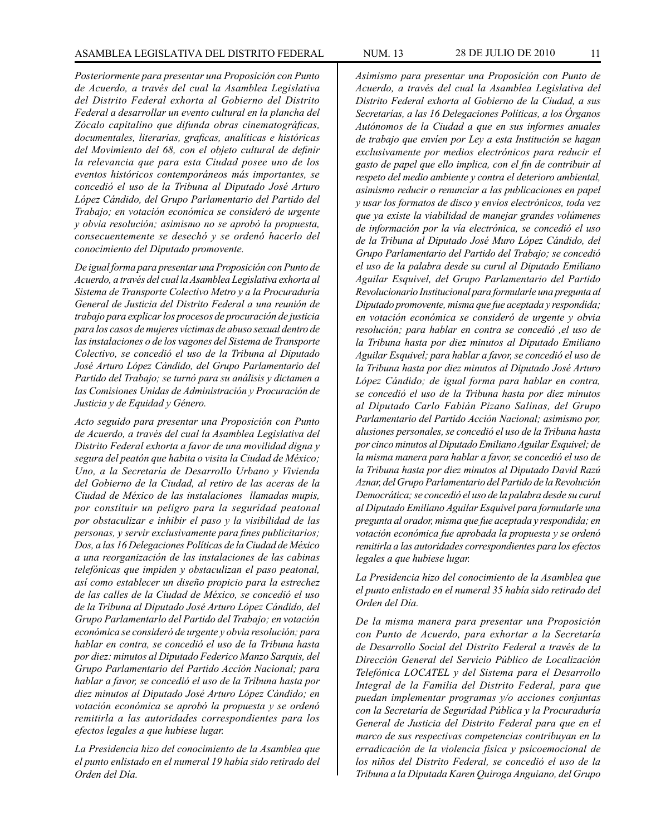*Posteriormente para presentar una Proposición con Punto de Acuerdo, a través del cual la Asamblea Legislativa del Distrito Federal exhorta al Gobierno del Distrito Federal a desarrollar un evento cultural en la plancha del Zócalo capitalino que difunda obras cinematográficas, documentales, literarias, graficas, analíticas e históricas del Movimiento del 68, con el objeto cultural de definir la relevancia que para esta Ciudad posee uno de los eventos históricos contemporáneos más importantes, se concedió el uso de la Tribuna al Diputado José Arturo López Cándido, del Grupo Parlamentario del Partido del Trabajo; en votación económica se consideró de urgente y obvia resolución; asimismo no se aprobó la propuesta, consecuentemente se desechó y se ordenó hacerlo del conocimiento del Diputado promovente.*

*De igual forma para presentar una Proposición con Punto de Acuerdo, a través del cual la Asamblea Legislativa exhorta al Sistema de Transporte Colectivo Metro y a la Procuraduría General de Justicia del Distrito Federal a una reunión de trabajo para explicar los procesos de procuración de justicia para los casos de mujeres víctimas de abuso sexual dentro de las instalaciones o de los vagones del Sistema de Transporte Colectivo, se concedió el uso de la Tribuna al Diputado José Arturo López Cándido, del Grupo Parlamentario del Partido del Trabajo; se turnó para su análisis y dictamen a las Comisiones Unidas de Administración y Procuración de Justicia y de Equidad y Género.*

*Acto seguido para presentar una Proposición con Punto de Acuerdo, a través del cual la Asamblea Legislativa del Distrito Federal exhorta a favor de una movilidad digna y segura del peatón que habita o visita la Ciudad de México; Uno, a la Secretaría de Desarrollo Urbano y Vivienda del Gobierno de la Ciudad, al retiro de las aceras de la Ciudad de México de las instalaciones llamadas mupis, por constituir un peligro para la seguridad peatonal por obstaculizar e inhibir el paso y la visibilidad de las personas, y servir exclusivamente para fines publicitarios; Dos, a las 16 Delegaciones Políticas de la Ciudad de México a una reorganización de las instalaciones de las cabinas telefónicas que impiden y obstaculizan el paso peatonal, así como establecer un diseño propicio para la estrechez de las calles de la Ciudad de México, se concedió el uso de la Tribuna al Diputado José Arturo López Cándido, del Grupo Parlamentarlo del Partido del Trabajo; en votación económica se consideró de urgente y obvia resolución; para hablar en contra, se concedió el uso de la Tribuna hasta por diez: minutos al Diputado Federico Manzo Sarquis, del Grupo Parlamentario del Partido Acción Nacional; para hablar a favor, se concedió el uso de la Tribuna hasta por diez minutos al Diputado José Arturo López Cándido; en votación económica se aprobó la propuesta y se ordenó remitirla a las autoridades correspondientes para los efectos legales a que hubiese lugar.*

*La Presidencia hizo del conocimiento de la Asamblea que el punto enlistado en el numeral 19 había sido retirado del Orden del Día.*

*Asimismo para presentar una Proposición con Punto de Acuerdo, a través del cual la Asamblea Legislativa del Distrito Federal exhorta al Gobierno de la Ciudad, a sus Secretarías, a las 16 Delegaciones Políticas, a los Órganos Autónomos de la Ciudad a que en sus informes anuales de trabajo que envíen por Ley a esta Institución se hagan exclusivamente por medios electrónicos para reducir el gasto de papel que ello implica, con el fin de contribuir al respeto del medio ambiente y contra el deterioro ambiental, asimismo reducir o renunciar a las publicaciones en papel y usar los formatos de disco y envíos electrónicos, toda vez que ya existe la viabilidad de manejar grandes volúmenes de información por la vía electrónica, se concedió el uso de la Tribuna al Diputado José Muro López Cándido, del Grupo Parlamentario del Partido del Trabajo; se concedió el uso de la palabra desde su curul al Diputado Emiliano Aguilar Esquivel, del Grupo Parlamentario del Partido Revolucionario Institucional para formularle una pregunta al Diputado promovente, misma que fue aceptada y respondida; en votación económica se consideró de urgente y obvia resolución; para hablar en contra se concedió ,el uso de la Tribuna hasta por diez minutos al Diputado Emiliano Aguilar Esquivel; para hablar a favor, se concedió el uso de la Tribuna hasta por diez minutos al Diputado José Arturo López Cándido; de igual forma para hablar en contra, se concedió el uso de la Tribuna hasta por diez minutos al Diputado Carlo Fabián Pizano Salinas, del Grupo Parlamentario del Partido Acción Nacional; asimismo por, alusiones personales, se concedió el uso de la Tribuna hasta por cinco minutos al Diputado Emiliano Aguilar Esquivel; de la misma manera para hablar a favor, se concedió el uso de la Tribuna hasta por diez minutos al Diputado David Razú Aznar, del Grupo Parlamentario del Partido de la Revolución Democrática; se concedió el uso de la palabra desde su curul al Diputado Emiliano Aguilar Esquivel para formularle una pregunta al orador, misma que fue aceptada y respondida; en votación económica fue aprobada la propuesta y se ordenó remitirla a las autoridades correspondientes para los efectos legales a que hubiese lugar.*

*La Presidencia hizo del conocimiento de la Asamblea que el punto enlistado en el numeral 35 había sido retirado del Orden del Día.*

*De la misma manera para presentar una Proposición con Punto de Acuerdo, para exhortar a la Secretaría de Desarrollo Social del Distrito Federal a través de la Dirección General del Servicio Público de Localización Telefónica LOCATEL y del Sistema para el Desarrollo Integral de la Familia del Distrito Federal, para que puedan implementar programas y/o acciones conjuntas con la Secretaría de Seguridad Pública y la Procuraduría General de Justicia del Distrito Federal para que en el marco de sus respectivas competencias contribuyan en la erradicación de la violencia física y psicoemocional de los niños del Distrito Federal, se concedió el uso de la Tribuna a la Diputada Karen Quiroga Anguiano, del Grupo*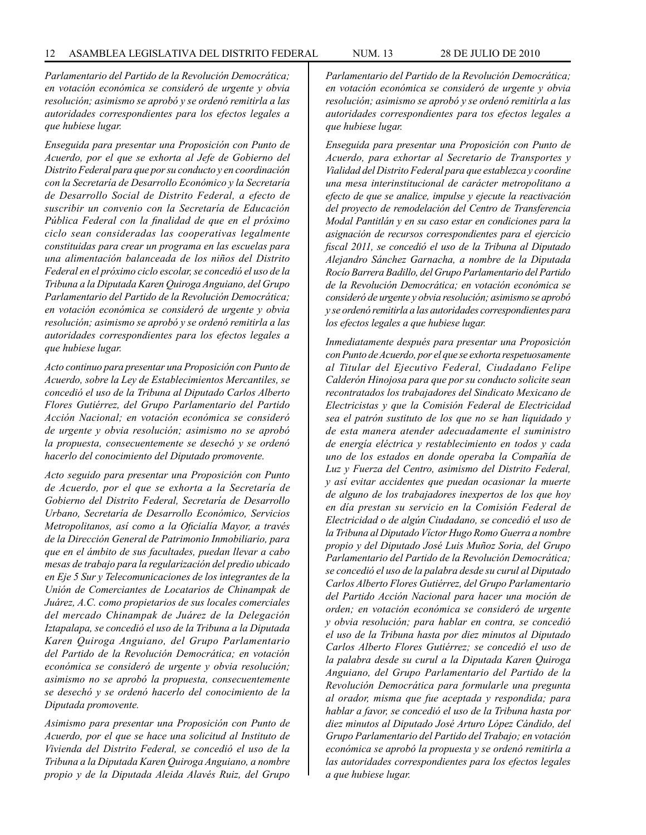*Parlamentario del Partido de la Revolución Democrática; en votación económica se consideró de urgente y obvia resolución; asimismo se aprobó y se ordenó remitirla a las autoridades correspondientes para los efectos legales a que hubiese lugar.*

*Enseguida para presentar una Proposición con Punto de Acuerdo, por el que se exhorta al Jefe de Gobierno del Distrito Federal para que por su conducto y en coordinación con la Secretaría de Desarrollo Económico y la Secretaría de Desarrollo Social de Distrito Federal, a efecto de suscribir un convenio con la Secretaría de Educación Pública Federal con la finalidad de que en el próximo ciclo sean consideradas las cooperativas legalmente constituidas para crear un programa en las escuelas para una alimentación balanceada de los niños del Distrito Federal en el próximo ciclo escolar, se concedió el uso de la Tribuna a la Diputada Karen Quiroga Anguiano, del Grupo Parlamentario del Partido de la Revolución Democrática; en votación económica se consideró de urgente y obvia resolución; asimismo se aprobó y se ordenó remitirla a las autoridades correspondientes para los efectos legales a que hubiese lugar.*

*Acto continuo para presentar una Proposición con Punto de Acuerdo, sobre la Ley de Establecimientos Mercantiles, se concedió el uso de la Tribuna al Diputado Carlos Alberto Flores Gutiérrez, del Grupo Parlamentario del Partido Acción Nacional; en votación económica se consideró de urgente y obvia resolución; asimismo no se aprobó la propuesta, consecuentemente se desechó y se ordenó hacerlo del conocimiento del Diputado promovente.*

*Acto seguido para presentar una Proposición con Punto de Acuerdo, por el que se exhorta a la Secretaría de Gobierno del Distrito Federal, Secretaría de Desarrollo Urbano, Secretaría de Desarrollo Económico, Servicios Metropolitanos, así como a la Oficialía Mayor, a través de la Dirección General de Patrimonio Inmobiliario, para que en el ámbito de sus facultades, puedan llevar a cabo mesas de trabajo para la regularización del predio ubicado en Eje 5 Sur y Telecomunicaciones de los integrantes de la Unión de Comerciantes de Locatarios de Chinampak de Juárez, A.C. como propietarios de sus locales comerciales del mercado Chinampak de Juárez de la Delegación Iztapalapa, se concedió el uso de la Tribuna a la Diputada Karen Quiroga Anguiano, del Grupo Parlamentario del Partido de la Revolución Democrática; en votación económica se consideró de urgente y obvia resolución; asimismo no se aprobó la propuesta, consecuentemente se desechó y se ordenó hacerlo del conocimiento de la Diputada promovente.*

*Asimismo para presentar una Proposición con Punto de Acuerdo, por el que se hace una solicitud al Instituto de Vivienda del Distrito Federal, se concedió el uso de la Tribuna a la Diputada Karen Quiroga Anguiano, a nombre propio y de la Diputada Aleida Alavés Ruiz, del Grupo* 

*Parlamentario del Partido de la Revolución Democrática; en votación económica se consideró de urgente y obvia resolución; asimismo se aprobó y se ordenó remitirla a las autoridades correspondientes para tos efectos legales a que hubiese lugar.*

*Enseguida para presentar una Proposición con Punto de Acuerdo, para exhortar al Secretario de Transportes y Vialidad del Distrito Federal para que establezca y coordine una mesa interinstitucional de carácter metropolitano a efecto de que se analice, impulse y ejecute la reactivación del proyecto de remodelación del Centro de Transferencia Modal Pantitlán y en su caso estar en condiciones para la asignación de recursos correspondientes para el ejercicio fiscal 2011, se concedió el uso de la Tribuna al Diputado Alejandro Sánchez Garnacha, a nombre de la Diputada Rocío Barrera Badillo, del Grupo Parlamentario del Partido de la Revolución Democrática; en votación económica se consideró de urgente y obvia resolución; asimismo se aprobó y se ordenó remitirla a las autoridades correspondientes para los efectos legales a que hubiese lugar.*

*Inmediatamente después para presentar una Proposición con Punto de Acuerdo, por el que se exhorta respetuosamente al Titular del Ejecutivo Federal, Ciudadano Felipe Calderón Hinojosa para que por su conducto solicite sean recontratados los trabajadores del Sindicato Mexicano de Electricistas y que la Comisión Federal de Electricidad sea el patrón sustituto de los que no se han liquidado y de esta manera atender adecuadamente el suministro de energía eléctrica y restablecimiento en todos y cada uno de los estados en donde operaba la Compañía de Luz y Fuerza del Centro, asimismo del Distrito Federal, y así evitar accidentes que puedan ocasionar la muerte de alguno de los trabajadores inexpertos de los que hoy en día prestan su servicio en la Comisión Federal de Electricidad o de algún Ciudadano, se concedió el uso de la Tribuna al Diputado Víctor Hugo Romo Guerra a nombre propio y del Diputado José Luis Muñoz Soria, del Grupo Parlamentario del Partido de la Revolución Democrática; se concedió el uso de la palabra desde su curul al Diputado Carlos Alberto Flores Gutiérrez, del Grupo Parlamentario del Partido Acción Nacional para hacer una moción de orden; en votación económica se consideró de urgente y obvia resolución; para hablar en contra, se concedió el uso de la Tribuna hasta por diez minutos al Diputado Carlos Alberto Flores Gutiérrez; se concedió el uso de la palabra desde su curul a la Diputada Karen Quiroga Anguiano, del Grupo Parlamentario del Partido de la Revolución Democrática para formularle una pregunta al orador, misma que fue aceptada y respondida; para hablar a favor, se concedió el uso de la Tribuna hasta por diez minutos al Diputado José Arturo López Cándido, del Grupo Parlamentario del Partido del Trabajo; en votación económica se aprobó la propuesta y se ordenó remitirla a las autoridades correspondientes para los efectos legales a que hubiese lugar.*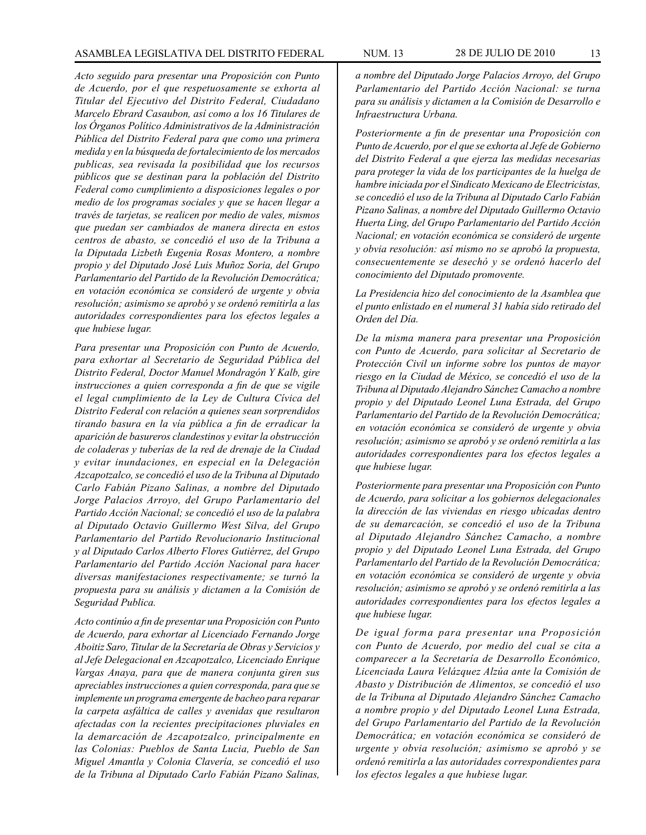#### ASAMBLEA LEGISLATIVA DEL DISTRITO FEDERAL NUM. 13 28 de JULIo DE 2010 13

*Acto seguido para presentar una Proposición con Punto de Acuerdo, por el que respetuosamente se exhorta al Titular del Ejecutivo del Distrito Federal, Ciudadano Marcelo Ebrard Casaubon, así como a los 16 Titulares de los Órganos Político Administrativos de la Administración Pública del Distrito Federal para que como una primera medida y en la búsqueda de fortalecimiento de los mercados publicas, sea revisada la posibilidad que los recursos públicos que se destinan para la población del Distrito Federal como cumplimiento a disposiciones legales o por medio de los programas sociales y que se hacen llegar a través de tarjetas, se realicen por medio de vales, mismos que puedan ser cambiados de manera directa en estos centros de abasto, se concedió el uso de la Tribuna a la Diputada Lizbeth Eugenia Rosas Montero, a nombre propio y del Diputado José Luis Muñoz Soria, del Grupo Parlamentario del Partido de la Revolución Democrática; en votación económica se consideró de urgente y obvia resolución; asimismo se aprobó y se ordenó remitirla a las autoridades correspondientes para los efectos legales a que hubiese lugar.*

*Para presentar una Proposición con Punto de Acuerdo, para exhortar al Secretario de Seguridad Pública del Distrito Federal, Doctor Manuel Mondragón Y Kalb, gire instrucciones a quien corresponda a fin de que se vigile el legal cumplimiento de la Ley de Cultura Cívica del Distrito Federal con relación a quienes sean sorprendidos tirando basura en la vía pública a fin de erradicar la aparición de basureros clandestinos y evitar la obstrucción de coladeras y tuberías de la red de drenaje de la Ciudad y evitar inundaciones, en especial en la Delegación Azcapotzalco, se concedió el uso de la Tribuna al Diputado Carlo Fabián Pizano Salinas, a nombre del Diputado Jorge Palacios Arroyo, del Grupo Parlamentario del Partido Acción Nacional; se concedió el uso de la palabra al Diputado Octavio Guillermo West Silva, del Grupo Parlamentario del Partido Revolucionario Institucional y al Diputado Carlos Alberto Flores Gutiérrez, del Grupo Parlamentario del Partido Acción Nacional para hacer diversas manifestaciones respectivamente; se turnó la propuesta para su análisis y dictamen a la Comisión de Seguridad Publica.*

*Acto continúo a fin de presentar una Proposición con Punto de Acuerdo, para exhortar al Licenciado Fernando Jorge Aboitiz Saro, Titular de la Secretaría de Obras y Servicios y al Jefe Delegacional en Azcapotzalco, Licenciado Enrique Vargas Anaya, para que de manera conjunta giren sus apreciables instrucciones a quien corresponda, para que se implemente un programa emergente de bacheo para reparar la carpeta asfáltica de calles y avenidas que resultaron afectadas con la recientes precipitaciones pluviales en la demarcación de Azcapotzalco, principalmente en las Colonias: Pueblos de Santa Lucia, Pueblo de San Miguel Amantla y Colonia Clavería, se concedió el uso de la Tribuna al Diputado Carlo Fabián Pizano Salinas,*  *a nombre del Diputado Jorge Palacios Arroyo, del Grupo Parlamentario del Partido Acción Nacional: se turna para su análisis y dictamen a la Comisión de Desarrollo e Infraestructura Urbana.*

*Posteriormente a fin de presentar una Proposición con Punto de Acuerdo, por el que se exhorta al Jefe de Gobierno del Distrito Federal a que ejerza las medidas necesarias para proteger la vida de los participantes de la huelga de hambre iniciada por el Sindicato Mexicano de Electricistas, se concedió el uso de la Tribuna al Diputado Carlo Fabián Pizano Salinas, a nombre del Diputado Guillermo Octavio Huerta Ling, del Grupo Parlamentario del Partido Acción Nacional; en votación económica se consideró de urgente y obvia resolución: así mismo no se aprobó la propuesta, consecuentemente se desechó y se ordenó hacerlo del conocimiento del Diputado promovente.*

*La Presidencia hizo del conocimiento de la Asamblea que el punto enlistado en el numeral 31 había sido retirado del Orden del Día.*

*De la misma manera para presentar una Proposición con Punto de Acuerdo, para solicitar al Secretario de Protección Civil un informe sobre los puntos de mayor riesgo en la Ciudad de México, se concedió el uso de la Tribuna al Diputado Alejandro Sánchez Camacho a nombre propio y del Diputado Leonel Luna Estrada, del Grupo Parlamentario del Partido de la Revolución Democrática; en votación económica se consideró de urgente y obvia resolución; asimismo se aprobó y se ordenó remitirla a las autoridades correspondientes para los efectos legales a que hubiese lugar.*

*Posteriormente para presentar una Proposición con Punto de Acuerdo, para solicitar a los gobiernos delegacionales la dirección de las viviendas en riesgo ubicadas dentro de su demarcación, se concedió el uso de la Tribuna al Diputado Alejandro Sánchez Camacho, a nombre propio y del Diputado Leonel Luna Estrada, del Grupo Parlamentarlo del Partido de la Revolución Democrática; en votación económica se consideró de urgente y obvia resolución; asimismo se aprobó y se ordenó remitirla a las autoridades correspondientes para los efectos legales a que hubiese lugar.*

*De igual forma para presentar una Proposición con Punto de Acuerdo, por medio del cual se cita a comparecer a la Secretaría de Desarrollo Económico, Licenciada Laura Velázquez Alzúa ante la Comisión de Abasto y Distribución de Alimentos, se concedió el uso de la Tribuna al Diputado Alejandro Sánchez Camacho a nombre propio y del Diputado Leonel Luna Estrada, del Grupo Parlamentario del Partido de la Revolución Democrática; en votación económica se consideró de urgente y obvia resolución; asimismo se aprobó y se ordenó remitirla a las autoridades correspondientes para los efectos legales a que hubiese lugar.*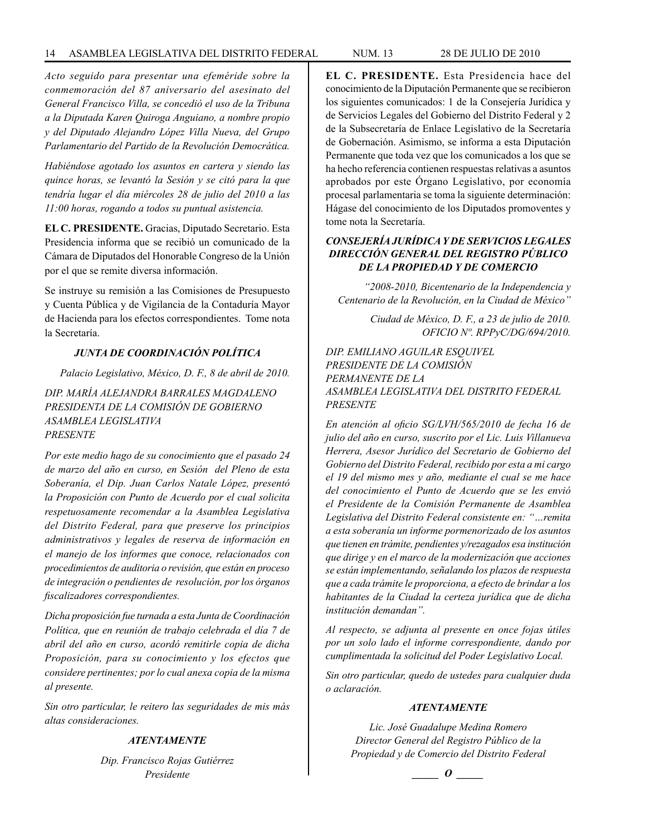*Acto seguido para presentar una efeméride sobre la conmemoración del 87 aniversario del asesinato del General Francisco Villa, se concedió el uso de la Tribuna a la Diputada Karen Quiroga Anguiano, a nombre propio y del Diputado Alejandro López Villa Nueva, del Grupo Parlamentario del Partido de la Revolución Democrática.*

*Habiéndose agotado los asuntos en cartera y siendo las quince horas, se levantó la Sesión y se citó para la que tendría lugar el día miércoles 28 de julio del 2010 a las 11:00 horas, rogando a todos su puntual asistencia.*

**EL C. PRESIDENTE.** Gracias, Diputado Secretario. Esta Presidencia informa que se recibió un comunicado de la Cámara de Diputados del Honorable Congreso de la Unión por el que se remite diversa información.

Se instruye su remisión a las Comisiones de Presupuesto y Cuenta Pública y de Vigilancia de la Contaduría Mayor de Hacienda para los efectos correspondientes. Tome nota la Secretaría.

# *JUNTA DE COORDINACIÓN POLÍTICA*

*Palacio Legislativo, México, D. F., 8 de abril de 2010.*

*DIP. MARÍA ALEJANDRA BARRALES MAGDALENO PRESIDENTA DE LA COMISIÓN DE GOBIERNO ASAMBLEA LEGISLATIVA PRESENTE*

*Por este medio hago de su conocimiento que el pasado 24 de marzo del año en curso, en Sesión del Pleno de esta Soberanía, el Dip. Juan Carlos Natale López, presentó la Proposición con Punto de Acuerdo por el cual solicita respetuosamente recomendar a la Asamblea Legislativa del Distrito Federal, para que preserve los principios administrativos y legales de reserva de información en el manejo de los informes que conoce, relacionados con procedimientos de auditoria o revisión, que están en proceso de integración o pendientes de resolución, por los órganos fiscalizadores correspondientes.*

*Dicha proposición fue turnada a esta Junta de Coordinación Política, que en reunión de trabajo celebrada el día 7 de abril del año en curso, acordó remitirle copia de dicha Proposición, para su conocimiento y los efectos que considere pertinentes; por lo cual anexa copia de la misma al presente.*

*Sin otro particular, le reitero las seguridades de mis más altas consideraciones.*

# *ATENTAMENTE*

*Dip. Francisco Rojas Gutiérrez Presidente*

**EL C. PRESIDENTE.** Esta Presidencia hace del conocimiento de la Diputación Permanente que se recibieron los siguientes comunicados: 1 de la Consejería Jurídica y de Servicios Legales del Gobierno del Distrito Federal y 2 de la Subsecretaría de Enlace Legislativo de la Secretaría de Gobernación. Asimismo, se informa a esta Diputación Permanente que toda vez que los comunicados a los que se ha hecho referencia contienen respuestas relativas a asuntos aprobados por este Órgano Legislativo, por economía procesal parlamentaria se toma la siguiente determinación: Hágase del conocimiento de los Diputados promoventes y tome nota la Secretaría.

# *CONSEJERÍA JURÍDICA Y DE SERVICIOS LEGALES DIRECCIÓN GENERAL DEL REGISTRO PÚBLICO DE LA PROPIEDAD Y DE COMERCIO*

*"2008-2010, Bicentenario de la Independencia y Centenario de la Revolución, en la Ciudad de México"*

> *Ciudad de México, D. F., a 23 de julio de 2010. OFICIO Nº. RPPyC/DG/694/2010.*

*DIP. EMILIANO AGUILAR ESQUIVEL PRESIDENTE DE LA COMISIÓN PERMANENTE DE LA ASAMBLEA LEGISLATIVA DEL DISTRITO FEDERAL PRESENTE*

*En atención al oficio SG/LVH/565/2010 de fecha 16 de julio del año en curso, suscrito por el Lic. Luis Villanueva Herrera, Asesor Jurídico del Secretario de Gobierno del Gobierno del Distrito Federal, recibido por esta a mi cargo el 19 del mismo mes y año, mediante el cual se me hace del conocimiento el Punto de Acuerdo que se les envió el Presidente de la Comisión Permanente de Asamblea Legislativa del Distrito Federal consistente en: "…remita a esta soberanía un informe pormenorizado de los asuntos que tienen en trámite, pendientes y/rezagados esa institución que dirige y en el marco de la modernización que acciones se están implementando, señalando los plazos de respuesta que a cada trámite le proporciona, a efecto de brindar a los habitantes de la Ciudad la certeza jurídica que de dicha institución demandan".*

*Al respecto, se adjunta al presente en once fojas útiles por un solo lado el informe correspondiente, dando por cumplimentada la solicitud del Poder Legislativo Local.*

*Sin otro particular, quedo de ustedes para cualquier duda o aclaración.*

## *ATENTAMENTE*

*Lic. José Guadalupe Medina Romero Director General del Registro Público de la Propiedad y de Comercio del Distrito Federal*

*\_\_\_\_\_ O \_\_\_\_\_*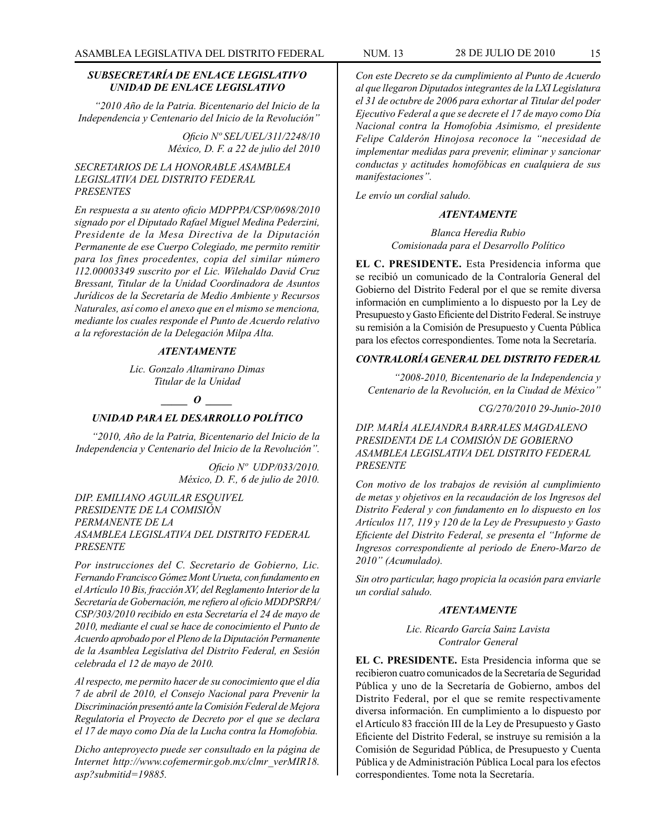# *SUBSECRETARÍA DE ENLACE LEGISLATIVO UNIDAD DE ENLACE LEGISLATIVO*

*"2010 Año de la Patria. Bicentenario del Inicio de la Independencia y Centenario del Inicio de la Revolución"*

> *Oficio Nº SEL/UEL/311/2248/10 México, D. F. a 22 de julio del 2010*

# *SECRETARIOS DE LA HONORABLE ASAMBLEA LEGISLATIVA DEL DISTRITO FEDERAL PRESENTES*

*En respuesta a su atento oficio MDPPPA/CSP/0698/2010 signado por el Diputado Rafael Miguel Medina Pederzini, Presidente de la Mesa Directiva de la Diputación Permanente de ese Cuerpo Colegiado, me permito remitir para los fines procedentes, copia del similar número 112.00003349 suscrito por el Lic. Wilehaldo David Cruz Bressant, Titular de la Unidad Coordinadora de Asuntos Jurídicos de la Secretaría de Medio Ambiente y Recursos Naturales, así como el anexo que en el mismo se menciona, mediante los cuales responde el Punto de Acuerdo relativo a la reforestación de la Delegación Milpa Alta.*

# *ATENTAMENTE*

*Lic. Gonzalo Altamirano Dimas Titular de la Unidad*

# *\_\_\_\_\_ O \_\_\_\_\_ UNIDAD PARA EL DESARROLLO POLÍTICO*

 *"2010, Año de la Patria, Bicentenario del Inicio de la Independencia y Centenario del Inicio de la Revolución".*

> *Oficio Nº UDP/033/2010. México, D. F., 6 de julio de 2010.*

# *DIP. EMILIANO AGUILAR ESQUIVEL PRESIDENTE DE LA COMISIÓN PERMANENTE DE LA ASAMBLEA LEGISLATIVA DEL DISTRITO FEDERAL PRESENTE*

*Por instrucciones del C. Secretario de Gobierno, Lic. Fernando Francisco Gómez Mont Urueta, con fundamento en el Artículo 10 Bis, fracción XV, del Reglamento Interior de la Secretaría de Gobernación, me refiero al oficio MDDPSRPA/ CSP/303/2010 recibido en esta Secretaría el 24 de mayo de 2010, mediante el cual se hace de conocimiento el Punto de Acuerdo aprobado por el Pleno de la Diputación Permanente de la Asamblea Legislativa del Distrito Federal, en Sesión celebrada el 12 de mayo de 2010.*

*Al respecto, me permito hacer de su conocimiento que el día 7 de abril de 2010, el Consejo Nacional para Prevenir la Discriminación presentó ante la Comisión Federal de Mejora Regulatoria el Proyecto de Decreto por el que se declara el 17 de mayo como Día de la Lucha contra la Homofobia.*

*Dicho anteproyecto puede ser consultado en la página de Internet http://www.cofemermir.gob.mx/clmr\_verMIR18. asp?submitid=19885.*

*Con este Decreto se da cumplimiento al Punto de Acuerdo al que llegaron Diputados integrantes de la LXI Legislatura el 31 de octubre de 2006 para exhortar al Titular del poder Ejecutivo Federal a que se decrete el 17 de mayo como Día Nacional contra la Homofobia Asimismo, el presidente Felipe Calderón Hinojosa reconoce la "necesidad de implementar medidas para prevenir, eliminar y sancionar conductas y actitudes homofóbicas en cualquiera de sus manifestaciones".*

*Le envío un cordial saludo.*

# *ATENTAMENTE*

*Blanca Heredia Rubio Comisionada para el Desarrollo Político*

**EL C. PRESIDENTE.** Esta Presidencia informa que se recibió un comunicado de la Contraloría General del Gobierno del Distrito Federal por el que se remite diversa información en cumplimiento a lo dispuesto por la Ley de Presupuesto y Gasto Eficiente del Distrito Federal. Se instruye su remisión a la Comisión de Presupuesto y Cuenta Pública para los efectos correspondientes. Tome nota la Secretaría.

# *CONTRALORÍA GENERAL DEL DISTRITO FEDERAL*

*"2008-2010, Bicentenario de la Independencia y Centenario de la Revolución, en la Ciudad de México"*

*CG/270/2010 29-Junio-2010*

*DIP. MARÍA ALEJANDRA BARRALES MAGDALENO PRESIDENTA DE LA COMISIÓN DE GOBIERNO ASAMBLEA LEGISLATIVA DEL DISTRITO FEDERAL PRESENTE*

*Con motivo de los trabajos de revisión al cumplimiento de metas y objetivos en la recaudación de los Ingresos del Distrito Federal y con fundamento en lo dispuesto en los Artículos 117, 119 y 120 de la Ley de Presupuesto y Gasto Eficiente del Distrito Federal, se presenta el "Informe de Ingresos correspondiente al periodo de Enero-Marzo de 2010" (Acumulado).*

*Sin otro particular, hago propicia la ocasión para enviarle un cordial saludo.*

#### *ATENTAMENTE*

*Lic. Ricardo García Sainz Lavista Contralor General*

**EL C. PRESIDENTE.** Esta Presidencia informa que se recibieron cuatro comunicados de la Secretaría de Seguridad Pública y uno de la Secretaría de Gobierno, ambos del Distrito Federal, por el que se remite respectivamente diversa información. En cumplimiento a lo dispuesto por el Artículo 83 fracción III de la Ley de Presupuesto y Gasto Eficiente del Distrito Federal, se instruye su remisión a la Comisión de Seguridad Pública, de Presupuesto y Cuenta Pública y de Administración Pública Local para los efectos correspondientes. Tome nota la Secretaría.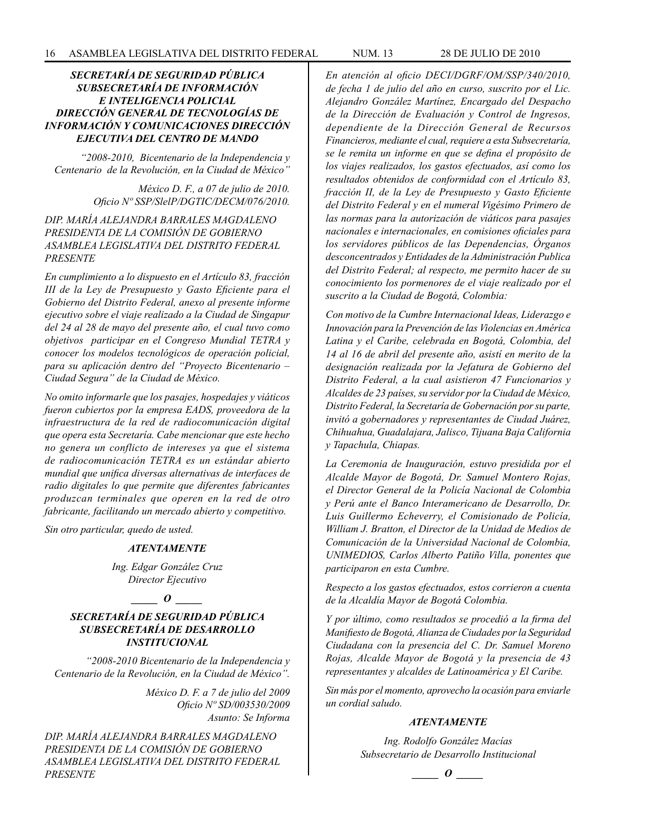# *SECRETARÍA DE SEGURIDAD PÚBLICA SUBSECRETARÍA DE INFORMACIÓN E INTELIGENCIA POLICIAL DIRECCIÓN GENERAL DE TECNOLOGÍAS DE INFORMACIÓN Y COMUNICACIONES DIRECCIÓN EJECUTIVA DEL CENTRO DE MANDO*

*"2008-2010, Bicentenario de la Independencia y Centenario de la Revolución, en la Ciudad de México"*

> *México D. F., a 07 de julio de 2010. Oficio Nº SSP/SlelP/DGTIC/DECM/076/2010.*

# *DIP. MARÍA ALEJANDRA BARRALES MAGDALENO PRESIDENTA DE LA COMISIÓN DE GOBIERNO ASAMBLEA LEGISLATIVA DEL DISTRITO FEDERAL PRESENTE*

*En cumplimiento a lo dispuesto en el Artículo 83, fracción III de la Ley de Presupuesto y Gasto Eficiente para el Gobierno del Distrito Federal, anexo al presente informe ejecutivo sobre el viaje realizado a la Ciudad de Singapur del 24 al 28 de mayo del presente año, el cual tuvo como objetivos participar en el Congreso Mundial TETRA y conocer los modelos tecnológicos de operación policial, para su aplicación dentro del "Proyecto Bicentenario – Ciudad Segura" de la Ciudad de México.*

*No omito informarle que los pasajes, hospedajes y viáticos fueron cubiertos por la empresa EADS, proveedora de la infraestructura de la red de radiocomunicación digital que opera esta Secretaría. Cabe mencionar que este hecho no genera un conflicto de intereses ya que el sistema de radiocomunicación TETRA es un estándar abierto mundial que unifica diversas alternativas de interfaces de radio digitales lo que permite que diferentes fabricantes produzcan terminales que operen en la red de otro fabricante, facilitando un mercado abierto y competitivo.*

*Sin otro particular, quedo de usted.*

#### *ATENTAMENTE*

*Ing. Edgar González Cruz Director Ejecutivo*

*\_\_\_\_\_ O \_\_\_\_\_*

# *SECRETARÍA DE SEGURIDAD PÚBLICA SUBSECRETARÍA DE DESARROLLO INSTITUCIONAL*

*"2008-2010 Bicentenario de la Independencia y Centenario de la Revolución, en la Ciudad de México".*

> *México D. F. a 7 de julio del 2009 Oficio Nº SD/003530/2009 Asunto: Se Informa*

*DIP. MARÍA ALEJANDRA BARRALES MAGDALENO PRESIDENTA DE LA COMISIÓN DE GOBIERNO ASAMBLEA LEGISLATIVA DEL DISTRITO FEDERAL PRESENTE*

*En atención al oficio DECI/DGRF/OM/SSP/340/2010, de fecha 1 de julio del año en curso, suscrito por el Lic. Alejandro González Martínez, Encargado del Despacho de la Dirección de Evaluación y Control de Ingresos, dependiente de la Dirección General de Recursos Financieros, mediante el cual, requiere a esta Subsecretaría, se le remita un informe en que se defina el propósito de los viajes realizados, los gastos efectuados, así como los resultados obtenidos de conformidad con el Artículo 83, fracción II, de la Ley de Presupuesto y Gasto Eficiente del Distrito Federal y en el numeral Vigésimo Primero de las normas para la autorización de viáticos para pasajes nacionales e internacionales, en comisiones oficiales para los servidores públicos de las Dependencias, Órganos desconcentrados y Entidades de la Administración Publica del Distrito Federal; al respecto, me permito hacer de su conocimiento los pormenores de el viaje realizado por el suscrito a la Ciudad de Bogotá, Colombia:*

*Con motivo de la Cumbre Internacional Ideas, Liderazgo e Innovación para la Prevención de las Violencias en América Latina y el Caribe, celebrada en Bogotá, Colombia, del 14 al 16 de abril del presente año, asistí en merito de la designación realizada por la Jefatura de Gobierno del Distrito Federal, a la cual asistieron 47 Funcionarios y Alcaldes de 23 países, su servidor por la Ciudad de México, Distrito Federal, la Secretaría de Gobernación por su parte, invitó a gobernadores y representantes de Ciudad Juárez, Chihuahua, Guadalajara, Jalisco, Tijuana Baja California y Tapachula, Chiapas.* 

*La Ceremonia de Inauguración, estuvo presidida por el Alcalde Mayor de Bogotá, Dr. Samuel Montero Rojas, el Director General de la Policía Nacional de Colombia y Perú ante el Banco Interamericano de Desarrollo, Dr. Luis Guillermo Echeverry, el Comisionado de Policía, William J. Bratton, el Director de la Unidad de Medios de Comunicación de la Universidad Nacional de Colombia, UNIMEDIOS, Carlos Alberto Patiño Villa, ponentes que participaron en esta Cumbre.* 

*Respecto a los gastos efectuados, estos corrieron a cuenta de la Alcaldía Mayor de Bogotá Colombia.* 

*Y por último, como resultados se procedió a la firma del Manifiesto de Bogotá, Alianza de Ciudades por la Seguridad Ciudadana con la presencia del C. Dr. Samuel Moreno Rojas, Alcalde Mayor de Bogotá y la presencia de 43 representantes y alcaldes de Latinoamérica y El Caribe.* 

*Sin más por el momento, aprovecho la ocasión para enviarle un cordial saludo.*

#### *ATENTAMENTE*

*Ing. Rodolfo González Macías Subsecretario de Desarrollo Institucional*

*\_\_\_\_\_ O \_\_\_\_\_*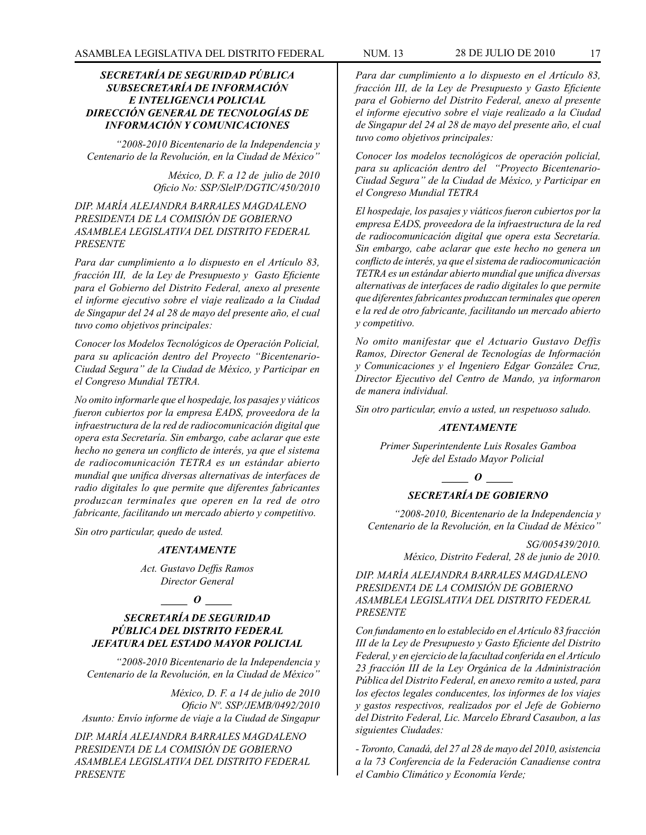# *SECRETARÍA DE SEGURIDAD PÚBLICA SUBSECRETARÍA DE INFORMACIÓN E INTELIGENCIA POLICIAL DIRECCIÓN GENERAL DE TECNOLOGÍAS DE INFORMACIÓN Y COMUNICACIONES*

*"2008-2010 Bicentenario de la Independencia y Centenario de la Revolución, en la Ciudad de México"*

> *México, D. F. a 12 de julio de 2010 Oficio No: SSP/SlelP/DGTIC/450/2010*

# *DIP. MARÍA ALEJANDRA BARRALES MAGDALENO PRESIDENTA DE LA COMISIÓN DE GOBIERNO ASAMBLEA LEGISLATIVA DEL DISTRITO FEDERAL PRESENTE*

*Para dar cumplimiento a lo dispuesto en el Artículo 83, fracción III, de la Ley de Presupuesto y Gasto Eficiente para el Gobierno del Distrito Federal, anexo al presente el informe ejecutivo sobre el viaje realizado a la Ciudad de Singapur del 24 al 28 de mayo del presente año, el cual tuvo como objetivos principales:* 

*Conocer los Modelos Tecnológicos de Operación Policial, para su aplicación dentro del Proyecto "Bicentenario-Ciudad Segura" de la Ciudad de México, y Participar en el Congreso Mundial TETRA.*

*No omito informarle que el hospedaje, los pasajes y viáticos fueron cubiertos por la empresa EADS, proveedora de la infraestructura de la red de radiocomunicación digital que opera esta Secretaría. Sin embargo, cabe aclarar que este hecho no genera un conflicto de interés, ya que el sistema de radiocomunicación TETRA es un estándar abierto mundial que unifica diversas alternativas de interfaces de radio digitales lo que permite que diferentes fabricantes produzcan terminales que operen en la red de otro fabricante, facilitando un mercado abierto y competitivo.* 

*Sin otro particular, quedo de usted.* 

#### *ATENTAMENTE*

*Act. Gustavo Deffis Ramos Director General*

#### *\_\_\_\_\_ O \_\_\_\_\_*

# *SECRETARÍA DE SEGURIDAD PÚBLICA DEL DISTRITO FEDERAL JEFATURA DEL ESTADO MAYOR POLICIAL*

*"2008-2010 Bicentenario de la Independencia y Centenario de la Revolución, en la Ciudad de México"*

*México, D. F. a 14 de julio de 2010 Oficio Nº. SSP/JEMB/0492/2010 Asunto: Envío informe de viaje a la Ciudad de Singapur*

*DIP. MARÍA ALEJANDRA BARRALES MAGDALENO PRESIDENTA DE LA COMISIÓN DE GOBIERNO ASAMBLEA LEGISLATIVA DEL DISTRITO FEDERAL PRESENTE*

*Para dar cumplimiento a lo dispuesto en el Artículo 83, fracción III, de la Ley de Presupuesto y Gasto Eficiente para el Gobierno del Distrito Federal, anexo al presente el informe ejecutivo sobre el viaje realizado a la Ciudad de Singapur del 24 al 28 de mayo del presente año, el cual tuvo como objetivos principales:*

*Conocer los modelos tecnológicos de operación policial, para su aplicación dentro del "Proyecto Bicentenario-Ciudad Segura" de la Ciudad de México, y Participar en el Congreso Mundial TETRA*

*El hospedaje, los pasajes y viáticos fueron cubiertos por la empresa EADS, proveedora de la infraestructura de la red de radiocomunicación digital que opera esta Secretaría. Sin embargo, cabe aclarar que este hecho no genera un conflicto de interés, ya que el sistema de radiocomunicación TETRA es un estándar abierto mundial que unifica diversas alternativas de interfaces de radio digitales lo que permite que diferentes fabricantes produzcan terminales que operen e la red de otro fabricante, facilitando un mercado abierto y competitivo.* 

*No omito manifestar que el Actuario Gustavo Deffis Ramos, Director General de Tecnologías de Información y Comunicaciones y el Ingeniero Edgar González Cruz, Director Ejecutivo del Centro de Mando, ya informaron de manera individual.* 

*Sin otro particular, envío a usted, un respetuoso saludo.*

#### *ATENTAMENTE*

*Primer Superintendente Luis Rosales Gamboa Jefe del Estado Mayor Policial*

*\_\_\_\_\_ O \_\_\_\_\_*

# *SECRETARÍA DE GOBIERNO*

*"2008-2010, Bicentenario de la Independencia y Centenario de la Revolución, en la Ciudad de México"*

> *SG/005439/2010. México, Distrito Federal, 28 de junio de 2010.*

*DIP. MARÍA ALEJANDRA BARRALES MAGDALENO PRESIDENTA DE LA COMISIÓN DE GOBIERNO ASAMBLEA LEGISLATIVA DEL DISTRITO FEDERAL PRESENTE*

*Con fundamento en lo establecido en el Artículo 83 fracción III de la Ley de Presupuesto y Gasto Eficiente del Distrito Federal, y en ejercicio de la facultad conferida en el Artículo 23 fracción III de la Ley Orgánica de la Administración Pública del Distrito Federal, en anexo remito a usted, para los efectos legales conducentes, los informes de los viajes y gastos respectivos, realizados por el Jefe de Gobierno del Distrito Federal, Lic. Marcelo Ebrard Casaubon, a las siguientes Ciudades:*

*- Toronto, Canadá, del 27 al 28 de mayo del 2010, asistencia a la 73 Conferencia de la Federación Canadiense contra el Cambio Climático y Economía Verde;*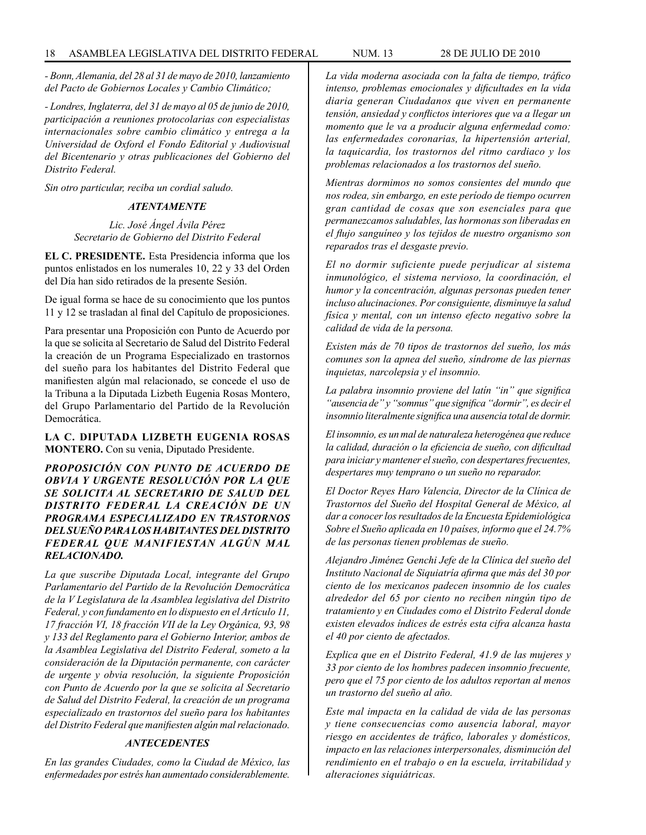*- Bonn, Alemania, del 28 al 31 de mayo de 2010, lanzamiento del Pacto de Gobiernos Locales y Cambio Climático;*

*- Londres, Inglaterra, del 31 de mayo al 05 de junio de 2010, participación a reuniones protocolarias con especialistas internacionales sobre cambio climático y entrega a la Universidad de Oxford el Fondo Editorial y Audiovisual del Bicentenario y otras publicaciones del Gobierno del Distrito Federal.*

*Sin otro particular, reciba un cordial saludo.*

# *ATENTAMENTE*

*Lic. José Ángel Ávila Pérez Secretario de Gobierno del Distrito Federal*

**EL C. PRESIDENTE.** Esta Presidencia informa que los puntos enlistados en los numerales 10, 22 y 33 del Orden del Día han sido retirados de la presente Sesión.

De igual forma se hace de su conocimiento que los puntos 11 y 12 se trasladan al final del Capítulo de proposiciones.

Para presentar una Proposición con Punto de Acuerdo por la que se solicita al Secretario de Salud del Distrito Federal la creación de un Programa Especializado en trastornos del sueño para los habitantes del Distrito Federal que manifiesten algún mal relacionado, se concede el uso de la Tribuna a la Diputada Lizbeth Eugenia Rosas Montero, del Grupo Parlamentario del Partido de la Revolución Democrática.

**LA C. DIPUTADA LIZBETH EUGENIA ROSAS MONTERO.** Con su venia, Diputado Presidente.

*PROPOSICIÓN CON PUNTO DE ACUERDO DE OBVIA Y URGENTE RESOLUCIÓN POR LA QUE SE SOLICITA AL SECRETARIO DE SALUD DEL DISTRITO FEDERAL LA CREACIÓN DE UN PROGRAMA ESPECIALIZADO EN TRASTORNOS DEL SUEÑO PARA LOS HABITANTES DEL DISTRITO FEDERAL QUE MANIFIESTAN ALGÚN MAL RELACIONADO.*

*La que suscribe Diputada Local, integrante del Grupo Parlamentario del Partido de la Revolución Democrática de la V Legislatura de la Asamblea legislativa del Distrito Federal, y con fundamento en lo dispuesto en el Artículo 11, 17 fracción VI, 18 fracción VII de la Ley Orgánica, 93, 98 y 133 del Reglamento para el Gobierno Interior, ambos de la Asamblea Legislativa del Distrito Federal, someto a la consideración de la Diputación permanente, con carácter de urgente y obvia resolución, la siguiente Proposición con Punto de Acuerdo por la que se solicita al Secretario de Salud del Distrito Federal, la creación de un programa especializado en trastornos del sueño para los habitantes del Distrito Federal que manifiesten algún mal relacionado.*

# *ANTECEDENTES*

*En las grandes Ciudades, como la Ciudad de México, las enfermedades por estrés han aumentado considerablemente.*

*La vida moderna asociada con la falta de tiempo, tráfico intenso, problemas emocionales y dificultades en la vida diaria generan Ciudadanos que viven en permanente tensión, ansiedad y conflictos interiores que va a llegar un momento que le va a producir alguna enfermedad como: las enfermedades coronarias, la hipertensión arterial, la taquicardia, los trastornos del ritmo cardiaco y los problemas relacionados a los trastornos del sueño.*

*Mientras dormimos no somos consientes del mundo que nos rodea, sin embargo, en este período de tiempo ocurren gran cantidad de cosas que son esenciales para que permanezcamos saludables, las hormonas son liberadas en el flujo sanguíneo y los tejidos de nuestro organismo son reparados tras el desgaste previo.*

*El no dormir suficiente puede perjudicar al sistema inmunológico, el sistema nervioso, la coordinación, el humor y la concentración, algunas personas pueden tener incluso alucinaciones. Por consiguiente, disminuye la salud física y mental, con un intenso efecto negativo sobre la calidad de vida de la persona.*

*Existen más de 70 tipos de trastornos del sueño, los más comunes son la apnea del sueño, síndrome de las piernas inquietas, narcolepsia y el insomnio.*

*La palabra insomnio proviene del latín "in" que significa "ausencia de" y "somnus" que significa "dormir", es decir el insomnio literalmente significa una ausencia total de dormir.*

*El insomnio, es un mal de naturaleza heterogénea que reduce la calidad, duración o la eficiencia de sueño, con dificultad para iniciar y mantener el sueño, con despertares frecuentes, despertares muy temprano o un sueño no reparador.*

*El Doctor Reyes Haro Valencia, Director de la Clínica de Trastornos del Sueño del Hospital General de México, al dar a conocer los resultados de la Encuesta Epidemiológica Sobre el Sueño aplicada en 10 países, informo que el 24.7% de las personas tienen problemas de sueño.*

*Alejandro Jiménez Genchi Jefe de la Clínica del sueño del Instituto Nacional de Siquiatría afirma que más del 30 por ciento de los mexicanos padecen insomnio de los cuales alrededor del 65 por ciento no reciben ningún tipo de tratamiento y en Ciudades como el Distrito Federal donde existen elevados índices de estrés esta cifra alcanza hasta el 40 por ciento de afectados.*

*Explica que en el Distrito Federal, 41.9 de las mujeres y 33 por ciento de los hombres padecen insomnio frecuente, pero que el 75 por ciento de los adultos reportan al menos un trastorno del sueño al año.*

*Este mal impacta en la calidad de vida de las personas y tiene consecuencias como ausencia laboral, mayor riesgo en accidentes de tráfico, laborales y domésticos, impacto en las relaciones interpersonales, disminución del rendimiento en el trabajo o en la escuela, irritabilidad y alteraciones siquiátricas.*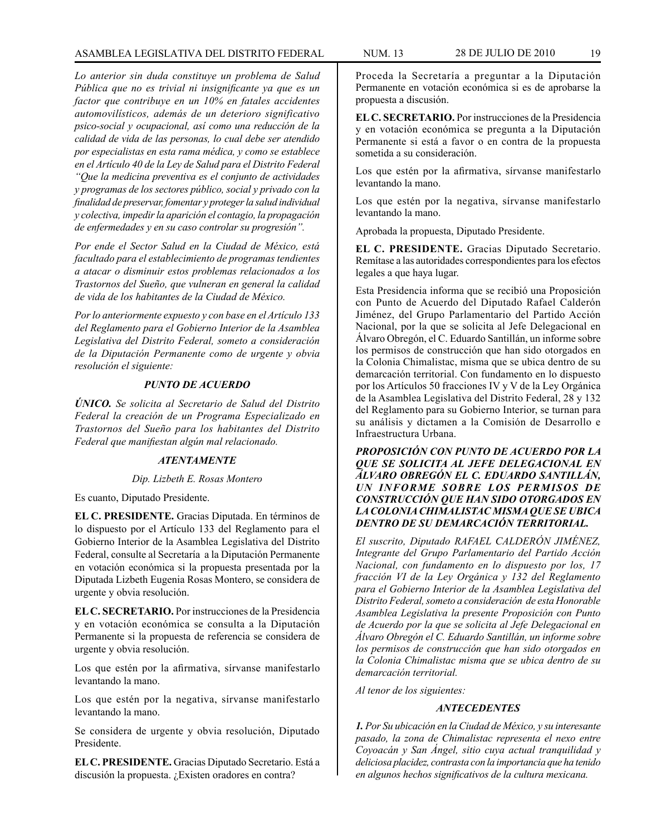*Lo anterior sin duda constituye un problema de Salud Pública que no es trivial ni insignificante ya que es un factor que contribuye en un 10% en fatales accidentes automovilísticos, además de un deterioro significativo psico-social y ocupacional, así como una reducción de la calidad de vida de las personas, lo cual debe ser atendido por especialistas en esta rama médica, y como se establece en el Artículo 40 de la Ley de Salud para el Distrito Federal "Que la medicina preventiva es el conjunto de actividades y programas de los sectores público, social y privado con la finalidad de preservar, fomentar y proteger la salud individual y colectiva, impedir la aparición el contagio, la propagación de enfermedades y en su caso controlar su progresión".*

*Por ende el Sector Salud en la Ciudad de México, está facultado para el establecimiento de programas tendientes a atacar o disminuir estos problemas relacionados a los Trastornos del Sueño, que vulneran en general la calidad de vida de los habitantes de la Ciudad de México.*

*Por lo anteriormente expuesto y con base en el Artículo 133 del Reglamento para el Gobierno Interior de la Asamblea Legislativa del Distrito Federal, someto a consideración de la Diputación Permanente como de urgente y obvia resolución el siguiente:*

#### *PUNTO DE ACUERDO*

*ÚNICO. Se solicita al Secretario de Salud del Distrito Federal la creación de un Programa Especializado en Trastornos del Sueño para los habitantes del Distrito Federal que manifiestan algún mal relacionado.*

# *ATENTAMENTE*

#### *Dip. Lizbeth E. Rosas Montero*

Es cuanto, Diputado Presidente.

**EL C. PRESIDENTE.** Gracias Diputada. En términos de lo dispuesto por el Artículo 133 del Reglamento para el Gobierno Interior de la Asamblea Legislativa del Distrito Federal, consulte al Secretaría a la Diputación Permanente en votación económica si la propuesta presentada por la Diputada Lizbeth Eugenia Rosas Montero, se considera de urgente y obvia resolución.

**EL C. SECRETARIO.** Por instrucciones de la Presidencia y en votación económica se consulta a la Diputación Permanente si la propuesta de referencia se considera de urgente y obvia resolución.

Los que estén por la afirmativa, sírvanse manifestarlo levantando la mano.

Los que estén por la negativa, sírvanse manifestarlo levantando la mano.

Se considera de urgente y obvia resolución, Diputado Presidente.

**EL C. PRESIDENTE.** Gracias Diputado Secretario. Está a discusión la propuesta. ¿Existen oradores en contra?

**EL C. SECRETARIO.** Por instrucciones de la Presidencia y en votación económica se pregunta a la Diputación Permanente si está a favor o en contra de la propuesta sometida a su consideración.

Los que estén por la afirmativa, sírvanse manifestarlo levantando la mano.

Los que estén por la negativa, sírvanse manifestarlo levantando la mano.

Aprobada la propuesta, Diputado Presidente.

**EL C. PRESIDENTE.** Gracias Diputado Secretario. Remítase a las autoridades correspondientes para los efectos legales a que haya lugar.

Esta Presidencia informa que se recibió una Proposición con Punto de Acuerdo del Diputado Rafael Calderón Jiménez, del Grupo Parlamentario del Partido Acción Nacional, por la que se solicita al Jefe Delegacional en Álvaro Obregón, el C. Eduardo Santillán, un informe sobre los permisos de construcción que han sido otorgados en la Colonia Chimalistac, misma que se ubica dentro de su demarcación territorial. Con fundamento en lo dispuesto por los Artículos 50 fracciones IV y V de la Ley Orgánica de la Asamblea Legislativa del Distrito Federal, 28 y 132 del Reglamento para su Gobierno Interior, se turnan para su análisis y dictamen a la Comisión de Desarrollo e Infraestructura Urbana.

*PROPOSICIÓN CON PUNTO DE ACUERDO POR LA QUE SE SOLICITA AL JEFE DELEGACIONAL EN ÁLVARO OBREGÓN EL C. EDUARDO SANTILLÁN, UN INFORME SOBRE LOS PERMISOS DE CONSTRUCCIÓN QUE HAN SIDO OTORGADOS EN LA COLONIA CHIMALISTAC MISMA QUE SE UBICA DENTRO DE SU DEMARCACIÓN TERRITORIAL.*

*El suscrito, Diputado RAFAEL CALDERÓN JIMÉNEZ, Integrante del Grupo Parlamentario del Partido Acción Nacional, con fundamento en lo dispuesto por los, 17 fracción VI de la Ley Orgánica y 132 del Reglamento para el Gobierno Interior de la Asamblea Legislativa del Distrito Federal, someto a consideración de esta Honorable Asamblea Legislativa la presente Proposición con Punto de Acuerdo por la que se solicita al Jefe Delegacional en Álvaro Obregón el C. Eduardo Santillán, un informe sobre los permisos de construcción que han sido otorgados en la Colonia Chimalistac misma que se ubica dentro de su demarcación territorial.* 

*Al tenor de los siguientes:*

# *ANTECEDENTES*

*1. Por Su ubicación en la Ciudad de México, y su interesante pasado, la zona de Chimalistac representa el nexo entre Coyoacán y San Ángel, sitio cuya actual tranquilidad y deliciosa placidez, contrasta con la importancia que ha tenido en algunos hechos significativos de la cultura mexicana.*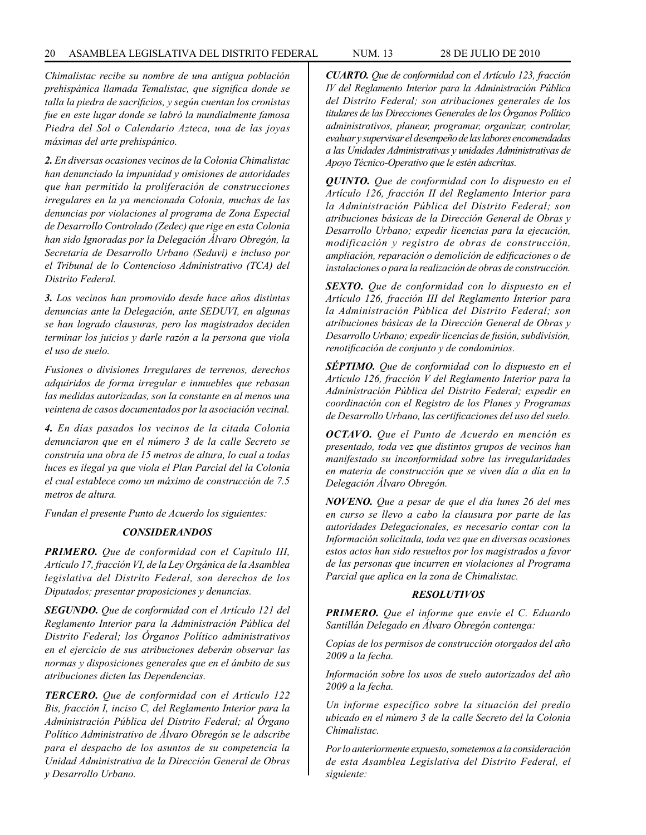#### 20 ASAMBLEA LEGISLATIVA DEL DISTRITO FEDERAL NUM. 13 28 de JULIo de 2010

*Chimalistac recibe su nombre de una antigua población prehispánica llamada Temalistac, que significa donde se talla la piedra de sacrificios, y según cuentan los cronistas fue en este lugar donde se labró la mundialmente famosa Piedra del Sol o Calendario Azteca, una de las joyas máximas del arte prehispánico.*

*2. En diversas ocasiones vecinos de la Colonia Chimalistac han denunciado la impunidad y omisiones de autoridades que han permitido la proliferación de construcciones irregulares en la ya mencionada Colonia, muchas de las denuncias por violaciones al programa de Zona Especial de Desarrollo Controlado (Zedec) que rige en esta Colonia han sido Ignoradas por la Delegación Álvaro Obregón, la Secretaría de Desarrollo Urbano (Seduvi) e incluso por el Tribunal de lo Contencioso Administrativo (TCA) del Distrito Federal.*

*3. Los vecinos han promovido desde hace años distintas denuncias ante la Delegación, ante SEDUVI, en algunas se han logrado clausuras, pero los magistrados deciden terminar los juicios y darle razón a la persona que viola el uso de suelo.*

*Fusiones o divisiones Irregulares de terrenos, derechos adquiridos de forma irregular e inmuebles que rebasan las medidas autorizadas, son la constante en al menos una veintena de casos documentados por la asociación vecinal.*

*4. En días pasados los vecinos de la citada Colonia denunciaron que en el número 3 de la calle Secreto se construía una obra de 15 metros de altura, lo cual a todas luces es ilegal ya que viola el Plan Parcial del la Colonia el cual establece como un máximo de construcción de 7.5 metros de altura.*

*Fundan el presente Punto de Acuerdo los siguientes:*

# *CONSIDERANDOS*

*PRIMERO. Que de conformidad con el Capítulo III, Artículo 17, fracción VI, de la Ley Orgánica de la Asamblea legislativa del Distrito Federal, son derechos de los Diputados; presentar proposiciones y denuncias.* 

*SEGUNDO. Que de conformidad con el Artículo 121 del Reglamento Interior para la Administración Pública del Distrito Federal; los Órganos Político administrativos en el ejercicio de sus atribuciones deberán observar las normas y disposiciones generales que en el ámbito de sus atribuciones dicten las Dependencias.*

*TERCERO. Que de conformidad con el Artículo 122 Bis, fracción I, inciso C, del Reglamento Interior para la Administración Pública del Distrito Federal; al Órgano Político Administrativo de Álvaro Obregón se le adscribe para el despacho de los asuntos de su competencia la Unidad Administrativa de la Dirección General de Obras y Desarrollo Urbano.*

*CUARTO. Que de conformidad con el Artículo 123, fracción IV del Reglamento Interior para la Administración Pública del Distrito Federal; son atribuciones generales de los titulares de las Direcciones Generales de los Órganos Político administrativos, planear, programar, organizar, controlar, evaluar y supervisar el desempeño de las labores encomendadas a las Unidades Administrativas y unidades Administrativas de Apoyo Técnico-Operativo que le estén adscritas.*

*QUINTO. Que de conformidad con lo dispuesto en el Artículo 126, fracción II del Reglamento Interior para la Administración Pública del Distrito Federal; son atribuciones básicas de la Dirección General de Obras y Desarrollo Urbano; expedir licencias para la ejecución, modificación y registro de obras de construcción, ampliación, reparación o demolición de edificaciones o de instalaciones o para la realización de obras de construcción.*

*SEXTO. Que de conformidad con lo dispuesto en el Artículo 126, fracción III del Reglamento Interior para la Administración Pública del Distrito Federal; son atribuciones básicas de la Dirección General de Obras y Desarrollo Urbano; expedir licencias de fusión, subdivisión, renotificación de conjunto y de condominios.*

*SÉPTIMO. Que de conformidad con lo dispuesto en el Artículo 126, fracción V del Reglamento Interior para la Administración Pública del Distrito Federal; expedir en coordinación con el Registro de los Planes y Programas de Desarrollo Urbano, las certificaciones del uso del suelo.*

*OCTAVO. Que el Punto de Acuerdo en mención es presentado, toda vez que distintos grupos de vecinos han manifestado su inconformidad sobre las irregularidades en materia de construcción que se viven día a día en la Delegación Álvaro Obregón.*

*NOVENO. Que a pesar de que el día lunes 26 del mes en curso se llevo a cabo la clausura por parte de las autoridades Delegacionales, es necesario contar con la Información solicitada, toda vez que en diversas ocasiones estos actos han sido resueltos por los magistrados a favor de las personas que incurren en violaciones al Programa Parcial que aplica en la zona de Chimalistac.*

#### *RESOLUTIVOS*

*PRIMERO. Que el informe que envíe el C. Eduardo Santillán Delegado en Álvaro Obregón contenga:* 

*Copias de los permisos de construcción otorgados del año 2009 a la fecha.*

*Información sobre los usos de suelo autorizados del año 2009 a la fecha.*

*Un informe específico sobre la situación del predio ubicado en el número 3 de la calle Secreto del la Colonia Chimalistac.*

*Por lo anteriormente expuesto, sometemos a la consideración de esta Asamblea Legislativa del Distrito Federal, el siguiente:*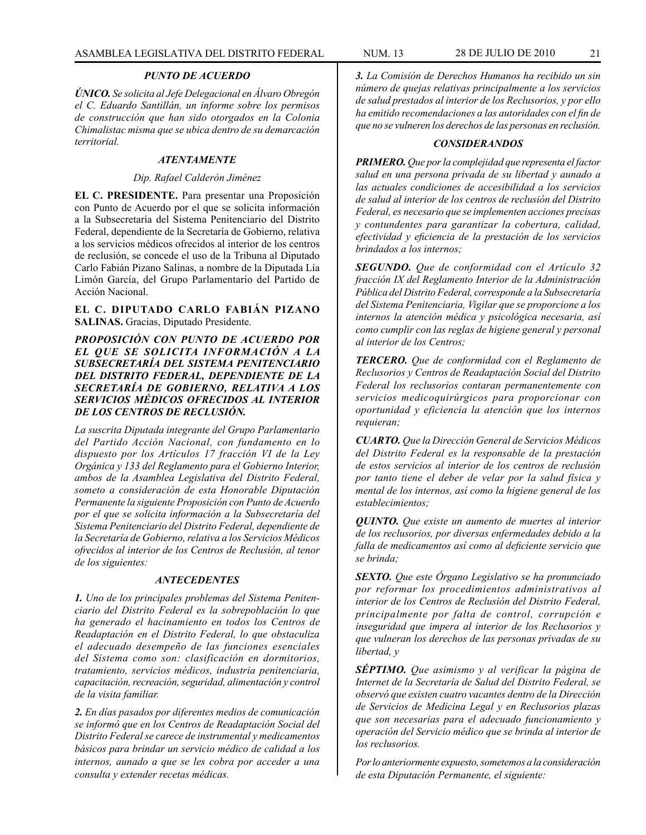#### *PUNTO DE ACUERDO*

*ÚNICO. Se solicita al Jefe Delegacional en Álvaro Obregón el C. Eduardo Santillán, un informe sobre los permisos de construcción que han sido otorgados en la Colonia Chimalistac misma que se ubica dentro de su demarcación territorial.*

# *ATENTAMENTE*

#### *Dip. Rafael Calderón Jiménez*

**EL C. PRESIDENTE.** Para presentar una Proposición con Punto de Acuerdo por el que se solicita información a la Subsecretaría del Sistema Penitenciario del Distrito Federal, dependiente de la Secretaría de Gobierno, relativa a los servicios médicos ofrecidos al interior de los centros de reclusión, se concede el uso de la Tribuna al Diputado Carlo Fabián Pizano Salinas, a nombre de la Diputada Lía Limón García, del Grupo Parlamentario del Partido de Acción Nacional.

**EL C. DIPUTADO CARLO FABIÁN PIZANO SALINAS.** Gracias, Diputado Presidente.

*PROPOSICIÓN CON PUNTO DE ACUERDO POR EL QUE SE SOLICITA INFORMACIÓN A LA SUBSECRETARÍA DEL SISTEMA PENITENCIARIO DEL DISTRITO FEDERAL, DEPENDIENTE DE LA SECRETARÍA DE GOBIERNO, RELATIVA A LOS SERVICIOS MÉDICOS OFRECIDOS AL INTERIOR DE LOS CENTROS DE RECLUSIÓN.*

*La suscrita Diputada integrante del Grupo Parlamentario del Partido Acción Nacional, con fundamento en lo dispuesto por los Artículos 17 fracción VI de la Ley Orgánica y 133 del Reglamento para el Gobierno Interior, ambos de la Asamblea Legislativa del Distrito Federal, someto a consideración de esta Honorable Diputación Permanente la siguiente Proposición con Punto de Acuerdo por el que se solicita información a la Subsecretaría del Sistema Penitenciario del Distrito Federal, dependiente de la Secretaría de Gobierno, relativa a los Servicios Médicos ofrecidos al interior de los Centros de Reclusión, al tenor de los siguientes:*

#### *ANTECEDENTES*

*1. Uno de los principales problemas del Sistema Penitenciario del Distrito Federal es la sobrepoblación lo que ha generado el hacinamiento en todos los Centros de Readaptación en el Distrito Federal, lo que obstaculiza el adecuado desempeño de las funciones esenciales del Sistema como son: clasificación en dormitorios, tratamiento, servicios médicos, industria penitenciaria, capacitación, recreación, seguridad, alimentación y control de la visita familiar.*

*2. En días pasados por diferentes medios de comunicación se informó que en los Centros de Readaptación Social del Distrito Federal se carece de instrumental y medicamentos básicos para brindar un servicio médico de calidad a los internos, aunado a que se les cobra por acceder a una consulta y extender recetas médicas.*

*3. La Comisión de Derechos Humanos ha recibido un sin número de quejas relativas principalmente a los servicios de salud prestados al interior de los Reclusorios, y por ello ha emitido recomendaciones a las autoridades con el fin de que no se vulneren los derechos de las personas en reclusión.*

#### *CONSIDERANDOS*

*PRIMERO. Que por la complejidad que representa el factor salud en una persona privada de su libertad y aunado a las actuales condiciones de accesibilidad a los servicios de salud al interior de los centros de reclusión del Distrito Federal, es necesario que se implementen acciones precisas y contundentes para garantizar la cobertura, calidad, efectividad y eficiencia de la prestación de los servicios brindados a los internos;*

*SEGUNDO. Que de conformidad con el Artículo 32 fracción IX del Reglamento Interior de la Administración Pública del Distrito Federal, corresponde a la Subsecretaría del Sistema Penitenciaria, Vigilar que se proporcione a los internos la atención médica y psicológica necesaria, así como cumplir con las reglas de higiene general y personal al interior de los Centros;*

*TERCERO. Que de conformidad con el Reglamento de Reclusorios y Centros de Readaptación Social del Distrito Federal los reclusorios contaran permanentemente con servicios medicoquirúrgicos para proporcionar con oportunidad y eficiencia la atención que los internos requieran;*

*CUARTO. Que la Dirección General de Servicios Médicos del Distrito Federal es la responsable de la prestación de estos servicios al interior de los centros de reclusión por tanto tiene el deber de velar por la salud física y mental de los internos, así como la higiene general de los establecimientos;*

*QUINTO. Que existe un aumento de muertes al interior de los reclusorios, por diversas enfermedades debido a la falla de medicamentos así como al deficiente servicio que se brinda;*

*SEXTO. Que este Órgano Legislativo se ha pronunciado por reformar los procedimientos administrativos al interior de los Centros de Reclusión del Distrito Federal, principalmente por falta de control, corrupción e inseguridad que impera al interior de los Reclusorios y que vulneran los derechos de las personas privadas de su libertad, y*

*SÉPTIMO. Que asimismo y al verificar la página de Internet de la Secretaría de Salud del Distrito Federal, se observó que existen cuatro vacantes dentro de la Dirección de Servicios de Medicina Legal y en Reclusorios plazas que son necesarias para el adecuado funcionamiento y operación del Servicio médico que se brinda al interior de los reclusorios.*

*Por lo anteriormente expuesto, sometemos a la consideración de esta Diputación Permanente, el siguiente:*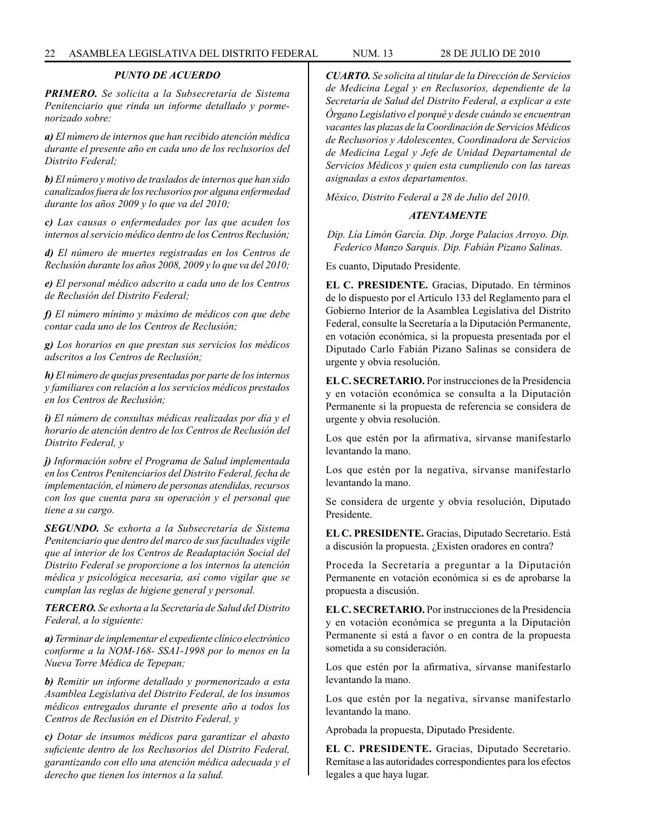# *PUNTO DE ACUERDO*

*PRIMERO. Se solicita a la Subsecretaría de Sistema Penitenciario que rinda un informe detallado y pormenorizado sobre:*

*a) El número de internos que han recibido atención médica durante el presente año en cada uno de los reclusorios del Distrito Federal;*

*b) El número y motivo de traslados de internos que han sido canalizados fuera de los reclusorios por alguna enfermedad durante los años 2009 y lo que va del 2010;*

*c) Las causas o enfermedades por las que acuden los internos al servicio médico dentro de los Centros Reclusión;*

*d) El número de muertes registradas en los Centros de Reclusión durante los años 2008, 2009 y lo que va del 2010;*

*e) El personal médico adscrito a cada uno de los Centros de Reclusión del Distrito Federal;*

*f) El número mínimo y máximo de médicos con que debe contar cada uno de los Centros de Reclusión;*

*g) Los horarios en que prestan sus servicios los médicos adscritos a los Centros de Reclusión;*

*h) El número de quejas presentadas por parte de los internos y familiares con relación a los servicios médicos prestados en los Centros de Reclusión;*

*i) El número de consultas médicas realizadas por día y el horario de atención dentro de los Centros de Reclusión del Distrito Federal, y* 

*j) Información sobre el Programa de Salud implementada en los Centros Penitenciarios del Distrito Federal, fecha de implementación, el número de personas atendidas, recursos con los que cuenta para su operación y el personal que tiene a su cargo.*

*SEGUNDO. Se exhorta a la Subsecretaría de Sistema Penitenciario que dentro del marco de sus facultades vigile que al interior de los Centros de Readaptación Social del Distrito Federal se proporcione a los internos la atención médica y psicológica necesaria, así como vigilar que se cumplan las reglas de higiene general y personal.*

*TERCERO. Se exhorta a la Secretaría de Salud del Distrito Federal, a lo siguiente:*

*a) Terminar de implementar el expediente clínico electrónico conforme a la NOM-168- SSA1-1998 por lo menos en la Nueva Torre Médica de Tepepan;*

*b) Remitir un informe detallado y pormenorizado a esta Asamblea Legislativa del Distrito Federal, de los insumos médicos entregados durante el presente año a todos los Centros de Reclusión en el Distrito Federal, y*

*c) Dotar de insumos médicos para garantizar el abasto suficiente dentro de los Reclusorios del Distrito Federal, garantizando con ello una atención médica adecuada y el derecho que tienen los internos a la salud.*

*CUARTO. Se solicita al titular de la Dirección de Servicios de Medicina Legal y en Reclusorios, dependiente de la Secretaría de Salud del Distrito Federal, a explicar a este Órgano Legislativo el porqué y desde cuándo se encuentran vacantes las plazas de la Coordinación de Servicios Médicos de Reclusorios y Adolescentes, Coordinadora de Servicios de Medicina Legal y Jefe de Unidad Departamental de Servicios Médicos y quien esta cumpliendo con las tareas asignadas a estos departamentos.*

*México, Distrito Federal a 28 de Julio del 2010.*

# *ATENTAMENTE*

*Dip. Lía Limón García. Dip. Jorge Palacios Arroyo. Dip. Federico Manzo Sarquis. Dip. Fabián Pizano Salinas.*

Es cuanto, Diputado Presidente.

**EL C. PRESIDENTE.** Gracias, Diputado. En términos de lo dispuesto por el Artículo 133 del Reglamento para el Gobierno Interior de la Asamblea Legislativa del Distrito Federal, consulte la Secretaría a la Diputación Permanente, en votación económica, si la propuesta presentada por el Diputado Carlo Fabián Pizano Salinas se considera de urgente y obvia resolución.

**EL C. SECRETARIO.** Por instrucciones de la Presidencia y en votación económica se consulta a la Diputación Permanente si la propuesta de referencia se considera de urgente y obvia resolución.

Los que estén por la afirmativa, sírvanse manifestarlo levantando la mano.

Los que estén por la negativa, sírvanse manifestarlo levantando la mano.

Se considera de urgente y obvia resolución, Diputado Presidente.

**EL C. PRESIDENTE.** Gracias, Diputado Secretario. Está a discusión la propuesta. ¿Existen oradores en contra?

Proceda la Secretaría a preguntar a la Diputación Permanente en votación económica si es de aprobarse la propuesta a discusión.

**EL C. SECRETARIO.** Por instrucciones de la Presidencia y en votación económica se pregunta a la Diputación Permanente si está a favor o en contra de la propuesta sometida a su consideración.

Los que estén por la afirmativa, sírvanse manifestarlo levantando la mano.

Los que estén por la negativa, sírvanse manifestarlo levantando la mano.

Aprobada la propuesta, Diputado Presidente.

**EL C. PRESIDENTE.** Gracias, Diputado Secretario. Remítase a las autoridades correspondientes para los efectos legales a que haya lugar.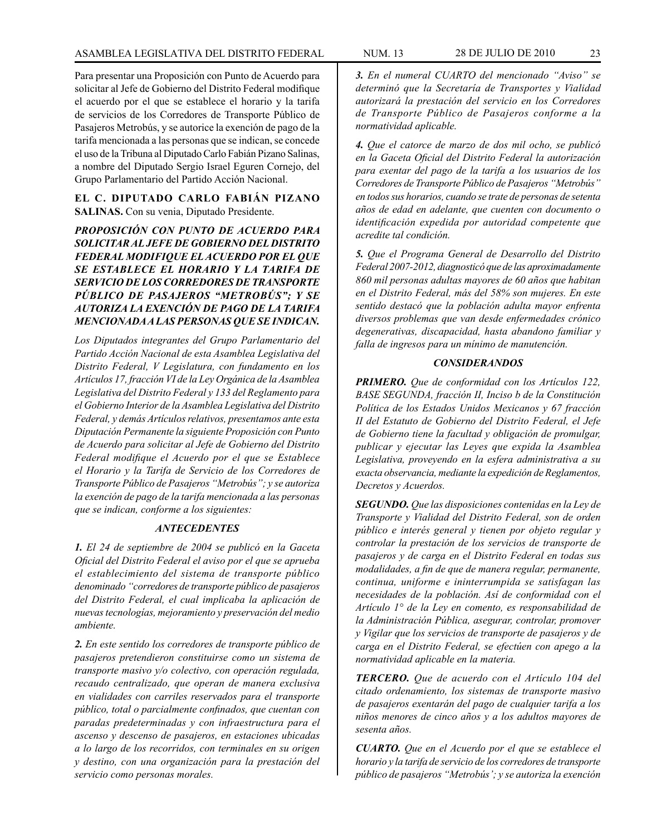Para presentar una Proposición con Punto de Acuerdo para solicitar al Jefe de Gobierno del Distrito Federal modifique el acuerdo por el que se establece el horario y la tarifa de servicios de los Corredores de Transporte Público de Pasajeros Metrobús, y se autorice la exención de pago de la tarifa mencionada a las personas que se indican, se concede el uso de la Tribuna al Diputado Carlo Fabián Pizano Salinas, a nombre del Diputado Sergio Israel Eguren Cornejo, del Grupo Parlamentario del Partido Acción Nacional.

# **EL C. DIPUTADO CARLO FABIÁN PIZANO SALINAS.** Con su venia, Diputado Presidente.

*PROPOSICIÓN CON PUNTO DE ACUERDO PARA SOLICITAR AL JEFE DE GOBIERNO DEL DISTRITO FEDERAL MODIFIQUE EL ACUERDO POR EL QUE SE ESTABLECE EL HORARIO Y LA TARIFA DE SERVICIO DE LOS CORREDORES DE TRANSPORTE PÚBLICO DE PASAJEROS "METROBÚS"; Y SE AUTORIZA LA EXENCIÓN DE PAGO DE LA TARIFA MENCIONADA A LAS PERSONAS QUE SE INDICAN.*

*Los Diputados integrantes del Grupo Parlamentario del Partido Acción Nacional de esta Asamblea Legislativa del Distrito Federal, V Legislatura, con fundamento en los Artículos 17, fracción VI de la Ley Orgánica de la Asamblea Legislativa del Distrito Federal y 133 del Reglamento para el Gobierno Interior de la Asamblea Legislativa del Distrito Federal, y demás Artículos relativos, presentamos ante esta Diputación Permanente la siguiente Proposición con Punto de Acuerdo para solicitar al Jefe de Gobierno del Distrito Federal modifique el Acuerdo por el que se Establece el Horario y la Tarifa de Servicio de los Corredores de Transporte Público de Pasajeros "Metrobús"; y se autoriza la exención de pago de la tarifa mencionada a las personas que se indican, conforme a los siguientes:*

# *ANTECEDENTES*

*1. El 24 de septiembre de 2004 se publicó en la Gaceta Oficial del Distrito Federal el aviso por el que se aprueba el establecimiento del sistema de transporte público denominado "corredores de transporte público de pasajeros del Distrito Federal, el cual implicaba la aplicación de nuevas tecnologías, mejoramiento y preservación del medio ambiente.* 

*2. En este sentido los corredores de transporte público de pasajeros pretendieron constituirse como un sistema de transporte masivo y/o colectivo, con operación regulada, recaudo centralizado, que operan de manera exclusiva en vialidades con carriles reservados para el transporte público, total o parcialmente confinados, que cuentan con paradas predeterminadas y con infraestructura para el ascenso y descenso de pasajeros, en estaciones ubicadas a lo largo de los recorridos, con terminales en su origen y destino, con una organización para la prestación del servicio como personas morales.*

*3. En el numeral CUARTO del mencionado "Aviso" se determinó que la Secretaría de Transportes y Vialidad autorizará la prestación del servicio en los Corredores de Transporte Público de Pasajeros conforme a la normatividad aplicable.*

*4. Que el catorce de marzo de dos mil ocho, se publicó en la Gaceta Oficial del Distrito Federal la autorización para exentar del pago de la tarifa a los usuarios de los Corredores de Transporte Público de Pasajeros "Metrobús" en todos sus horarios, cuando se trate de personas de setenta años de edad en adelante, que cuenten con documento o identificación expedida por autoridad competente que acredite tal condición.*

*5. Que el Programa General de Desarrollo del Distrito Federal 2007-2012, diagnosticó que de las aproximadamente 860 mil personas adultas mayores de 60 años que habitan en el Distrito Federal, más del 58% son mujeres. En este sentido destacó que la población adulta mayor enfrenta diversos problemas que van desde enfermedades crónico degenerativas, discapacidad, hasta abandono familiar y falla de ingresos para un mínimo de manutención.*

#### *CONSIDERANDOS*

*PRIMERO. Que de conformidad con los Artículos 122, BASE SEGUNDA, fracción II, Inciso b de la Constitución Política de los Estados Unidos Mexicanos y 67 fracción II del Estatuto de Gobierno del Distrito Federal, el Jefe de Gobierno tiene la facultad y obligación de promulgar, publicar y ejecutar las Leyes que expida la Asamblea Legislativa, proveyendo en la esfera administrativa a su exacta observancia, mediante la expedición de Reglamentos, Decretos y Acuerdos.*

*SEGUNDO. Que las disposiciones contenidas en la Ley de Transporte y Vialidad del Distrito Federal, son de orden público e interés general y tienen por objeto regular y controlar la prestación de los servicios de transporte de pasajeros y de carga en el Distrito Federal en todas sus modalidades, a fin de que de manera regular, permanente, continua, uniforme e ininterrumpida se satisfagan las necesidades de la población. Así de conformidad con el Artículo 1° de la Ley en comento, es responsabilidad de la Administración Pública, asegurar, controlar, promover y Vigilar que los servicios de transporte de pasajeros y de carga en el Distrito Federal, se efectúen con apego a la normatividad aplicable en la materia.*

*TERCERO. Que de acuerdo con el Artículo 104 del citado ordenamiento, los sistemas de transporte masivo de pasajeros exentarán del pago de cualquier tarifa a los niños menores de cinco años y a los adultos mayores de sesenta años.*

*CUARTO. Que en el Acuerdo por el que se establece el horario y la tarifa de servicio de los corredores de transporte público de pasajeros "Metrobús'; y se autoriza la exención*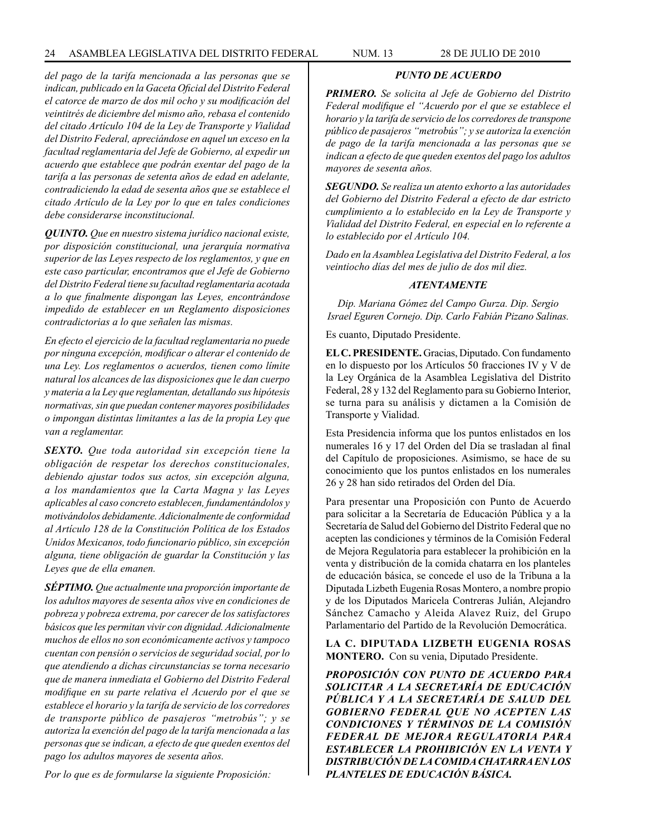*del pago de la tarifa mencionada a las personas que se indican, publicado en la Gaceta Oficial del Distrito Federal el catorce de marzo de dos mil ocho y su modificación del veintitrés de diciembre del mismo año, rebasa el contenido del citado Artículo 104 de la Ley de Transporte y Vialidad del Distrito Federal, apreciándose en aquel un exceso en la facultad reglamentaria del Jefe de Gobierno, al expedir un acuerdo que establece que podrán exentar del pago de la tarifa a las personas de setenta años de edad en adelante, contradiciendo la edad de sesenta años que se establece el citado Artículo de la Ley por lo que en tales condiciones debe considerarse inconstitucional.*

*QUINTO. Que en nuestro sistema jurídico nacional existe, por disposición constitucional, una jerarquía normativa superior de las Leyes respecto de los reglamentos, y que en este caso particular, encontramos que el Jefe de Gobierno del Distrito Federal tiene su facultad reglamentaria acotada a lo que finalmente dispongan las Leyes, encontrándose impedido de establecer en un Reglamento disposiciones contradictorias a lo que señalen las mismas.*

*En efecto el ejercicio de la facultad reglamentaria no puede por ninguna excepción, modificar o alterar el contenido de una Ley. Los reglamentos o acuerdos, tienen como límite natural los alcances de las disposiciones que le dan cuerpo y materia a la Ley que reglamentan, detallando sus hipótesis normativas, sin que puedan contener mayores posibilidades o impongan distintas limitantes a las de la propia Ley que van a reglamentar.*

*SEXTO. Que toda autoridad sin excepción tiene la obligación de respetar los derechos constitucionales, debiendo ajustar todos sus actos, sin excepción alguna, a los mandamientos que la Carta Magna y las Leyes aplicables al caso concreto establecen, fundamentándolos y motivándolos debidamente. Adicionalmente de conformidad al Artículo 128 de la Constitución Política de los Estados Unidos Mexicanos, todo funcionario público, sin excepción alguna, tiene obligación de guardar la Constitución y las Leyes que de ella emanen.*

*SÉPTIMO. Que actualmente una proporción importante de los adultos mayores de sesenta años vive en condiciones de pobreza y pobreza extrema, por carecer de los satisfactores básicos que les permitan vivir con dignidad. Adicionalmente muchos de ellos no son económicamente activos y tampoco cuentan con pensión o servicios de seguridad social, por lo que atendiendo a dichas circunstancias se torna necesario que de manera inmediata el Gobierno del Distrito Federal modifique en su parte relativa el Acuerdo por el que se establece el horario y la tarifa de servicio de los corredores de transporte público de pasajeros "metrobús"; y se autoriza la exención del pago de la tarifa mencionada a las personas que se indican, a efecto de que queden exentos del pago los adultos mayores de sesenta años.*

*Por lo que es de formularse la siguiente Proposición:*

# *PUNTO DE ACUERDO*

*PRIMERO. Se solicita al Jefe de Gobierno del Distrito Federal modifique el "Acuerdo por el que se establece el horario y la tarifa de servicio de los corredores de transpone público de pasajeros "metrobús"; y se autoriza la exención de pago de la tarifa mencionada a las personas que se indican a efecto de que queden exentos del pago los adultos mayores de sesenta años.*

*SEGUNDO. Se realiza un atento exhorto a las autoridades del Gobierno del Distrito Federal a efecto de dar estricto cumplimiento a lo establecido en la Ley de Transporte y Vialidad del Distrito Federal, en especial en lo referente a lo establecido por el Artículo 104.*

*Dado en la Asamblea Legislativa del Distrito Federal, a los veintiocho días del mes de julio de dos mil diez.*

# *ATENTAMENTE*

*Dip. Mariana Gómez del Campo Gurza. Dip. Sergio Israel Eguren Cornejo. Dip. Carlo Fabián Pizano Salinas.*

Es cuanto, Diputado Presidente.

**EL C. PRESIDENTE.** Gracias, Diputado. Con fundamento en lo dispuesto por los Artículos 50 fracciones IV y V de la Ley Orgánica de la Asamblea Legislativa del Distrito Federal, 28 y 132 del Reglamento para su Gobierno Interior, se turna para su análisis y dictamen a la Comisión de Transporte y Vialidad.

Esta Presidencia informa que los puntos enlistados en los numerales 16 y 17 del Orden del Día se trasladan al final del Capítulo de proposiciones. Asimismo, se hace de su conocimiento que los puntos enlistados en los numerales 26 y 28 han sido retirados del Orden del Día.

Para presentar una Proposición con Punto de Acuerdo para solicitar a la Secretaría de Educación Pública y a la Secretaría de Salud del Gobierno del Distrito Federal que no acepten las condiciones y términos de la Comisión Federal de Mejora Regulatoria para establecer la prohibición en la venta y distribución de la comida chatarra en los planteles de educación básica, se concede el uso de la Tribuna a la Diputada Lizbeth Eugenia Rosas Montero, a nombre propio y de los Diputados Maricela Contreras Julián, Alejandro Sánchez Camacho y Aleida Alavez Ruiz, del Grupo Parlamentario del Partido de la Revolución Democrática.

**LA C. DIPUTADA LIZBETH EUGENIA ROSAS MONTERO.** Con su venia, Diputado Presidente.

*PROPOSICIÓN CON PUNTO DE ACUERDO PARA SOLICITAR A LA SECRETARÍA DE EDUCACIÓN PÚBLICA Y A LA SECRETARÍA DE SALUD DEL GOBIERNO FEDERAL QUE NO ACEPTEN LAS CONDICIONES Y TÉRMINOS DE LA COMISIÓN FEDERAL DE MEJORA REGULATORIA PARA ESTABLECER LA PROHIBICIÓN EN LA VENTA Y DISTRIBUCIÓN DE LA COMIDA CHATARRA EN LOS PLANTELES DE EDUCACIÓN BÁSICA.*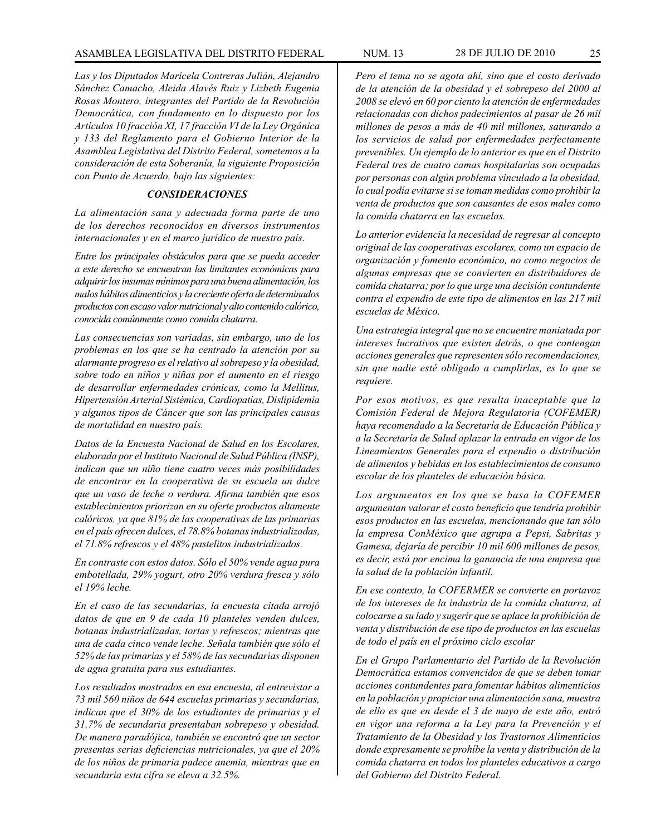# ASAMBLEA LEGISLATIVA DEL DISTRITO FEDERAL NUM. 13 28 de JULIo DE 2010 25

*Las y los Diputados Maricela Contreras Julián, Alejandro Sánchez Camacho, Aleida Alavés Ruiz y Lizbeth Eugenia Rosas Montero, integrantes del Partido de la Revolución Democrática, con fundamento en lo dispuesto por los Artículos 10 fracción XI, 17 fracción VI de la Ley Orgánica y 133 del Reglamento para el Gobierno Interior de la Asamblea Legislativa del Distrito Federal, sometemos a la consideración de esta Soberanía, la siguiente Proposición con Punto de Acuerdo, bajo las siguientes:*

#### *CONSIDERACIONES*

*La alimentación sana y adecuada forma parte de uno de los derechos reconocidos en diversos instrumentos internacionales y en el marco jurídico de nuestro país.*

*Entre los principales obstáculos para que se pueda acceder a este derecho se encuentran las limitantes económicas para adquirir los insumas mínimos para una buena alimentación, los malos hábitos alimenticios y la creciente oferta de determinados productos con escaso valor nutricional y alto contenido calórico, conocida comúnmente como comida chatarra.*

*Las consecuencias son variadas, sin embargo, uno de los problemas en los que se ha centrado la atención por su alarmante progreso es el relativo al sobrepeso y la obesidad, sobre todo en niños y niñas por el aumento en el riesgo de desarrollar enfermedades crónicas, como la Mellitus, Hipertensión Arterial Sistémica, Cardiopatías, Dislipidemia y algunos tipos de Cáncer que son las principales causas de mortalidad en nuestro país.*

*Datos de la Encuesta Nacional de Salud en los Escolares, elaborada por el Instituto Nacional de Salud Pública (INSP), indican que un niño tiene cuatro veces más posibilidades de encontrar en la cooperativa de su escuela un dulce que un vaso de leche o verdura. Afirma también que esos establecimientos priorizan en su oferte productos altamente calóricos, ya que 81% de las cooperativas de las primarias en el país ofrecen dulces, el 78.8% botanas industrializadas, el 71.8% refrescos y el 48% pastelitos industrializados.*

*En contraste con estos datos. Sólo el 50% vende agua pura embotellada, 29% yogurt, otro 20% verdura fresca y sólo el 19% leche.*

*En el caso de las secundarias, la encuesta citada arrojó datos de que en 9 de cada 10 planteles venden dulces, botanas industrializadas, tortas y refrescos; mientras que una de cada cinco vende leche. Señala también que sólo el 52% de las primarias y el 58% de las secundarias disponen de agua gratuita para sus estudiantes.*

*Los resultados mostrados en esa encuesta, al entrevistar a 73 mil 560 niños de 644 escuelas primarias y secundarias, indican que el 30% de los estudiantes de primarias y el 31.7% de secundaria presentaban sobrepeso y obesidad. De manera paradójica, también se encontró que un sector presentas serias deficiencias nutricionales, ya que el 20% de los niños de primaria padece anemia, mientras que en secundaria esta cifra se eleva a 32.5%.*

*Pero el tema no se agota ahí, sino que el costo derivado de la atención de la obesidad y el sobrepeso del 2000 al 2008 se elevó en 60 por ciento la atención de enfermedades relacionadas con dichos padecimientos al pasar de 26 mil millones de pesos a más de 40 mil millones, saturando a los servicios de salud por enfermedades perfectamente prevenibles. Un ejemplo de lo anterior es que en el Distrito Federal tres de cuatro camas hospitalarias son ocupadas por personas con algún problema vinculado a la obesidad, lo cual podía evitarse si se toman medidas como prohibir la venta de productos que son causantes de esos males como la comida chatarra en las escuelas.*

*Lo anterior evidencia la necesidad de regresar al concepto original de las cooperativas escolares, como un espacio de organización y fomento económico, no como negocios de algunas empresas que se convierten en distribuidores de comida chatarra; por lo que urge una decisión contundente contra el expendio de este tipo de alimentos en las 217 mil escuelas de México.*

*Una estrategia integral que no se encuentre maniatada por intereses lucrativos que existen detrás, o que contengan acciones generales que representen sólo recomendaciones, sin que nadie esté obligado a cumplirlas, es lo que se requiere.*

*Por esos motivos, es que resulta inaceptable que la Comisión Federal de Mejora Regulatoria (COFEMER) haya recomendado a la Secretaría de Educación Pública y a la Secretaría de Salud aplazar la entrada en vigor de los Lineamientos Generales para el expendio o distribución de alimentos y bebidas en los establecimientos de consumo escolar de los planteles de educación básica.*

*Los argumentos en los que se basa la COFEMER argumentan valorar el costo beneficio que tendría prohibir esos productos en las escuelas, mencionando que tan sólo la empresa ConMéxico que agrupa a Pepsi, Sabritas y Gamesa, dejaría de percibir 10 mil 600 millones de pesos, es decir, está por encima la ganancia de una empresa que la salud de la población infantil.*

*En ese contexto, la COFERMER se convierte en portavoz de los intereses de la industria de la comida chatarra, al colocarse a su lado y sugerir que se aplace la prohibición de venta y distribución de ese tipo de productos en las escuelas de todo el país en el próximo ciclo escolar*

*En el Grupo Parlamentario del Partido de la Revolución Democrática estamos convencidos de que se deben tomar acciones contundentes para fomentar hábitos alimenticios en la población y propiciar una alimentación sana, muestra de ello es que en desde el 3 de mayo de este año, entró en vigor una reforma a la Ley para la Prevención y el Tratamiento de la Obesidad y los Trastornos Alimenticios donde expresamente se prohíbe la venta y distribución de la comida chatarra en todos los planteles educativos a cargo del Gobierno del Distrito Federal.*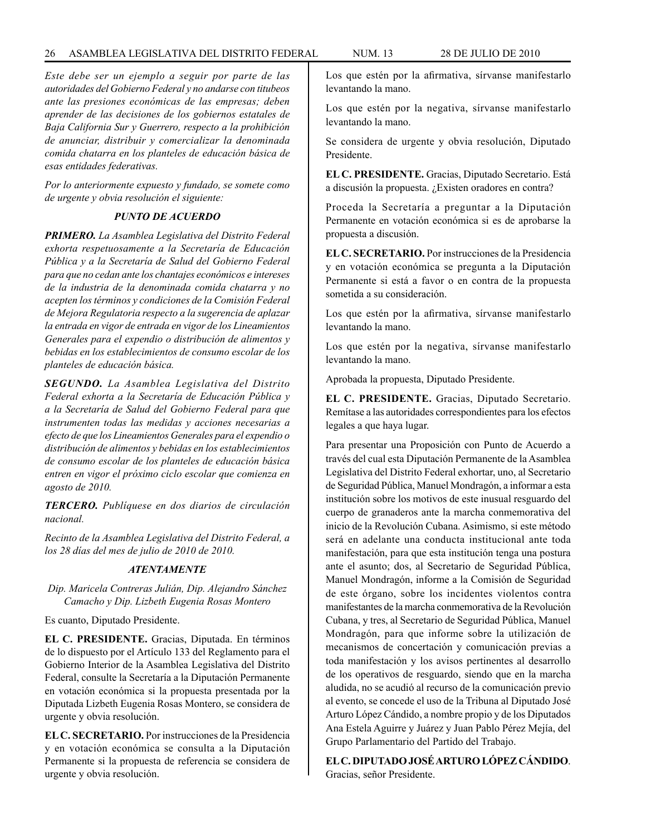## 26 ASAMBLEA LEGISLATIVA DEL DISTRITO FEDERAL NUM. 13 28 de JULIo de 2010

*Este debe ser un ejemplo a seguir por parte de las autoridades del Gobierno Federal y no andarse con titubeos ante las presiones económicas de las empresas; deben aprender de las decisiones de los gobiernos estatales de Baja California Sur y Guerrero, respecto a la prohibición de anunciar, distribuir y comercializar la denominada comida chatarra en los planteles de educación básica de esas entidades federativas.*

*Por lo anteriormente expuesto y fundado, se somete como de urgente y obvia resolución el siguiente:*

# *PUNTO DE ACUERDO*

*PRIMERO. La Asamblea Legislativa del Distrito Federal exhorta respetuosamente a la Secretaría de Educación Pública y a la Secretaría de Salud del Gobierno Federal para que no cedan ante los chantajes económicos e intereses de la industria de la denominada comida chatarra y no acepten los términos y condiciones de la Comisión Federal de Mejora Regulatoria respecto a la sugerencia de aplazar la entrada en vigor de entrada en vigor de los Lineamientos Generales para el expendio o distribución de alimentos y bebidas en los establecimientos de consumo escolar de los planteles de educación básica.*

*SEGUNDO. La Asamblea Legislativa del Distrito Federal exhorta a la Secretaría de Educación Pública y a la Secretaría de Salud del Gobierno Federal para que instrumenten todas las medidas y acciones necesarias a efecto de que los Lineamientos Generales para el expendio o distribución de alimentos y bebidas en los establecimientos de consumo escolar de los planteles de educación básica entren en vigor el próximo ciclo escolar que comienza en agosto de 2010.*

*TERCERO. Publíquese en dos diarios de circulación nacional.*

*Recinto de la Asamblea Legislativa del Distrito Federal, a los 28 días del mes de julio de 2010 de 2010.*

#### *ATENTAMENTE*

*Dip. Maricela Contreras Julián, Dip. Alejandro Sánchez Camacho y Dip. Lizbeth Eugenia Rosas Montero*

Es cuanto, Diputado Presidente.

**EL C. PRESIDENTE.** Gracias, Diputada. En términos de lo dispuesto por el Artículo 133 del Reglamento para el Gobierno Interior de la Asamblea Legislativa del Distrito Federal, consulte la Secretaría a la Diputación Permanente en votación económica si la propuesta presentada por la Diputada Lizbeth Eugenia Rosas Montero, se considera de urgente y obvia resolución.

**EL C. SECRETARIO.** Por instrucciones de la Presidencia y en votación económica se consulta a la Diputación Permanente si la propuesta de referencia se considera de urgente y obvia resolución.

Los que estén por la afirmativa, sírvanse manifestarlo levantando la mano.

Los que estén por la negativa, sírvanse manifestarlo levantando la mano.

Se considera de urgente y obvia resolución, Diputado Presidente.

**EL C. PRESIDENTE.** Gracias, Diputado Secretario. Está a discusión la propuesta. ¿Existen oradores en contra?

Proceda la Secretaría a preguntar a la Diputación Permanente en votación económica si es de aprobarse la propuesta a discusión.

**EL C. SECRETARIO.** Por instrucciones de la Presidencia y en votación económica se pregunta a la Diputación Permanente si está a favor o en contra de la propuesta sometida a su consideración.

Los que estén por la afirmativa, sírvanse manifestarlo levantando la mano.

Los que estén por la negativa, sírvanse manifestarlo levantando la mano.

Aprobada la propuesta, Diputado Presidente.

**EL C. PRESIDENTE.** Gracias, Diputado Secretario. Remítase a las autoridades correspondientes para los efectos legales a que haya lugar.

Para presentar una Proposición con Punto de Acuerdo a través del cual esta Diputación Permanente de la Asamblea Legislativa del Distrito Federal exhortar, uno, al Secretario de Seguridad Pública, Manuel Mondragón, a informar a esta institución sobre los motivos de este inusual resguardo del cuerpo de granaderos ante la marcha conmemorativa del inicio de la Revolución Cubana. Asimismo, si este método será en adelante una conducta institucional ante toda manifestación, para que esta institución tenga una postura ante el asunto; dos, al Secretario de Seguridad Pública, Manuel Mondragón, informe a la Comisión de Seguridad de este órgano, sobre los incidentes violentos contra manifestantes de la marcha conmemorativa de la Revolución Cubana, y tres, al Secretario de Seguridad Pública, Manuel Mondragón, para que informe sobre la utilización de mecanismos de concertación y comunicación previas a toda manifestación y los avisos pertinentes al desarrollo de los operativos de resguardo, siendo que en la marcha aludida, no se acudió al recurso de la comunicación previo al evento, se concede el uso de la Tribuna al Diputado José Arturo López Cándido, a nombre propio y de los Diputados Ana Estela Aguirre y Juárez y Juan Pablo Pérez Mejía, del Grupo Parlamentario del Partido del Trabajo.

**EL C. DIPUTADO JOSÉ ARTURO LÓPEZ CÁNDIDO**. Gracias, señor Presidente.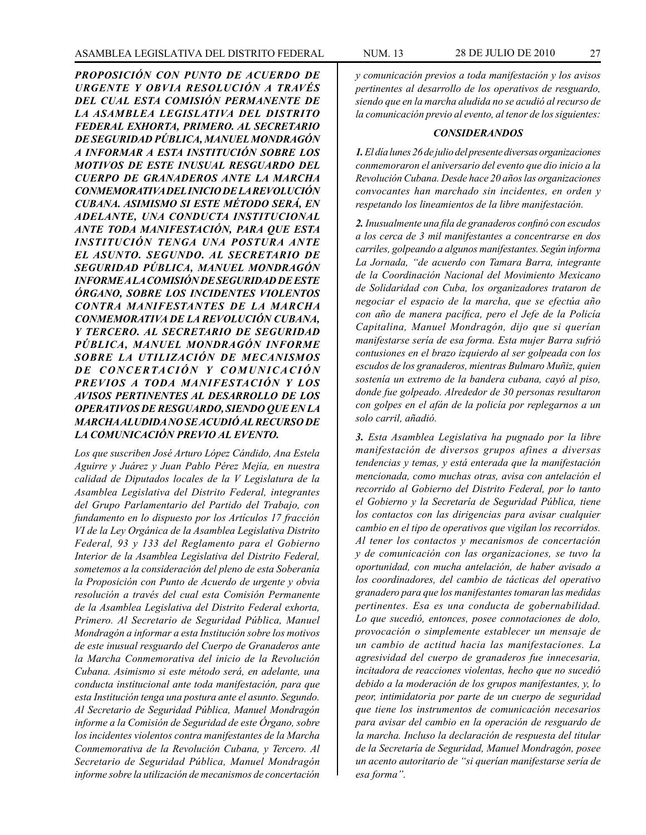*PROPOSICIÓN CON PUNTO DE ACUERDO DE URGENTE Y OBVIA RESOLUCIÓN A TRAVÉS DEL CUAL ESTA COMISIÓN PERMANENTE DE LA ASAMBLEA LEGISLATIVA DEL DISTRITO FEDERAL EXHORTA, PRIMERO. AL SECRETARIO DE SEGURIDAD PÚBLICA, MANUEL MONDRAGÓN A INFORMAR A ESTA INSTITUCIÓN SOBRE LOS MOTIVOS DE ESTE INUSUAL RESGUARDO DEL CUERPO DE GRANADEROS ANTE LA MARCHA CONMEMORATIVA DEL INICIO DE LA REVOLUCIÓN CUBANA. ASIMISMO SI ESTE MÉTODO SERÁ, EN ADELANTE, UNA CONDUCTA INSTITUCIONAL ANTE TODA MANIFESTACIÓN, PARA QUE ESTA INSTITUCIÓN TENGA UNA POSTURA ANTE EL ASUNTO. SEGUNDO. AL SECRETARIO DE SEGURIDAD PÚBLICA, MANUEL MONDRAGÓN INFORME A LA COMISIÓN DE SEGURIDAD DE ESTE ÓRGANO, SOBRE LOS INCIDENTES VIOLENTOS CONTRA MANIFESTANTES DE LA MARCHA CONMEMORATIVA DE LA REVOLUCIÓN CUBANA, Y TERCERO. AL SECRETARIO DE SEGURIDAD PÚBLICA, MANUEL MONDRAGÓN INFORME SOBRE LA UTILIZACIÓN DE MECANISMOS*  DE CONCERTACIÓN Y COMUNICACIÓN *PREVIOS A TODA MANIFESTACIÓN Y LOS AVISOS PERTINENTES AL DESARROLLO DE LOS OPERATIVOS DE RESGUARDO, SIENDO QUE EN LA MARCHA ALUDIDA NO SE ACUDIÓ AL RECURSO DE LA COMUNICACIÓN PREVIO AL EVENTO.*

*Los que suscriben José Arturo López Cándido, Ana Estela Aguirre y Juárez y Juan Pablo Pérez Mejía, en nuestra calidad de Diputados locales de la V Legislatura de la Asamblea Legislativa del Distrito Federal, integrantes del Grupo Parlamentario del Partido del Trabajo, con fundamento en lo dispuesto por los Artículos 17 fracción VI de la Ley Orgánica de la Asamblea Legislativa Distrito Federal, 93 y 133 del Reglamento para el Gobierno Interior de la Asamblea Legislativa del Distrito Federal, sometemos a la consideración del pleno de esta Soberanía la Proposición con Punto de Acuerdo de urgente y obvia resolución a través del cual esta Comisión Permanente de la Asamblea Legislativa del Distrito Federal exhorta, Primero. Al Secretario de Seguridad Pública, Manuel Mondragón a informar a esta Institución sobre los motivos de este inusual resguardo del Cuerpo de Granaderos ante la Marcha Conmemorativa del inicio de la Revolución Cubana. Asimismo si este método será, en adelante, una conducta institucional ante toda manifestación, para que esta Institución tenga una postura ante el asunto. Segundo. Al Secretario de Seguridad Pública, Manuel Mondragón informe a la Comisión de Seguridad de este Órgano, sobre los incidentes violentos contra manifestantes de la Marcha Conmemorativa de la Revolución Cubana, y Tercero. Al Secretario de Seguridad Pública, Manuel Mondragón informe sobre la utilización de mecanismos de concertación* 

*y comunicación previos a toda manifestación y los avisos pertinentes al desarrollo de los operativos de resguardo, siendo que en la marcha aludida no se acudió al recurso de la comunicación previo al evento, al tenor de los siguientes:*

#### *CONSIDERANDOS*

*1. El día lunes 26 de julio del presente diversas organizaciones conmemoraron el aniversario del evento que dio inicio a la Revolución Cubana. Desde hace 20 años las organizaciones convocantes han marchado sin incidentes, en orden y respetando los lineamientos de la libre manifestación.*

*2. Inusualmente una fila de granaderos confinó con escudos a los cerca de 3 mil manifestantes a concentrarse en dos carriles, golpeando a algunos manifestantes. Según informa La Jornada, "de acuerdo con Tamara Barra, integrante de la Coordinación Nacional del Movimiento Mexicano de Solidaridad con Cuba, los organizadores trataron de negociar el espacio de la marcha, que se efectúa año con año de manera pacífica, pero el Jefe de la Policía Capitalina, Manuel Mondragón, dijo que si querían manifestarse sería de esa forma. Esta mujer Barra sufrió contusiones en el brazo izquierdo al ser golpeada con los escudos de los granaderos, mientras Bulmaro Muñiz, quien sostenía un extremo de la bandera cubana, cayó al piso, donde fue golpeado. Alrededor de 30 personas resultaron con golpes en el afán de la policía por replegarnos a un solo carril, añadió.*

*3. Esta Asamblea Legislativa ha pugnado por la libre manifestación de diversos grupos afines a diversas tendencias y temas, y está enterada que la manifestación mencionada, como muchas otras, avisa con antelación el recorrido al Gobierno del Distrito Federal, por lo tanto el Gobierno y la Secretaría de Seguridad Pública, tiene los contactos con las dirigencias para avisar cualquier cambio en el tipo de operativos que vigilan los recorridos. Al tener los contactos y mecanismos de concertación y de comunicación con las organizaciones, se tuvo la oportunidad, con mucha antelación, de haber avisado a los coordinadores, del cambio de tácticas del operativo granadero para que los manifestantes tomaran las medidas pertinentes. Esa es una conducta de gobernabilidad. Lo que sucedió, entonces, posee connotaciones de dolo, provocación o simplemente establecer un mensaje de un cambio de actitud hacia las manifestaciones. La agresividad del cuerpo de granaderos fue innecesaria, incitadora de reacciones violentas, hecho que no sucedió debido a la moderación de los grupos manifestantes, y, lo peor, intimidatoria por parte de un cuerpo de seguridad que tiene los instrumentos de comunicación necesarios para avisar del cambio en la operación de resguardo de la marcha. Incluso la declaración de respuesta del titular de la Secretaría de Seguridad, Manuel Mondragón, posee un acento autoritario de "si querían manifestarse sería de esa forma".*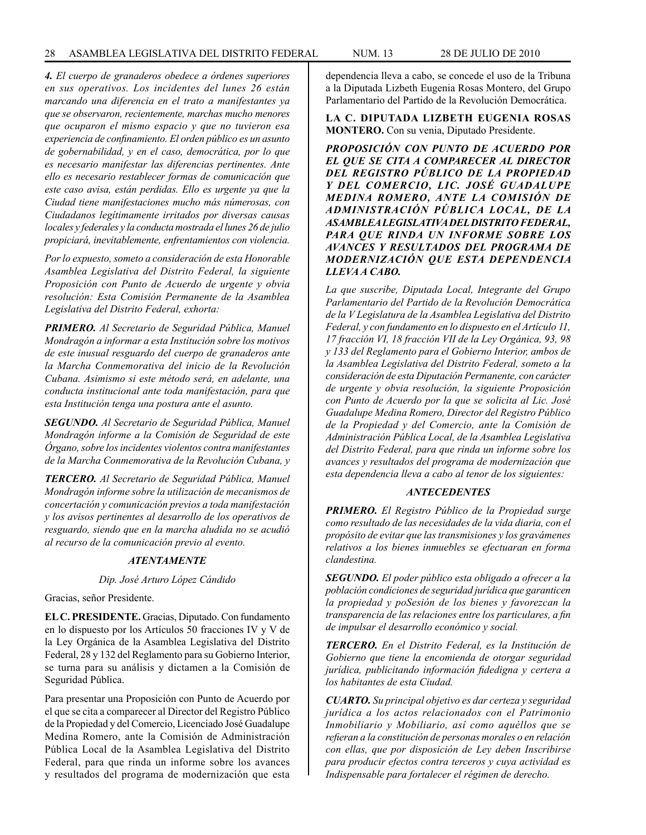*4. El cuerpo de granaderos obedece a órdenes superiores en sus operativos. Los incidentes del lunes 26 están marcando una diferencia en el trato a manifestantes ya que se observaron, recientemente, marchas mucho menores que ocuparon el mismo espacio y que no tuvieron esa experiencia de confinamiento. El orden público es un asunto de gobernabilidad, y en el caso, democrática, por lo que es necesario manifestar las diferencias pertinentes. Ante ello es necesario restablecer formas de comunicación que este caso avisa, están perdidas. Ello es urgente ya que la Ciudad tiene manifestaciones mucho más númerosas, con Ciudadanos legítimamente irritados por diversas causas locales y federales y la conducta mostrada el lunes 26 de julio propiciará, inevitablemente, enfrentamientos con violencia.*

*Por lo expuesto, someto a consideración de esta Honorable Asamblea Legislativa del Distrito Federal, la siguiente Proposición con Punto de Acuerdo de urgente y obvia resolución: Esta Comisión Permanente de la Asamblea Legislativa del Distrito Federal, exhorta:*

*PRIMERO. Al Secretario de Seguridad Pública, Manuel Mondragón a informar a esta Institución sobre los motivos de este inusual resguardo del cuerpo de granaderos ante la Marcha Conmemorativa del inicio de la Revolución Cubana. Asimismo si este método será, en adelante, una conducta institucional ante toda manifestación, para que esta Institución tenga una postura ante el asunto.* 

*SEGUNDO. Al Secretario de Seguridad Pública, Manuel Mondragón informe a la Comisión de Seguridad de este Órgano, sobre los incidentes violentos contra manifestantes de la Marcha Conmemorativa de la Revolución Cubana, y* 

*TERCERO. Al Secretario de Seguridad Pública, Manuel Mondragón informe sobre la utilización de mecanismos de concertación y comunicación previos a toda manifestación y los avisos pertinentes al desarrollo de los operativos de resguardo, siendo que en la marcha aludida no se acudió al recurso de la comunicación previo al evento.*

#### *ATENTAMENTE*

*Dip. José Arturo López Cándido*

Gracias, señor Presidente.

**EL C. PRESIDENTE.** Gracias, Diputado. Con fundamento en lo dispuesto por los Artículos 50 fracciones IV y V de la Ley Orgánica de la Asamblea Legislativa del Distrito Federal, 28 y 132 del Reglamento para su Gobierno Interior, se turna para su análisis y dictamen a la Comisión de Seguridad Pública.

Para presentar una Proposición con Punto de Acuerdo por el que se cita a comparecer al Director del Registro Público de la Propiedad y del Comercio, Licenciado José Guadalupe Medina Romero, ante la Comisión de Administración Pública Local de la Asamblea Legislativa del Distrito Federal, para que rinda un informe sobre los avances y resultados del programa de modernización que esta dependencia lleva a cabo, se concede el uso de la Tribuna a la Diputada Lizbeth Eugenia Rosas Montero, del Grupo Parlamentario del Partido de la Revolución Democrática.

# **LA C. DIPUTADA LIZBETH EUGENIA ROSAS MONTERO.** Con su venia, Diputado Presidente.

*PROPOSICIÓN CON PUNTO DE ACUERDO POR EL QUE SE CITA A COMPARECER AL DIRECTOR DEL REGISTRO PÚBLICO DE LA PROPIEDAD Y DEL COMERCIO, LIC. JOSÉ GUADALUPE MEDINA ROMERO, ANTE LA COMISIÓN DE ADMINISTRACIÓN PÚBLICA LOCAL, DE LA ASAMBLEA LEGISLATIVA DEL DISTRITO FEDERAL, PARA QUE RINDA UN INFORME SOBRE LOS AVANCES Y RESULTADOS DEL PROGRAMA DE MODERNIZACIÓN QUE ESTA DEPENDENCIA LLEVA A CABO.*

*La que suscribe, Diputada Local, Integrante del Grupo Parlamentario del Partido de la Revolución Democrática de la V Legislatura de la Asamblea Legislativa del Distrito Federal, y con fundamento en lo dispuesto en el Artículo 11, 17 fracción VI, 18 fracción VII de la Ley Orgánica, 93, 98 y 133 del Reglamento para el Gobierno Interior, ambos de la Asamblea Legislativa del Distrito Federal, someto a la consideración de esta Diputación Permanente, con carácter de urgente y obvia resolución, la siguiente Proposición con Punto de Acuerdo por la que se solicita al Lic. José Guadalupe Medina Romero, Director del Registro Público de la Propiedad y del Comercio, ante la Comisión de Administración Pública Local, de la Asamblea Legislativa del Distrito Federal, para que rinda un informe sobre los avances y resultados del programa de modernización que esta dependencia lleva a cabo al tenor de los siguientes:*

#### *ANTECEDENTES*

*PRIMERO. El Registro Público de la Propiedad surge como resultado de las necesidades de la vida diaria, con el propósito de evitar que las transmisiones y los gravámenes relativos a los bienes inmuebles se efectuaran en forma clandestina.*

*SEGUNDO. El poder público esta obligado a ofrecer a la población condiciones de seguridad jurídica que garanticen la propiedad y poSesión de los bienes y favorezcan la transparencia de las relaciones entre los particulares, a fin de impulsar el desarrollo económico y social.*

*TERCERO. En el Distrito Federal, es la Institución de Gobierno que tiene la encomienda de otorgar seguridad jurídica, publicitando información fidedigna y certera a los habitantes de esta Ciudad.*

*CUARTO. Su principal objetivo es dar certeza y seguridad jurídica a los actos relacionados con el Patrimonio Inmobiliario y Mobiliario, así como aquéllos que se refieran a la constitución de personas morales o en relación con ellas, que por disposición de Ley deben Inscribirse para producir efectos contra terceros y cuya actividad es Indispensable para fortalecer el régimen de derecho.*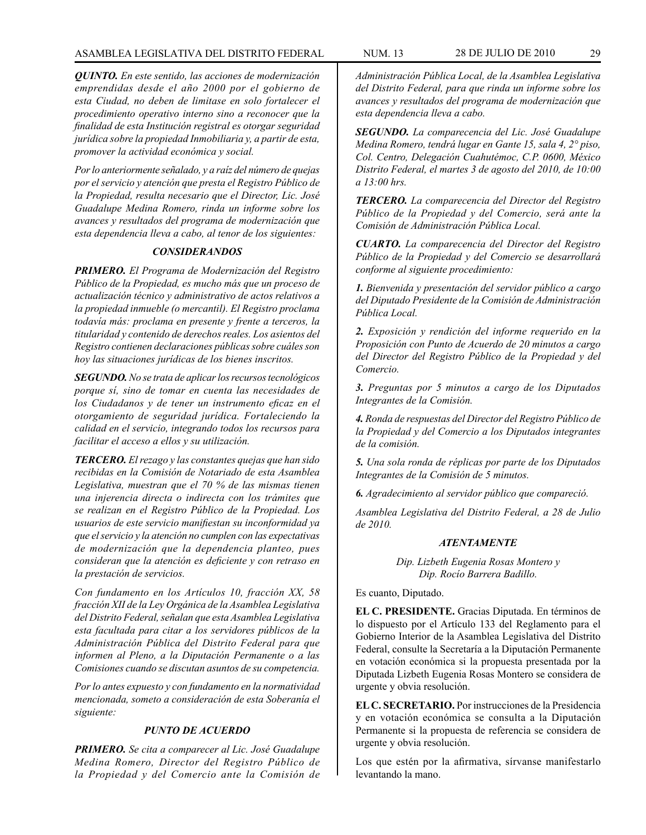*QUINTO. En este sentido, las acciones de modernización emprendidas desde el año 2000 por el gobierno de esta Ciudad, no deben de limitase en solo fortalecer el procedimiento operativo interno sino a reconocer que la finalidad de esta Institución registral es otorgar seguridad jurídica sobre la propiedad Inmobiliaria y, a partir de esta, promover la actividad económica y social.*

*Por lo anteriormente señalado, y a raíz del número de quejas por el servicio y atención que presta el Registro Público de la Propiedad, resulta necesario que el Director, Lic. José Guadalupe Medina Romero, rinda un informe sobre los avances y resultados del programa de modernización que esta dependencia lleva a cabo, al tenor de los siguientes:*

# *CONSIDERANDOS*

*PRIMERO. El Programa de Modernización del Registro Público de la Propiedad, es mucho más que un proceso de actualización técnico y administrativo de actos relativos a la propiedad inmueble (o mercantil). El Registro proclama todavía más: proclama en presente y frente a terceros, la titularidad y contenido de derechos reales. Los asientos del Registro contienen declaraciones públicas sobre cuáles son hoy las situaciones jurídicas de los bienes inscritos.*

*SEGUNDO. No se trata de aplicar los recursos tecnológicos porque sí, sino de tomar en cuenta las necesidades de los Ciudadanos y de tener un instrumento eficaz en el otorgamiento de seguridad jurídica. Fortaleciendo la calidad en el servicio, integrando todos los recursos para facilitar el acceso a ellos y su utilización.*

*TERCERO. El rezago y las constantes quejas que han sido recibidas en la Comisión de Notariado de esta Asamblea Legislativa, muestran que el 70 % de las mismas tienen una injerencia directa o indirecta con los trámites que se realizan en el Registro Público de la Propiedad. Los usuarios de este servicio manifiestan su inconformidad ya que el servicio y la atención no cumplen con las expectativas de modernización que la dependencia planteo, pues consideran que la atención es deficiente y con retraso en la prestación de servicios.*

*Con fundamento en los Artículos 10, fracción XX, 58 fracción XII de la Ley Orgánica de la Asamblea Legislativa del Distrito Federal, señalan que esta Asamblea Legislativa esta facultada para citar a los servidores públicos de la Administración Pública del Distrito Federal para que informen al Pleno, a la Diputación Permanente o a las Comisiones cuando se discutan asuntos de su competencia.*

*Por lo antes expuesto y con fundamento en la normatividad mencionada, someto a consideración de esta Soberanía el siguiente:*

# *PUNTO DE ACUERDO*

*PRIMERO. Se cita a comparecer al Lic. José Guadalupe Medina Romero, Director del Registro Público de la Propiedad y del Comercio ante la Comisión de* 

*Administración Pública Local, de la Asamblea Legislativa del Distrito Federal, para que rinda un informe sobre los avances y resultados del programa de modernización que esta dependencia lleva a cabo.*

*SEGUNDO. La comparecencia del Lic. José Guadalupe Medina Romero, tendrá lugar en Gante 15, sala 4, 2° piso, Col. Centro, Delegación Cuahutémoc, C.P. 0600, México Distrito Federal, el martes 3 de agosto del 2010, de 10:00 a 13:00 hrs.* 

*TERCERO. La comparecencia del Director del Registro Público de la Propiedad y del Comercio, será ante la Comisión de Administración Pública Local.*

*CUARTO. La comparecencia del Director del Registro Público de la Propiedad y del Comercio se desarrollará conforme al siguiente procedimiento:*

*1. Bienvenida y presentación del servidor público a cargo del Diputado Presidente de la Comisión de Administración Pública Local.*

*2. Exposición y rendición del informe requerido en la Proposición con Punto de Acuerdo de 20 minutos a cargo del Director del Registro Público de la Propiedad y del Comercio.*

*3. Preguntas por 5 minutos a cargo de los Diputados Integrantes de la Comisión.*

*4. Ronda de respuestas del Director del Registro Público de la Propiedad y del Comercio a los Diputados integrantes de la comisión.*

*5. Una sola ronda de réplicas por parte de los Diputados Integrantes de la Comisión de 5 minutos.*

*6. Agradecimiento al servidor público que compareció.*

*Asamblea Legislativa del Distrito Federal, a 28 de Julio de 2010.*

#### *ATENTAMENTE*

*Dip. Lizbeth Eugenia Rosas Montero y Dip. Rocío Barrera Badillo.*

Es cuanto, Diputado.

**EL C. PRESIDENTE.** Gracias Diputada. En términos de lo dispuesto por el Artículo 133 del Reglamento para el Gobierno Interior de la Asamblea Legislativa del Distrito Federal, consulte la Secretaría a la Diputación Permanente en votación económica si la propuesta presentada por la Diputada Lizbeth Eugenia Rosas Montero se considera de urgente y obvia resolución.

**EL C. SECRETARIO.** Por instrucciones de la Presidencia y en votación económica se consulta a la Diputación Permanente si la propuesta de referencia se considera de urgente y obvia resolución.

Los que estén por la afirmativa, sírvanse manifestarlo levantando la mano.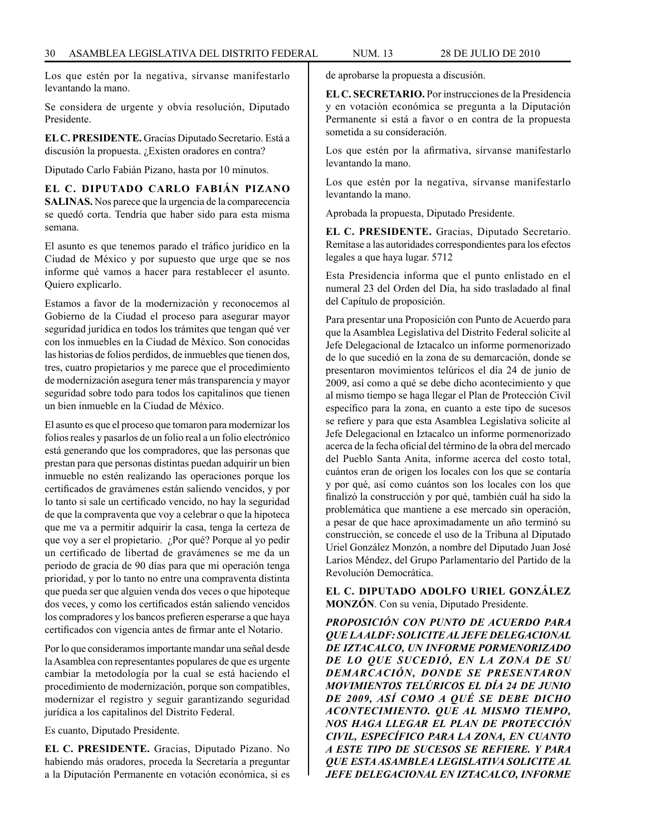Los que estén por la negativa, sírvanse manifestarlo levantando la mano.

Se considera de urgente y obvia resolución, Diputado Presidente.

**EL C. PRESIDENTE.** Gracias Diputado Secretario. Está a discusión la propuesta. ¿Existen oradores en contra?

Diputado Carlo Fabián Pizano, hasta por 10 minutos.

**EL C. DIPUTADO CARLO FABIÁN PIZANO SALINAS.** Nos parece que la urgencia de la comparecencia se quedó corta. Tendría que haber sido para esta misma semana.

El asunto es que tenemos parado el tráfico jurídico en la Ciudad de México y por supuesto que urge que se nos informe qué vamos a hacer para restablecer el asunto. Quiero explicarlo.

Estamos a favor de la modernización y reconocemos al Gobierno de la Ciudad el proceso para asegurar mayor seguridad jurídica en todos los trámites que tengan qué ver con los inmuebles en la Ciudad de México. Son conocidas las historias de folios perdidos, de inmuebles que tienen dos, tres, cuatro propietarios y me parece que el procedimiento de modernización asegura tener más transparencia y mayor seguridad sobre todo para todos los capitalinos que tienen un bien inmueble en la Ciudad de México.

El asunto es que el proceso que tomaron para modernizar los folios reales y pasarlos de un folio real a un folio electrónico está generando que los compradores, que las personas que prestan para que personas distintas puedan adquirir un bien inmueble no estén realizando las operaciones porque los certificados de gravámenes están saliendo vencidos, y por lo tanto si sale un certificado vencido, no hay la seguridad de que la compraventa que voy a celebrar o que la hipoteca que me va a permitir adquirir la casa, tenga la certeza de que voy a ser el propietario. ¿Por qué? Porque al yo pedir un certificado de libertad de gravámenes se me da un periodo de gracia de 90 días para que mi operación tenga prioridad, y por lo tanto no entre una compraventa distinta que pueda ser que alguien venda dos veces o que hipoteque dos veces, y como los certificados están saliendo vencidos los compradores y los bancos prefieren esperarse a que haya certificados con vigencia antes de firmar ante el Notario.

Por lo que consideramos importante mandar una señal desde la Asamblea con representantes populares de que es urgente cambiar la metodología por la cual se está haciendo el procedimiento de modernización, porque son compatibles, modernizar el registro y seguir garantizando seguridad jurídica a los capitalinos del Distrito Federal.

Es cuanto, Diputado Presidente.

**EL C. PRESIDENTE.** Gracias, Diputado Pizano. No habiendo más oradores, proceda la Secretaría a preguntar a la Diputación Permanente en votación económica, si es de aprobarse la propuesta a discusión.

**EL C. SECRETARIO.** Por instrucciones de la Presidencia y en votación económica se pregunta a la Diputación Permanente si está a favor o en contra de la propuesta sometida a su consideración.

Los que estén por la afirmativa, sírvanse manifestarlo levantando la mano.

Los que estén por la negativa, sírvanse manifestarlo levantando la mano.

Aprobada la propuesta, Diputado Presidente.

**EL C. PRESIDENTE.** Gracias, Diputado Secretario. Remítase a las autoridades correspondientes para los efectos legales a que haya lugar. 5712

Esta Presidencia informa que el punto enlistado en el numeral 23 del Orden del Día, ha sido trasladado al final del Capítulo de proposición.

Para presentar una Proposición con Punto de Acuerdo para que la Asamblea Legislativa del Distrito Federal solicite al Jefe Delegacional de Iztacalco un informe pormenorizado de lo que sucedió en la zona de su demarcación, donde se presentaron movimientos telúricos el día 24 de junio de 2009, así como a qué se debe dicho acontecimiento y que al mismo tiempo se haga llegar el Plan de Protección Civil específico para la zona, en cuanto a este tipo de sucesos se refiere y para que esta Asamblea Legislativa solicite al Jefe Delegacional en Iztacalco un informe pormenorizado acerca de la fecha oficial del término de la obra del mercado del Pueblo Santa Anita, informe acerca del costo total, cuántos eran de origen los locales con los que se contaría y por qué, así como cuántos son los locales con los que finalizó la construcción y por qué, también cuál ha sido la problemática que mantiene a ese mercado sin operación, a pesar de que hace aproximadamente un año terminó su construcción, se concede el uso de la Tribuna al Diputado Uriel González Monzón, a nombre del Diputado Juan José Larios Méndez, del Grupo Parlamentario del Partido de la Revolución Democrática.

**EL C. DIPUTADO ADOLFO URIEL GONZÁLEZ MONZÓN**. Con su venia, Diputado Presidente.

*PROPOSICIÓN CON PUNTO DE ACUERDO PARA QUE LA ALDF: SOLICITE AL JEFE DELEGACIONAL DE IZTACALCO, UN INFORME PORMENORIZADO DE LO QUE SUCEDIÓ, EN LA ZONA DE SU DEMARCACIÓN, DONDE SE PRESENTARON MOVIMIENTOS TELÚRICOS EL DÍA 24 DE JUNIO DE 2009, ASÍ COMO A QUÉ SE DEBE DICHO ACONTECIMIENTO. QUE AL MISMO TIEMPO, NOS HAGA LLEGAR EL PLAN DE PROTECCIÓN CIVIL, ESPECÍFICO PARA LA ZONA, EN CUANTO A ESTE TIPO DE SUCESOS SE REFIERE. Y PARA QUE ESTA ASAMBLEA LEGISLATIVA SOLICITE AL JEFE DELEGACIONAL EN IZTACALCO, INFORME*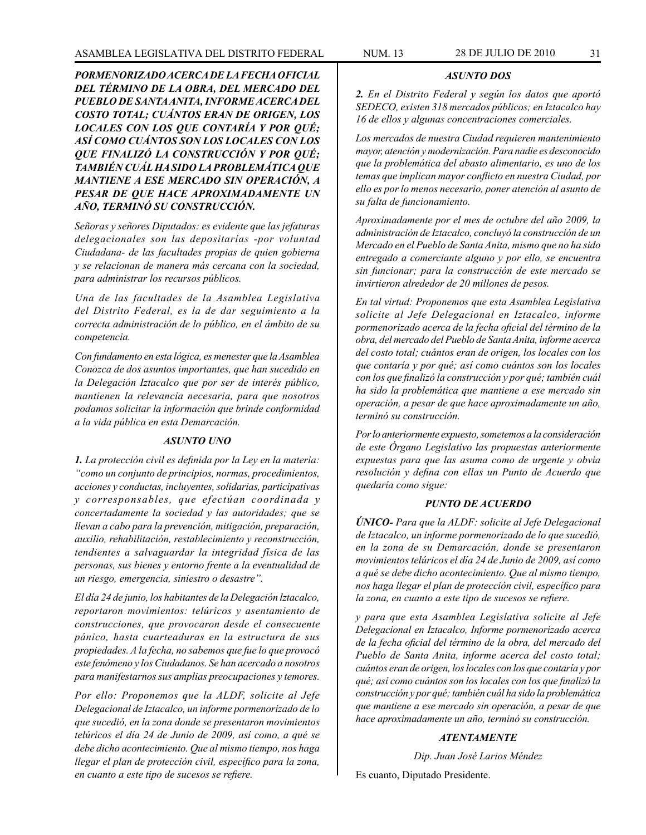#### *ASUNTO DOS*

*2. En el Distrito Federal y según los datos que aportó SEDECO, existen 318 mercados públicos; en Iztacalco hay 16 de ellos y algunas concentraciones comerciales.*

*Los mercados de nuestra Ciudad requieren mantenimiento mayor, atención y modernización. Para nadie es desconocido que la problemática del abasto alimentario, es uno de los temas que implican mayor conflicto en nuestra Ciudad, por ello es por lo menos necesario, poner atención al asunto de su falta de funcionamiento.*

*Aproximadamente por el mes de octubre del año 2009, la administración de Iztacalco, concluyó la construcción de un Mercado en el Pueblo de Santa Anita, mismo que no ha sido entregado a comerciante alguno y por ello, se encuentra sin funcionar; para la construcción de este mercado se invirtieron alrededor de 20 millones de pesos.*

*En tal virtud: Proponemos que esta Asamblea Legislativa solicite al Jefe Delegacional en Iztacalco, informe pormenorizado acerca de la fecha oficial del término de la obra, del mercado del Pueblo de Santa Anita, informe acerca del costo total; cuántos eran de origen, los locales con los que contaría y por qué; así como cuántos son los locales con los que finalizó la construcción y por qué; también cuál ha sido la problemática que mantiene a ese mercado sin operación, a pesar de que hace aproximadamente un año, terminó su construcción.*

*Por lo anteriormente expuesto, sometemos a la consideración de este Órgano Legislativo las propuestas anteriormente expuestas para que las asuma como de urgente y obvia resolución y defina con ellas un Punto de Acuerdo que quedaría como sigue:*

# *PUNTO DE ACUERDO*

*ÚNICO- Para que la ALDF: solicite al Jefe Delegacional de Iztacalco, un informe pormenorizado de lo que sucedió, en la zona de su Demarcación, donde se presentaron movimientos telúricos el día 24 de Junio de 2009, así como a qué se debe dicho acontecimiento. Que al mismo tiempo, nos haga llegar el plan de protección civil, específico para la zona, en cuanto a este tipo de sucesos se refiere.*

*y para que esta Asamblea Legislativa solicite al Jefe Delegacional en Iztacalco, Informe pormenorizado acerca de la fecha oficial del término de la obra, del mercado del Pueblo de Santa Anita, informe acerca del costo total; cuántos eran de origen, los locales con los que contaría y por qué; así como cuántos son los locales con los que finalizó la construcción y por qué; también cuál ha sido la problemática que mantiene a ese mercado sin operación, a pesar de que hace aproximadamente un año, terminó su construcción.*

# *ATENTAMENTE*

*Dip. Juan José Larios Méndez*

Es cuanto, Diputado Presidente.

*PORMENORIZADO ACERCA DE LA FECHA OFICIAL DEL TÉRMINO DE LA OBRA, DEL MERCADO DEL PUEBLO DE SANTA ANITA, INFORME ACERCA DEL COSTO TOTAL; CUÁNTOS ERAN DE ORIGEN, LOS LOCALES CON LOS QUE CONTARÍA Y POR QUÉ; ASÍ COMO CUÁNTOS SON LOS LOCALES CON LOS QUE FINALIZÓ LA CONSTRUCCIÓN Y POR QUÉ; TAMBIÉN CUÁL HA SIDO LA PROBLEMÁTICA QUE MANTIENE A ESE MERCADO SIN OPERACIÓN, A PESAR DE QUE HACE APROXIMADAMENTE UN AÑO, TERMINÓ SU CONSTRUCCIÓN.*

*Señoras y señores Diputados: es evidente que las jefaturas delegacionales son las depositarías -por voluntad Ciudadana- de las facultades propias de quien gobierna y se relacionan de manera más cercana con la sociedad, para administrar los recursos públicos.*

*Una de las facultades de la Asamblea Legislativa del Distrito Federal, es la de dar seguimiento a la correcta administración de lo público, en el ámbito de su competencia.*

*Con fundamento en esta lógica, es menester que la Asamblea Conozca de dos asuntos importantes, que han sucedido en la Delegación Iztacalco que por ser de interés público, mantienen la relevancia necesaria, para que nosotros podamos solicitar la información que brinde conformidad a la vida pública en esta Demarcación.*

#### *ASUNTO UNO*

*1. La protección civil es definida por la Ley en la materia: "como un conjunto de principios, normas, procedimientos, acciones y conductas, incluyentes, solidarias, participativas y corresponsables, que efectúan coordinada y concertadamente la sociedad y las autoridades; que se llevan a cabo para la prevención, mitigación, preparación, auxilio, rehabilitación, restablecimiento y reconstrucción, tendientes a salvaguardar la integridad física de las personas, sus bienes y entorno frente a la eventualidad de un riesgo, emergencia, siniestro o desastre".*

*El día 24 de junio, los habitantes de la Delegación lztacalco, reportaron movimientos: telúricos y asentamiento de construcciones, que provocaron desde el consecuente pánico, hasta cuarteaduras en la estructura de sus propiedades. A la fecha, no sabemos que fue lo que provocó este fenómeno y los Ciudadanos. Se han acercado a nosotros para manifestarnos sus amplias preocupaciones y temores.*

*Por ello: Proponemos que la ALDF, solicite al Jefe Delegacional de Iztacalco, un informe pormenorizado de lo que sucedió, en la zona donde se presentaron movimientos telúricos el día 24 de Junio de 2009, así como, a qué se debe dicho acontecimiento. Que al mismo tiempo, nos haga llegar el plan de protección civil, específico para la zona, en cuanto a este tipo de sucesos se refiere.*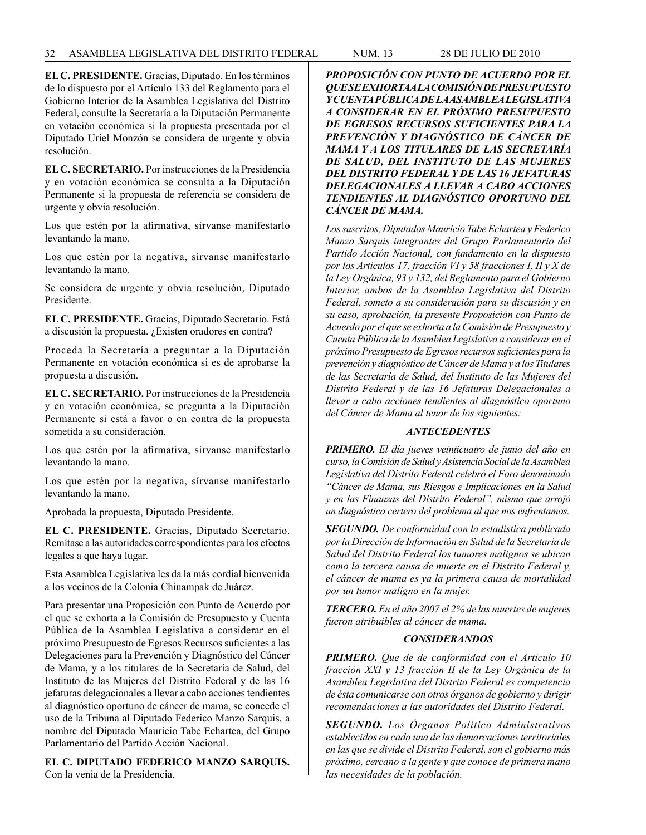# 32 ASAMBLEA LEGISLATIVA DEL DISTRITO FEDERAL NUM. 13 28 de JULIo de 2010

**EL C. PRESIDENTE.** Gracias, Diputado. En los términos de lo dispuesto por el Artículo 133 del Reglamento para el Gobierno Interior de la Asamblea Legislativa del Distrito Federal, consulte la Secretaría a la Diputación Permanente en votación económica si la propuesta presentada por el Diputado Uriel Monzón se considera de urgente y obvia resolución.

**EL C. SECRETARIO.** Por instrucciones de la Presidencia y en votación económica se consulta a la Diputación Permanente si la propuesta de referencia se considera de urgente y obvia resolución.

Los que estén por la afirmativa, sírvanse manifestarlo levantando la mano.

Los que estén por la negativa, sírvanse manifestarlo levantando la mano.

Se considera de urgente y obvia resolución, Diputado Presidente.

**EL C. PRESIDENTE.** Gracias, Diputado Secretario. Está a discusión la propuesta. ¿Existen oradores en contra?

Proceda la Secretaría a preguntar a la Diputación Permanente en votación económica si es de aprobarse la propuesta a discusión.

**EL C. SECRETARIO.** Por instrucciones de la Presidencia y en votación económica, se pregunta a la Diputación Permanente si está a favor o en contra de la propuesta sometida a su consideración.

Los que estén por la afirmativa, sírvanse manifestarlo levantando la mano.

Los que estén por la negativa, sírvanse manifestarlo levantando la mano.

Aprobada la propuesta, Diputado Presidente.

**EL C. PRESIDENTE.** Gracias, Diputado Secretario. Remítase a las autoridades correspondientes para los efectos legales a que haya lugar.

Esta Asamblea Legislativa les da la más cordial bienvenida a los vecinos de la Colonia Chinampak de Juárez.

Para presentar una Proposición con Punto de Acuerdo por el que se exhorta a la Comisión de Presupuesto y Cuenta Pública de la Asamblea Legislativa a considerar en el próximo Presupuesto de Egresos Recursos suficientes a las Delegaciones para la Prevención y Diagnóstico del Cáncer de Mama, y a los titulares de la Secretaría de Salud, del Instituto de las Mujeres del Distrito Federal y de las 16 jefaturas delegacionales a llevar a cabo acciones tendientes al diagnóstico oportuno de cáncer de mama, se concede el uso de la Tribuna al Diputado Federico Manzo Sarquis, a nombre del Diputado Mauricio Tabe Echartea, del Grupo Parlamentario del Partido Acción Nacional.

**EL C. DIPUTADO FEDERICO MANZO SARQUIS.** Con la venia de la Presidencia.

*PROPOSICIÓN CON PUNTO DE ACUERDO POR EL QUE SE EXHORTA A LA COMISIÓN DE PRESUPUESTO Y CUENTA PÚBLICA DE LA ASAMBLEA LEGISLATIVA A CONSIDERAR EN EL PRÓXIMO PRESUPUESTO DE EGRESOS RECURSOS SUFICIENTES PARA LA PREVENCIÓN Y DIAGNÓSTICO DE CÁNCER DE MAMA Y A LOS TITULARES DE LAS SECRETARÍA DE SALUD, DEL INSTITUTO DE LAS MUJERES DEL DISTRITO FEDERAL Y DE LAS 16 JEFATURAS DELEGACIONALES A LLEVAR A CABO ACCIONES TENDIENTES AL DIAGNÓSTICO OPORTUNO DEL CÁNCER DE MAMA.*

*Los suscritos, Diputados Mauricio Tabe Echartea y Federico Manzo Sarquis integrantes del Grupo Parlamentario del Partido Acción Nacional, con fundamento en la dispuesto por los Artículos 17, fracción VI y 58 fracciones I, II y X de la Ley Orgánica, 93 y 132, del Reglamento para el Gobierno Interior, ambos de la Asamblea Legislativa del Distrito Federal, someto a su consideración para su discusión y en su caso, aprobación, la presente Proposición con Punto de Acuerdo por el que se exhorta a la Comisión de Presupuesto y Cuenta Pública de la Asamblea Legislativa a considerar en el próximo Presupuesto de Egresos recursos suficientes para la prevención y diagnóstico de Cáncer de Mama y a los Titulares de las Secretaría de Salud, del Instituto de las Mujeres del Distrito Federal y de las 16 Jefaturas Delegacionales a llevar a cabo acciones tendientes al diagnóstico oportuno del Cáncer de Mama al tenor de los siguientes:*

#### *ANTECEDENTES*

*PRIMERO. El día jueves veinticuatro de junio del año en curso, la Comisión de Salud y Asistencia Social de la Asamblea Legislativa del Distrito Federal celebró el Foro denominado "Cáncer de Mama, sus Riesgos e Implicaciones en la Salud y en las Finanzas del Distrito Federal", mismo que arrojó un diagnóstico certero del problema al que nos enfrentamos.*

*SEGUNDO. De conformidad con la estadística publicada por la Dirección de Información en Salud de la Secretaría de Salud del Distrito Federal los tumores malignos se ubican como la tercera causa de muerte en el Distrito Federal y, el cáncer de mama es ya la primera causa de mortalidad por un tumor maligno en la mujer.*

*TERCERO. En el año 2007 el 2% de las muertes de mujeres fueron atribuibles al cáncer de mama.*

#### *CONSIDERANDOS*

*PRIMERO. Que de de conformidad con el Artículo 10 fracción XXI y 13 fracción II de la Ley Orgánica de la Asamblea Legislativa del Distrito Federal es competencia de ésta comunicarse con otros órganos de gobierno y dirigir recomendaciones a las autoridades del Distrito Federal.*

*SEGUNDO. Los Órganos Político Administrativos establecidos en cada una de las demarcaciones territoriales en las que se divide el Distrito Federal, son el gobierno más próximo, cercano a la gente y que conoce de primera mano las necesidades de la población.*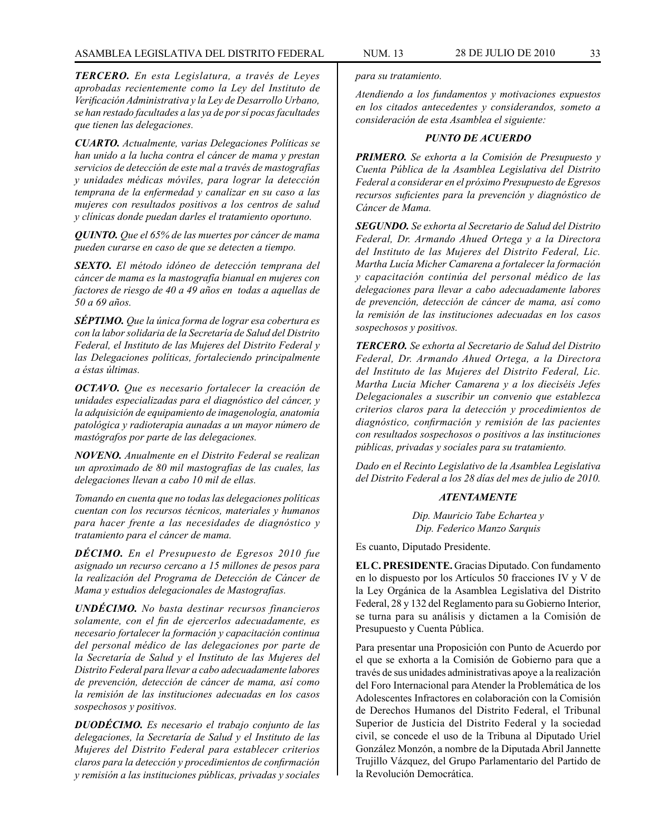*TERCERO. En esta Legislatura, a través de Leyes aprobadas recientemente como la Ley del Instituto de Verificación Administrativa y la Ley de Desarrollo Urbano, se han restado facultades a las ya de por sí pocas facultades que tienen las delegaciones.*

*CUARTO. Actualmente, varias Delegaciones Políticas se han unido a la lucha contra el cáncer de mama y prestan servicios de detección de este mal a través de mastografías y unidades médicas móviles, para lograr la detección temprana de la enfermedad y canalizar en su caso a las mujeres con resultados positivos a los centros de salud y clínicas donde puedan darles el tratamiento oportuno.*

*QUINTO. Que el 65% de las muertes por cáncer de mama pueden curarse en caso de que se detecten a tiempo.*

*SEXTO. El método idóneo de detección temprana del cáncer de mama es la mastografía bianual en mujeres con factores de riesgo de 40 a 49 años en todas a aquellas de 50 a 69 años.*

*SÉPTIMO. Que la única forma de lograr esa cobertura es con la labor solidaria de la Secretaría de Salud del Distrito Federal, el Instituto de las Mujeres del Distrito Federal y las Delegaciones políticas, fortaleciendo principalmente a éstas últimas.*

*OCTAVO. Que es necesario fortalecer la creación de unidades especializadas para el diagnóstico del cáncer, y la adquisición de equipamiento de imagenología, anatomía patológica y radioterapia aunadas a un mayor número de mastógrafos por parte de las delegaciones.*

*NOVENO. Anualmente en el Distrito Federal se realizan un aproximado de 80 mil mastografías de las cuales, las delegaciones llevan a cabo 10 mil de ellas.*

*Tomando en cuenta que no todas las delegaciones políticas cuentan con los recursos técnicos, materiales y humanos para hacer frente a las necesidades de diagnóstico y tratamiento para el cáncer de mama.*

*DÉCIMO. En el Presupuesto de Egresos 2010 fue asignado un recurso cercano a 15 millones de pesos para la realización del Programa de Detección de Cáncer de Mama y estudios delegacionales de Mastografías.*

*UNDÉCIMO. No basta destinar recursos financieros solamente, con el fin de ejercerlos adecuadamente, es necesario fortalecer la formación y capacitación continua del personal médico de las delegaciones por parte de la Secretaría de Salud y el Instituto de las Mujeres del Distrito Federal para llevar a cabo adecuadamente labores de prevención, detección de cáncer de mama, así como la remisión de las instituciones adecuadas en los casos sospechosos y positivos.*

*DUODÉCIMO. Es necesario el trabajo conjunto de las delegaciones, la Secretaría de Salud y el Instituto de las Mujeres del Distrito Federal para establecer criterios claros para la detección y procedimientos de confirmación y remisión a las instituciones públicas, privadas y sociales* 

*para su tratamiento.*

*Atendiendo a los fundamentos y motivaciones expuestos en los citados antecedentes y considerandos, someto a consideración de esta Asamblea el siguiente:*

# *PUNTO DE ACUERDO*

*PRIMERO. Se exhorta a la Comisión de Presupuesto y Cuenta Pública de la Asamblea Legislativa del Distrito Federal a considerar en el próximo Presupuesto de Egresos recursos suficientes para la prevención y diagnóstico de Cáncer de Mama.*

*SEGUNDO. Se exhorta al Secretario de Salud del Distrito Federal, Dr. Armando Ahued Ortega y a la Directora del Instituto de las Mujeres del Distrito Federal, Lic. Martha Lucía Micher Camarena a fortalecer la formación y capacitación continúa del personal médico de las delegaciones para llevar a cabo adecuadamente labores de prevención, detección de cáncer de mama, así como la remisión de las instituciones adecuadas en los casos sospechosos y positivos.*

*TERCERO. Se exhorta al Secretario de Salud del Distrito Federal, Dr. Armando Ahued Ortega, a la Directora del Instituto de las Mujeres del Distrito Federal, Lic. Martha Lucia Micher Camarena y a los dieciséis Jefes Delegacionales a suscribir un convenio que establezca criterios claros para la detección y procedimientos de diagnóstico, confirmación y remisión de las pacientes con resultados sospechosos o positivos a las instituciones públicas, privadas y sociales para su tratamiento.*

*Dado en el Recinto Legislativo de la Asamblea Legislativa del Distrito Federal a los 28 días del mes de julio de 2010.*

#### *ATENTAMENTE*

*Dip. Mauricio Tabe Echartea y Dip. Federico Manzo Sarquis*

Es cuanto, Diputado Presidente.

**EL C. PRESIDENTE.** Gracias Diputado. Con fundamento en lo dispuesto por los Artículos 50 fracciones IV y V de la Ley Orgánica de la Asamblea Legislativa del Distrito Federal, 28 y 132 del Reglamento para su Gobierno Interior, se turna para su análisis y dictamen a la Comisión de Presupuesto y Cuenta Pública.

Para presentar una Proposición con Punto de Acuerdo por el que se exhorta a la Comisión de Gobierno para que a través de sus unidades administrativas apoye a la realización del Foro Internacional para Atender la Problemática de los Adolescentes Infractores en colaboración con la Comisión de Derechos Humanos del Distrito Federal, el Tribunal Superior de Justicia del Distrito Federal y la sociedad civil, se concede el uso de la Tribuna al Diputado Uriel González Monzón, a nombre de la Diputada Abril Jannette Trujillo Vázquez, del Grupo Parlamentario del Partido de la Revolución Democrática.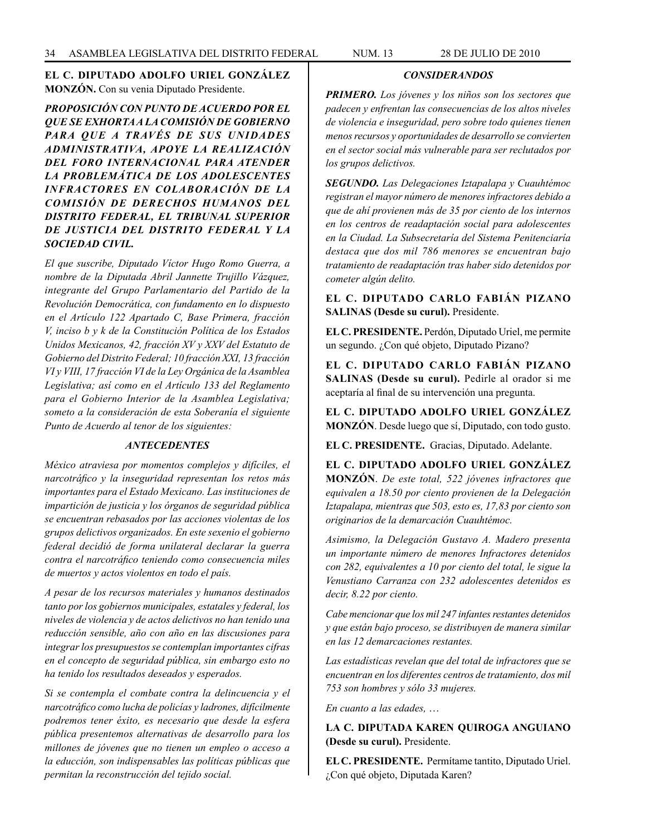# **EL C. DIPUTADO ADOLFO URIEL GONZÁLEZ MONZÓN.** Con su venia Diputado Presidente.

*PROPOSICIÓN CON PUNTO DE ACUERDO POR EL QUE SE EXHORTA A LA COMISIÓN DE GOBIERNO PARA QUE A TRAVÉS DE SUS UNIDADES ADMINISTRATIVA, APOYE LA REALIZACIÓN DEL FORO INTERNACIONAL PARA ATENDER LA PROBLEMÁTICA DE LOS ADOLESCENTES INFRACTORES EN COLABORACIÓN DE LA COMISIÓN DE DERECHOS HUMANOS DEL DISTRITO FEDERAL, EL TRIBUNAL SUPERIOR DE JUSTICIA DEL DISTRITO FEDERAL Y LA SOCIEDAD CIVIL.*

*El que suscribe, Diputado Víctor Hugo Romo Guerra, a nombre de la Diputada Abril Jannette Trujillo Vázquez, integrante del Grupo Parlamentario del Partido de la Revolución Democrática, con fundamento en lo dispuesto en el Artículo 122 Apartado C, Base Primera, fracción V, inciso b y k de la Constitución Política de los Estados Unidos Mexicanos, 42, fracción XV y XXV del Estatuto de Gobierno del Distrito Federal; 10 fracción XXI, 13 fracción VI y VIII, 17 fracción VI de la Ley Orgánica de la Asamblea Legislativa; así como en el Artículo 133 del Reglamento para el Gobierno Interior de la Asamblea Legislativa; someto a la consideración de esta Soberanía el siguiente Punto de Acuerdo al tenor de los siguientes:*

#### *ANTECEDENTES*

*México atraviesa por momentos complejos y difíciles, el narcotráfico y la inseguridad representan los retos más importantes para el Estado Mexicano. Las instituciones de impartición de justicia y los órganos de seguridad pública se encuentran rebasados por las acciones violentas de los grupos delictivos organizados. En este sexenio el gobierno federal decidió de forma unilateral declarar la guerra contra el narcotráfico teniendo como consecuencia miles de muertos y actos violentos en todo el país.*

*A pesar de los recursos materiales y humanos destinados tanto por los gobiernos municipales, estatales y federal, los niveles de violencia y de actos delictivos no han tenido una reducción sensible, año con año en las discusiones para integrar los presupuestos se contemplan importantes cifras en el concepto de seguridad pública, sin embargo esto no ha tenido los resultados deseados y esperados.*

*Si se contempla el combate contra la delincuencia y el narcotráfico como lucha de policías y ladrones, difícilmente podremos tener éxito, es necesario que desde la esfera pública presentemos alternativas de desarrollo para los millones de jóvenes que no tienen un empleo o acceso a la educción, son indispensables las políticas públicas que permitan la reconstrucción del tejido social.*

# *CONSIDERANDOS*

*PRIMERO. Los jóvenes y los niños son los sectores que padecen y enfrentan las consecuencias de los altos niveles de violencia e inseguridad, pero sobre todo quienes tienen menos recursos y oportunidades de desarrollo se convierten en el sector social más vulnerable para ser reclutados por los grupos delictivos.*

*SEGUNDO. Las Delegaciones Iztapalapa y Cuauhtémoc registran el mayor número de menores infractores debido a que de ahí provienen más de 35 por ciento de los internos en los centros de readaptación social para adolescentes en la Ciudad. La Subsecretaría del Sistema Penitenciaría destaca que dos mil 786 menores se encuentran bajo tratamiento de readaptación tras haber sido detenidos por cometer algún delito.*

**EL C. DIPUTADO CARLO FABIÁN PIZANO SALINAS (Desde su curul).** Presidente.

**EL C. PRESIDENTE.** Perdón, Diputado Uriel, me permite un segundo. ¿Con qué objeto, Diputado Pizano?

**EL C. DIPUTADO CARLO FABIÁN PIZANO SALINAS (Desde su curul).** Pedirle al orador si me aceptaría al final de su intervención una pregunta.

**EL C. DIPUTADO ADOLFO URIEL GONZÁLEZ MONZÓN**. Desde luego que sí, Diputado, con todo gusto.

**EL C. PRESIDENTE.** Gracias, Diputado. Adelante.

**EL C. DIPUTADO ADOLFO URIEL GONZÁLEZ MONZÓN**. *De este total, 522 jóvenes infractores que equivalen a 18.50 por ciento provienen de la Delegación Iztapalapa, mientras que 503, esto es, 17,83 por ciento son originarios de la demarcación Cuauhtémoc.*

*Asimismo, la Delegación Gustavo A. Madero presenta un importante número de menores Infractores detenidos con 282, equivalentes a 10 por ciento del total, le sigue la Venustiano Carranza con 232 adolescentes detenidos es decir, 8.22 por ciento.*

*Cabe mencionar que los mil 247 infantes restantes detenidos y que están bajo proceso, se distribuyen de manera similar en las 12 demarcaciones restantes.*

*Las estadísticas revelan que del total de infractores que se encuentran en los diferentes centros de tratamiento, dos mil 753 son hombres y sólo 33 mujeres.*

*En cuanto a las edades,* …

**LA C. DIPUTADA KAREN QUIROGA ANGUIANO (Desde su curul).** Presidente.

**EL C. PRESIDENTE.** Permítame tantito, Diputado Uriel. ¿Con qué objeto, Diputada Karen?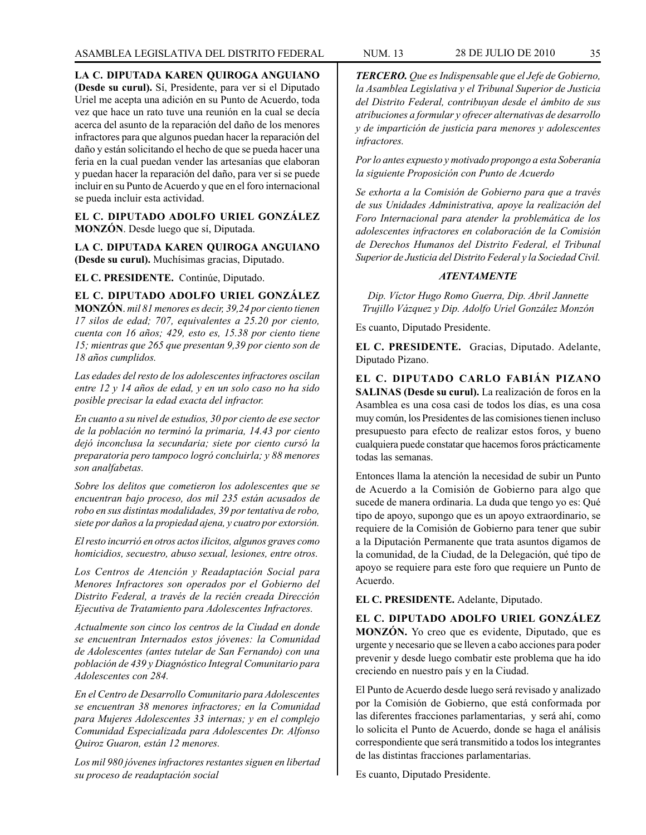**LA C. DIPUTADA KAREN QUIROGA ANGUIANO (Desde su curul).** Sí, Presidente, para ver si el Diputado Uriel me acepta una adición en su Punto de Acuerdo, toda vez que hace un rato tuve una reunión en la cual se decía acerca del asunto de la reparación del daño de los menores infractores para que algunos puedan hacer la reparación del daño y están solicitando el hecho de que se pueda hacer una feria en la cual puedan vender las artesanías que elaboran y puedan hacer la reparación del daño, para ver si se puede incluir en su Punto de Acuerdo y que en el foro internacional se pueda incluir esta actividad.

**EL C. DIPUTADO ADOLFO URIEL GONZÁLEZ MONZÓN**. Desde luego que sí, Diputada.

**LA C. DIPUTADA KAREN QUIROGA ANGUIANO (Desde su curul).** Muchísimas gracias, Diputado.

**EL C. PRESIDENTE.** Continúe, Diputado.

**EL C. DIPUTADO ADOLFO URIEL GONZÁLEZ MONZÓN**. *mil 81 menores es decir, 39,24 por ciento tienen 17 silos de edad; 707, equivalentes a 25.20 por ciento, cuenta con 16 años; 429, esto es, 15.38 por ciento tiene 15; mientras que 265 que presentan 9,39 por ciento son de 18 años cumplidos.*

*Las edades del resto de los adolescentes infractores oscilan entre 12 y 14 años de edad, y en un solo caso no ha sido posible precisar la edad exacta del infractor.*

*En cuanto a su nivel de estudios, 30 por ciento de ese sector de la población no terminó la primaria, 14.43 por ciento dejó inconclusa la secundaria; siete por ciento cursó la preparatoria pero tampoco logró concluirla; y 88 menores son analfabetas.*

*Sobre los delitos que cometieron los adolescentes que se encuentran bajo proceso, dos mil 235 están acusados de robo en sus distintas modalidades, 39 por tentativa de robo, siete por daños a la propiedad ajena, y cuatro por extorsión.*

*El resto incurrió en otros actos iIicitos, algunos graves como homicidios, secuestro, abuso sexual, lesiones, entre otros.*

*Los Centros de Atención y Readaptación Social para Menores Infractores son operados por el Gobierno del Distrito Federal, a través de la recién creada Dirección Ejecutiva de Tratamiento para Adolescentes Infractores.*

*Actualmente son cinco los centros de la Ciudad en donde se encuentran Internados estos jóvenes: la Comunidad de Adolescentes (antes tutelar de San Fernando) con una población de 439 y Diagnóstico Integral Comunitario para Adolescentes con 284.*

*En el Centro de Desarrollo Comunitario para Adolescentes se encuentran 38 menores infractores; en la Comunidad para Mujeres Adolescentes 33 internas; y en el complejo Comunidad Especializada para Adolescentes Dr. Alfonso Quiroz Guaron, están 12 menores.*

*Los mil 980 jóvenes infractores restantes siguen en libertad su proceso de readaptación social*

*TERCERO. Que es Indispensable que el Jefe de Gobierno, la Asamblea Legislativa y el Tribunal Superior de Justicia del Distrito Federal, contribuyan desde el ámbito de sus atribuciones a formular y ofrecer alternativas de desarrollo y de impartición de justicia para menores y adolescentes infractores.*

*Por lo antes expuesto y motivado propongo a esta Soberanía la siguiente Proposición con Punto de Acuerdo*

*Se exhorta a la Comisión de Gobierno para que a través de sus Unidades Administrativa, apoye la realización del Foro Internacional para atender la problemática de los adolescentes infractores en colaboración de la Comisión de Derechos Humanos del Distrito Federal, el Tribunal Superior de Justicia del Distrito Federal y la Sociedad Civil.*

# *ATENTAMENTE*

*Dip. Víctor Hugo Romo Guerra, Dip. Abril Jannette Trujillo Vázquez y Dip. Adolfo Uriel González Monzón*

Es cuanto, Diputado Presidente.

**EL C. PRESIDENTE.** Gracias, Diputado. Adelante, Diputado Pizano.

**EL C. DIPUTADO CARLO FABIÁN PIZANO SALINAS (Desde su curul).** La realización de foros en la Asamblea es una cosa casi de todos los días, es una cosa muy común, los Presidentes de las comisiones tienen incluso presupuesto para efecto de realizar estos foros, y bueno cualquiera puede constatar que hacemos foros prácticamente todas las semanas.

Entonces llama la atención la necesidad de subir un Punto de Acuerdo a la Comisión de Gobierno para algo que sucede de manera ordinaria. La duda que tengo yo es: Qué tipo de apoyo, supongo que es un apoyo extraordinario, se requiere de la Comisión de Gobierno para tener que subir a la Diputación Permanente que trata asuntos digamos de la comunidad, de la Ciudad, de la Delegación, qué tipo de apoyo se requiere para este foro que requiere un Punto de Acuerdo.

**EL C. PRESIDENTE.** Adelante, Diputado.

**EL C. DIPUTADO ADOLFO URIEL GONZÁLEZ MONZÓN.** Yo creo que es evidente, Diputado, que es urgente y necesario que se lleven a cabo acciones para poder prevenir y desde luego combatir este problema que ha ido creciendo en nuestro país y en la Ciudad.

El Punto de Acuerdo desde luego será revisado y analizado por la Comisión de Gobierno, que está conformada por las diferentes fracciones parlamentarias, y será ahí, como lo solicita el Punto de Acuerdo, donde se haga el análisis correspondiente que será transmitido a todos los integrantes de las distintas fracciones parlamentarias.

Es cuanto, Diputado Presidente.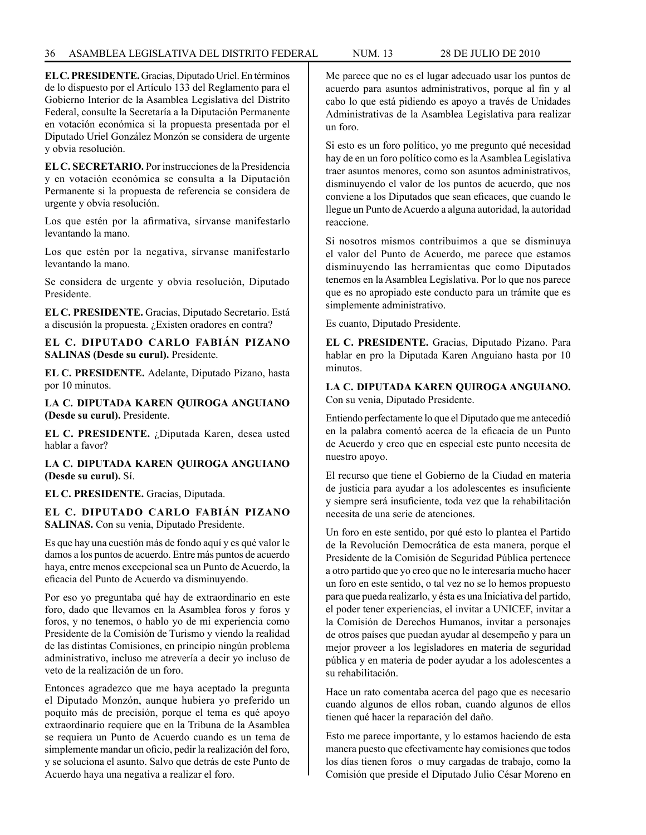## 36 ASAMBLEA LEGISLATIVA DEL DISTRITO FEDERAL NUM. 13 28 de JULIo de 2010

**EL C. PRESIDENTE.** Gracias, Diputado Uriel. En términos de lo dispuesto por el Artículo 133 del Reglamento para el Gobierno Interior de la Asamblea Legislativa del Distrito Federal, consulte la Secretaría a la Diputación Permanente en votación económica si la propuesta presentada por el Diputado Uriel González Monzón se considera de urgente y obvia resolución.

**EL C. SECRETARIO.** Por instrucciones de la Presidencia y en votación económica se consulta a la Diputación Permanente si la propuesta de referencia se considera de urgente y obvia resolución.

Los que estén por la afirmativa, sírvanse manifestarlo levantando la mano.

Los que estén por la negativa, sírvanse manifestarlo levantando la mano.

Se considera de urgente y obvia resolución, Diputado Presidente.

**EL C. PRESIDENTE.** Gracias, Diputado Secretario. Está a discusión la propuesta. ¿Existen oradores en contra?

**EL C. DIPUTADO CARLO FABIÁN PIZANO SALINAS (Desde su curul).** Presidente.

**EL C. PRESIDENTE.** Adelante, Diputado Pizano, hasta por 10 minutos.

**LA C. DIPUTADA KAREN QUIROGA ANGUIANO (Desde su curul).** Presidente.

**EL C. PRESIDENTE.** ¿Diputada Karen, desea usted hablar a favor?

**LA C. DIPUTADA KAREN QUIROGA ANGUIANO (Desde su curul).** Sí.

**EL C. PRESIDENTE.** Gracias, Diputada.

**EL C. DIPUTADO CARLO FABIÁN PIZANO SALINAS.** Con su venia, Diputado Presidente.

Es que hay una cuestión más de fondo aquí y es qué valor le damos a los puntos de acuerdo. Entre más puntos de acuerdo haya, entre menos excepcional sea un Punto de Acuerdo, la eficacia del Punto de Acuerdo va disminuyendo.

Por eso yo preguntaba qué hay de extraordinario en este foro, dado que llevamos en la Asamblea foros y foros y foros, y no tenemos, o hablo yo de mi experiencia como Presidente de la Comisión de Turismo y viendo la realidad de las distintas Comisiones, en principio ningún problema administrativo, incluso me atrevería a decir yo incluso de veto de la realización de un foro.

Entonces agradezco que me haya aceptado la pregunta el Diputado Monzón, aunque hubiera yo preferido un poquito más de precisión, porque el tema es qué apoyo extraordinario requiere que en la Tribuna de la Asamblea se requiera un Punto de Acuerdo cuando es un tema de simplemente mandar un oficio, pedir la realización del foro, y se soluciona el asunto. Salvo que detrás de este Punto de Acuerdo haya una negativa a realizar el foro.

Me parece que no es el lugar adecuado usar los puntos de acuerdo para asuntos administrativos, porque al fin y al cabo lo que está pidiendo es apoyo a través de Unidades Administrativas de la Asamblea Legislativa para realizar un foro.

Si esto es un foro político, yo me pregunto qué necesidad hay de en un foro político como es la Asamblea Legislativa traer asuntos menores, como son asuntos administrativos, disminuyendo el valor de los puntos de acuerdo, que nos conviene a los Diputados que sean eficaces, que cuando le llegue un Punto de Acuerdo a alguna autoridad, la autoridad reaccione.

Si nosotros mismos contribuimos a que se disminuya el valor del Punto de Acuerdo, me parece que estamos disminuyendo las herramientas que como Diputados tenemos en la Asamblea Legislativa. Por lo que nos parece que es no apropiado este conducto para un trámite que es simplemente administrativo.

Es cuanto, Diputado Presidente.

**EL C. PRESIDENTE.** Gracias, Diputado Pizano. Para hablar en pro la Diputada Karen Anguiano hasta por 10 minutos.

**LA C. DIPUTADA KAREN QUIROGA ANGUIANO.**  Con su venia, Diputado Presidente.

Entiendo perfectamente lo que el Diputado que me antecedió en la palabra comentó acerca de la eficacia de un Punto de Acuerdo y creo que en especial este punto necesita de nuestro apoyo.

El recurso que tiene el Gobierno de la Ciudad en materia de justicia para ayudar a los adolescentes es insuficiente y siempre será insuficiente, toda vez que la rehabilitación necesita de una serie de atenciones.

Un foro en este sentido, por qué esto lo plantea el Partido de la Revolución Democrática de esta manera, porque el Presidente de la Comisión de Seguridad Pública pertenece a otro partido que yo creo que no le interesaría mucho hacer un foro en este sentido, o tal vez no se lo hemos propuesto para que pueda realizarlo, y ésta es una Iniciativa del partido, el poder tener experiencias, el invitar a UNICEF, invitar a la Comisión de Derechos Humanos, invitar a personajes de otros países que puedan ayudar al desempeño y para un mejor proveer a los legisladores en materia de seguridad pública y en materia de poder ayudar a los adolescentes a su rehabilitación.

Hace un rato comentaba acerca del pago que es necesario cuando algunos de ellos roban, cuando algunos de ellos tienen qué hacer la reparación del daño.

Esto me parece importante, y lo estamos haciendo de esta manera puesto que efectivamente hay comisiones que todos los días tienen foros o muy cargadas de trabajo, como la Comisión que preside el Diputado Julio César Moreno en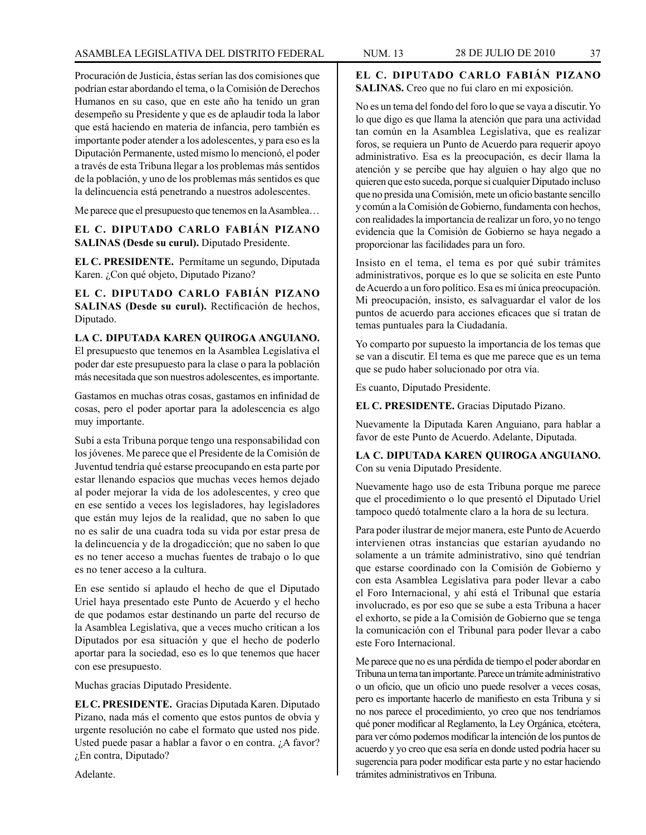Procuración de Justicia, éstas serían las dos comisiones que podrían estar abordando el tema, o la Comisión de Derechos Humanos en su caso, que en este año ha tenido un gran desempeño su Presidente y que es de aplaudir toda la labor que está haciendo en materia de infancia, pero también es importante poder atender a los adolescentes, y para eso es la Diputación Permanente, usted mismo lo mencionó, el poder a través de esta Tribuna llegar a los problemas más sentidos de la población, y uno de los problemas más sentidos es que la delincuencia está penetrando a nuestros adolescentes.

Me parece que el presupuesto que tenemos en la Asamblea…

**EL C. DIPUTADO CARLO FABIÁN PIZANO SALINAS (Desde su curul).** Diputado Presidente.

**EL C. PRESIDENTE.** Permítame un segundo, Diputada Karen. ¿Con qué objeto, Diputado Pizano?

**EL C. DIPUTADO CARLO FABIÁN PIZANO SALINAS (Desde su curul).** Rectificación de hechos, Diputado.

**LA C. DIPUTADA KAREN QUIROGA ANGUIANO.** El presupuesto que tenemos en la Asamblea Legislativa el poder dar este presupuesto para la clase o para la población más necesitada que son nuestros adolescentes, es importante.

Gastamos en muchas otras cosas, gastamos en infinidad de cosas, pero el poder aportar para la adolescencia es algo muy importante.

Subí a esta Tribuna porque tengo una responsabilidad con los jóvenes. Me parece que el Presidente de la Comisión de Juventud tendría qué estarse preocupando en esta parte por estar llenando espacios que muchas veces hemos dejado al poder mejorar la vida de los adolescentes, y creo que en ese sentido a veces los legisladores, hay legisladores que están muy lejos de la realidad, que no saben lo que no es salir de una cuadra toda su vida por estar presa de la delincuencia y de la drogadicción; que no saben lo que es no tener acceso a muchas fuentes de trabajo o lo que es no tener acceso a la cultura.

En ese sentido sí aplaudo el hecho de que el Diputado Uriel haya presentado este Punto de Acuerdo y el hecho de que podamos estar destinando un parte del recurso de la Asamblea Legislativa, que a veces mucho critican a los Diputados por esa situación y que el hecho de poderlo aportar para la sociedad, eso es lo que tenemos que hacer con ese presupuesto.

Muchas gracias Diputado Presidente.

**EL C. PRESIDENTE.** Gracias Diputada Karen. Diputado Pizano, nada más el comento que estos puntos de obvia y urgente resolución no cabe el formato que usted nos pide. Usted puede pasar a hablar a favor o en contra. ¿A favor? ¿En contra, Diputado?

**EL C. DIPUTADO CARLO FABIÁN PIZANO SALINAS.** Creo que no fui claro en mi exposición.

No es un tema del fondo del foro lo que se vaya a discutir. Yo lo que digo es que llama la atención que para una actividad tan común en la Asamblea Legislativa, que es realizar foros, se requiera un Punto de Acuerdo para requerir apoyo administrativo. Esa es la preocupación, es decir llama la atención y se percibe que hay alguien o hay algo que no quieren que esto suceda, porque si cualquier Diputado incluso que no presida una Comisión, mete un oficio bastante sencillo y común a la Comisión de Gobierno, fundamenta con hechos, con realidades la importancia de realizar un foro, yo no tengo evidencia que la Comisión de Gobierno se haya negado a proporcionar las facilidades para un foro.

Insisto en el tema, el tema es por qué subir trámites administrativos, porque es lo que se solicita en este Punto de Acuerdo a un foro político. Esa es mí única preocupación. Mi preocupación, insisto, es salvaguardar el valor de los puntos de acuerdo para acciones eficaces que sí tratan de temas puntuales para la Ciudadanía.

Yo comparto por supuesto la importancia de los temas que se van a discutir. El tema es que me parece que es un tema que se pudo haber solucionado por otra vía.

Es cuanto, Diputado Presidente.

**EL C. PRESIDENTE.** Gracias Diputado Pizano.

Nuevamente la Diputada Karen Anguiano, para hablar a favor de este Punto de Acuerdo. Adelante, Diputada.

**LA C. DIPUTADA KAREN QUIROGA ANGUIANO.**  Con su venia Diputado Presidente.

Nuevamente hago uso de esta Tribuna porque me parece que el procedimiento o lo que presentó el Diputado Uriel tampoco quedó totalmente claro a la hora de su lectura.

Para poder ilustrar de mejor manera, este Punto de Acuerdo intervienen otras instancias que estarían ayudando no solamente a un trámite administrativo, sino qué tendrían que estarse coordinado con la Comisión de Gobierno y con esta Asamblea Legislativa para poder llevar a cabo el Foro Internacional, y ahí está el Tribunal que estaría involucrado, es por eso que se sube a esta Tribuna a hacer el exhorto, se pide a la Comisión de Gobierno que se tenga la comunicación con el Tribunal para poder llevar a cabo este Foro Internacional.

Me parece que no es una pérdida de tiempo el poder abordar en Tribuna un tema tan importante. Parece un trámite administrativo o un oficio, que un oficio uno puede resolver a veces cosas, pero es importante hacerlo de manifiesto en esta Tribuna y si no nos parece el procedimiento, yo creo que nos tendríamos qué poner modificar al Reglamento, la Ley Orgánica, etcétera, para ver cómo podemos modificar la intención de los puntos de acuerdo y yo creo que esa sería en donde usted podría hacer su sugerencia para poder modificar esta parte y no estar haciendo trámites administrativos en Tribuna.

Adelante.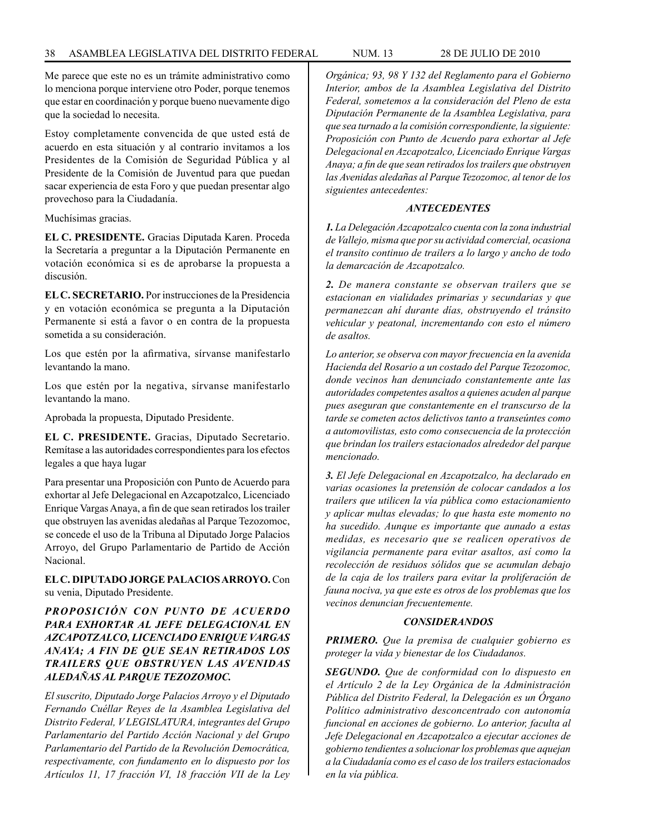Me parece que este no es un trámite administrativo como lo menciona porque interviene otro Poder, porque tenemos que estar en coordinación y porque bueno nuevamente digo que la sociedad lo necesita.

Estoy completamente convencida de que usted está de acuerdo en esta situación y al contrario invitamos a los Presidentes de la Comisión de Seguridad Pública y al Presidente de la Comisión de Juventud para que puedan sacar experiencia de esta Foro y que puedan presentar algo provechoso para la Ciudadanía.

Muchísimas gracias.

**EL C. PRESIDENTE.** Gracias Diputada Karen. Proceda la Secretaría a preguntar a la Diputación Permanente en votación económica si es de aprobarse la propuesta a discusión.

**EL C. SECRETARIO.** Por instrucciones de la Presidencia y en votación económica se pregunta a la Diputación Permanente si está a favor o en contra de la propuesta sometida a su consideración.

Los que estén por la afirmativa, sírvanse manifestarlo levantando la mano.

Los que estén por la negativa, sírvanse manifestarlo levantando la mano.

Aprobada la propuesta, Diputado Presidente.

**EL C. PRESIDENTE.** Gracias, Diputado Secretario. Remítase a las autoridades correspondientes para los efectos legales a que haya lugar

Para presentar una Proposición con Punto de Acuerdo para exhortar al Jefe Delegacional en Azcapotzalco, Licenciado Enrique Vargas Anaya, a fin de que sean retirados los trailer que obstruyen las avenidas aledañas al Parque Tezozomoc, se concede el uso de la Tribuna al Diputado Jorge Palacios Arroyo, del Grupo Parlamentario de Partido de Acción Nacional.

**EL C. DIPUTADO JORGE PALACIOS ARROYO.** Con su venia, Diputado Presidente.

# *PROPOSICIÓN CON PUNTO DE ACUERDO PARA EXHORTAR AL JEFE DELEGACIONAL EN AZCAPOTZALCO, LICENCIADO ENRIQUE VARGAS ANAYA; A FIN DE QUE SEAN RETIRADOS LOS TRAILERS QUE OBSTRUYEN LAS AVENIDAS ALEDAÑAS AL PARQUE TEZOZOMOC.*

*El suscrito, Diputado Jorge Palacios Arroyo y el Diputado Fernando Cuéllar Reyes de la Asamblea Legislativa del Distrito Federal, V LEGISLATURA, integrantes del Grupo Parlamentario del Partido Acción Nacional y del Grupo Parlamentario del Partido de la Revolución Democrática, respectivamente, con fundamento en lo dispuesto por los Artículos 11, 17 fracción VI, 18 fracción VII de la Ley*  *Orgánica; 93, 98 Y 132 del Reglamento para el Gobierno Interior, ambos de la Asamblea Legislativa del Distrito Federal, sometemos a la consideración del Pleno de esta Diputación Permanente de la Asamblea Legislativa, para que sea turnado a la comisión correspondiente, la siguiente: Proposición con Punto de Acuerdo para exhortar al Jefe Delegacional en Azcapotzalco, Licenciado Enrique Vargas Anaya; a fin de que sean retirados los trailers que obstruyen las Avenidas aledañas al Parque Tezozomoc, al tenor de los siguientes antecedentes:*

# *ANTECEDENTES*

*1. La Delegación Azcapotzalco cuenta con la zona industrial de Vallejo, misma que por su actividad comercial, ocasiona el transito continuo de trailers a lo largo y ancho de todo la demarcación de Azcapotzalco.*

*2. De manera constante se observan trailers que se estacionan en vialidades primarias y secundarias y que permanezcan ahí durante días, obstruyendo el tránsito vehicular y peatonal, incrementando con esto el número de asaltos.*

*Lo anterior, se observa con mayor frecuencia en la avenida Hacienda del Rosario a un costado del Parque Tezozomoc, donde vecinos han denunciado constantemente ante las autoridades competentes asaltos a quienes acuden al parque pues aseguran que constantemente en el transcurso de la tarde se cometen actos delictivos tanto a transeúntes como a automovilistas, esto como consecuencia de la protección que brindan los trailers estacionados alrededor del parque mencionado.*

*3. El Jefe Delegacional en Azcapotzalco, ha declarado en varias ocasiones la pretensión de colocar candados a los trailers que utilicen la vía pública como estacionamiento y aplicar multas elevadas; lo que hasta este momento no ha sucedido. Aunque es importante que aunado a estas medidas, es necesario que se realicen operativos de vigilancia permanente para evitar asaltos, así como la recolección de residuos sólidos que se acumulan debajo de la caja de los trailers para evitar la proliferación de fauna nociva, ya que este es otros de los problemas que los vecinos denuncian frecuentemente.*

# *CONSIDERANDOS*

*PRIMERO. Que la premisa de cualquier gobierno es proteger la vida y bienestar de los Ciudadanos.*

*SEGUNDO. Que de conformidad con lo dispuesto en el Artículo 2 de la Ley Orgánica de la Administración Pública del Distrito Federal, la Delegación es un Órgano Político administrativo desconcentrado con autonomía funcional en acciones de gobierno. Lo anterior, faculta al Jefe Delegacional en Azcapotzalco a ejecutar acciones de gobierno tendientes a solucionar los problemas que aquejan a la Ciudadanía como es el caso de los trailers estacionados en la vía pública.*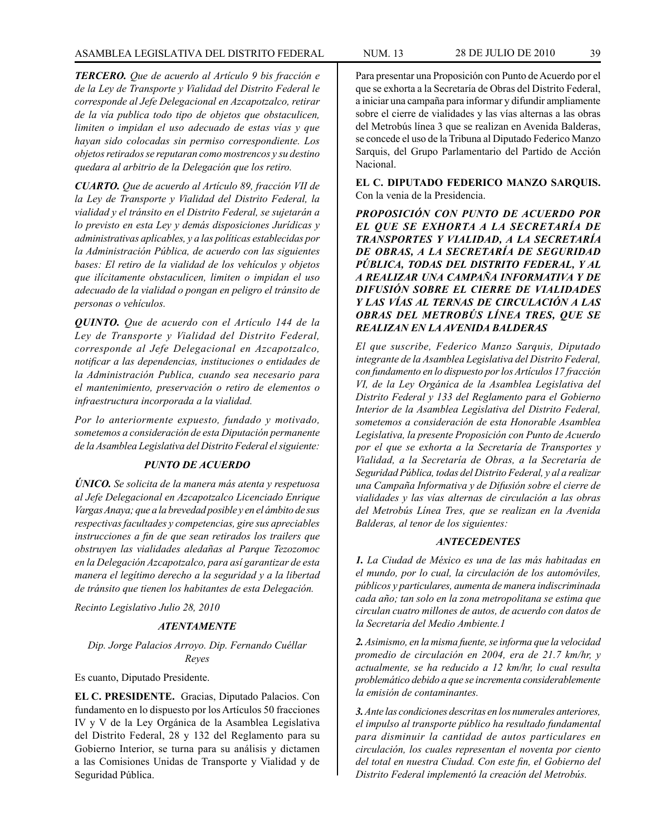*TERCERO. Que de acuerdo al Artículo 9 bis fracción e de la Ley de Transporte y Vialidad del Distrito Federal le corresponde al Jefe Delegacional en Azcapotzalco, retirar de la vía publica todo tipo de objetos que obstaculicen, limiten o impidan el uso adecuado de estas vías y que hayan sido colocadas sin permiso correspondiente. Los objetos retirados se reputaran como mostrencos y su destino quedara al arbitrio de la Delegación que los retiro.*

*CUARTO. Que de acuerdo al Artículo 89, fracción VII de la Ley de Transporte y Vialidad del Distrito Federal, la vialidad y el tránsito en el Distrito Federal, se sujetarán a lo previsto en esta Ley y demás disposiciones Jurídicas y administrativas aplicables, y a las políticas establecidas por la Administración Pública, de acuerdo con las siguientes bases: El retiro de la vialidad de los vehículos y objetos que ilícitamente obstaculicen, limiten o impidan el uso adecuado de la vialidad o pongan en peligro el tránsito de personas o vehículos.*

*QUINTO. Que de acuerdo con el Artículo 144 de la Ley de Transporte y Vialidad del Distrito Federal, corresponde al Jefe Delegacional en Azcapotzalco, notificar a las dependencias, instituciones o entidades de la Administración Publica, cuando sea necesario para el mantenimiento, preservación o retiro de elementos o infraestructura incorporada a la vialidad.*

*Por lo anteriormente expuesto, fundado y motivado, sometemos a consideración de esta Diputación permanente de la Asamblea Legislativa del Distrito Federal el siguiente:*

# *PUNTO DE ACUERDO*

*ÚNICO. Se solicita de la manera más atenta y respetuosa al Jefe Delegacional en Azcapotzalco Licenciado Enrique Vargas Anaya; que a la brevedad posible y en el ámbito de sus respectivas facultades y competencias, gire sus apreciables instrucciones a fin de que sean retirados los trailers que obstruyen las vialidades aledañas al Parque Tezozomoc en la Delegación Azcapotzalco, para así garantizar de esta manera el legítimo derecho a la seguridad y a la libertad de tránsito que tienen los habitantes de esta Delegación.*

*Recinto Legislativo Julio 28, 2010*

# *ATENTAMENTE*

*Dip. Jorge Palacios Arroyo. Dip. Fernando Cuéllar Reyes*

Es cuanto, Diputado Presidente.

**EL C. PRESIDENTE.** Gracias, Diputado Palacios. Con fundamento en lo dispuesto por los Artículos 50 fracciones IV y V de la Ley Orgánica de la Asamblea Legislativa del Distrito Federal, 28 y 132 del Reglamento para su Gobierno Interior, se turna para su análisis y dictamen a las Comisiones Unidas de Transporte y Vialidad y de Seguridad Pública.

Para presentar una Proposición con Punto de Acuerdo por el que se exhorta a la Secretaría de Obras del Distrito Federal, a iniciar una campaña para informar y difundir ampliamente sobre el cierre de vialidades y las vías alternas a las obras del Metrobús línea 3 que se realizan en Avenida Balderas, se concede el uso de la Tribuna al Diputado Federico Manzo Sarquis, del Grupo Parlamentario del Partido de Acción Nacional.

**EL C. DIPUTADO FEDERICO MANZO SARQUIS.**  Con la venia de la Presidencia.

*PROPOSICIÓN CON PUNTO DE ACUERDO POR EL QUE SE EXHORTA A LA SECRETARÍA DE TRANSPORTES Y VIALIDAD, A LA SECRETARÍA DE OBRAS, A LA SECRETARÍA DE SEGURIDAD PÚBLICA, TODAS DEL DISTRITO FEDERAL, Y AL A REALIZAR UNA CAMPAÑA INFORMATIVA Y DE DIFUSIÓN SOBRE EL CIERRE DE VIALIDADES Y LAS VÍAS AL TERNAS DE CIRCULACIÓN A LAS OBRAS DEL METROBÚS LÍNEA TRES, QUE SE REALIZAN EN LA AVENIDA BALDERAS*

*El que suscribe, Federico Manzo Sarquis, Diputado integrante de la Asamblea Legislativa del Distrito Federal, con fundamento en lo dispuesto por los Artículos 17 fracción VI, de la Ley Orgánica de la Asamblea Legislativa del Distrito Federal y 133 del Reglamento para el Gobierno Interior de la Asamblea Legislativa del Distrito Federal, sometemos a consideración de esta Honorable Asamblea Legislativa, la presente Proposición con Punto de Acuerdo por el que se exhorta a la Secretaría de Transportes y Vialidad, a la Secretaría de Obras, a la Secretaría de Seguridad Pública, todas del Distrito Federal, y al a realizar una Campaña Informativa y de Difusión sobre el cierre de vialidades y las vías alternas de circulación a las obras del Metrobús Línea Tres, que se realizan en la Avenida Balderas, al tenor de los siguientes:*

# *ANTECEDENTES*

*1. La Ciudad de México es una de las más habitadas en el mundo, por lo cual, la circulación de los automóviles, públicos y particulares, aumenta de manera indiscriminada cada año; tan solo en la zona metropolitana se estima que circulan cuatro millones de autos, de acuerdo con datos de la Secretaría del Medio Ambiente.1*

*2. Asimismo, en la misma fuente, se informa que la velocidad promedio de circulación en 2004, era de 21.7 km/hr, y actualmente, se ha reducido a 12 km/hr, lo cual resulta problemático debido a que se incrementa considerablemente la emisión de contaminantes.*

*3. Ante las condiciones descritas en los numerales anteriores, el impulso al transporte público ha resultado fundamental para disminuir la cantidad de autos particulares en circulación, los cuales representan el noventa por ciento del total en nuestra Ciudad. Con este fin, el Gobierno del Distrito Federal implementó la creación del Metrobús.*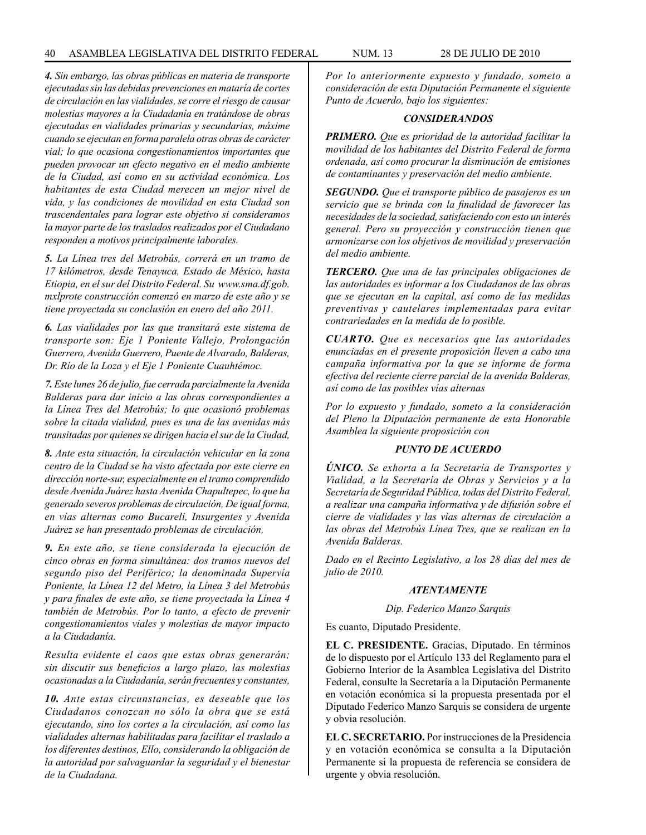*4. Sin embargo, las obras públicas en materia de transporte ejecutadas sin las debidas prevenciones en mataría de cortes de circulación en las vialidades, se corre el riesgo de causar molestias mayores a la Ciudadanía en tratándose de obras ejecutadas en vialidades primarias y secundarias, máxime cuando se ejecutan en forma paralela otras obras de carácter vial; lo que ocasiona congestionamientos importantes que pueden provocar un efecto negativo en el medio ambiente de la Ciudad, así como en su actividad económica. Los habitantes de esta Ciudad merecen un mejor nivel de vida, y las condiciones de movilidad en esta Ciudad son trascendentales para lograr este objetivo si consideramos la mayor parte de los traslados realizados por el Ciudadano responden a motivos principalmente laborales.*

*5. La Línea tres del Metrobús, correrá en un tramo de 17 kilómetros, desde Tenayuca, Estado de México, hasta Etiopia, en el sur del Distrito Federal. Su www.sma.df.gob. mxlprote construcción comenzó en marzo de este año y se tiene proyectada su conclusión en enero del año 2011.*

*6. Las vialidades por las que transitará este sistema de transporte son: Eje 1 Poniente Vallejo, Prolongación Guerrero, Avenida Guerrero, Puente de Alvarado, Balderas, Dr. Río de la Loza y el Eje 1 Poniente Cuauhtémoc.*

*7. Este lunes 26 de julio, fue cerrada parcialmente la Avenida Balderas para dar inicio a las obras correspondientes a la Línea Tres del Metrobús; lo que ocasionó problemas sobre la citada vialidad, pues es una de las avenidas más transitadas por quienes se dirigen hacia el sur de la Ciudad,*

*8. Ante esta situación, la circulación vehicular en la zona centro de la Ciudad se ha visto afectada por este cierre en dirección norte-sur, especialmente en el tramo comprendido desde Avenida Juárez hasta Avenida Chapultepec, lo que ha generado severos problemas de circulación, De igual forma, en vías alternas como Bucareli, Insurgentes y Avenida Juárez se han presentado problemas de circulación,*

*9. En este año, se tiene considerada la ejecución de cinco obras en forma simultánea: dos tramos nuevos del segundo piso del Periférico; la denominada Supervía Poniente, la Línea 12 del Metro, la Línea 3 del Metrobús y para finales de este año, se tiene proyectada la Línea 4 también de Metrobús. Por lo tanto, a efecto de prevenir congestionamientos viales y molestias de mayor impacto a la Ciudadanía.*

*Resulta evidente el caos que estas obras generarán; sin discutir sus beneficios a largo plazo, las molestias ocasionadas a la Ciudadanía, serán frecuentes y constantes,*

*10. Ante estas circunstancias, es deseable que los Ciudadanos conozcan no sólo la obra que se está ejecutando, sino los cortes a la circulación, así como las vialidades alternas habilitadas para facilitar el traslado a los diferentes destinos, Ello, considerando la obligación de la autoridad por salvaguardar la seguridad y el bienestar de la Ciudadana.*

*Por lo anteriormente expuesto y fundado, someto a consideración de esta Diputación Permanente el siguiente Punto de Acuerdo, bajo los siguientes:*

#### *CONSIDERANDOS*

*PRIMERO. Que es prioridad de la autoridad facilitar la movilidad de los habitantes del Distrito Federal de forma ordenada, así como procurar la disminución de emisiones de contaminantes y preservación del medio ambiente.*

*SEGUNDO. Que el transporte público de pasajeros es un servicio que se brinda con la finalidad de favorecer las necesidades de la sociedad, satisfaciendo con esto un interés general. Pero su proyección y construcción tienen que armonizarse con los objetivos de movilidad y preservación del medio ambiente.*

*TERCERO. Que una de las principales obligaciones de las autoridades es informar a los Ciudadanos de las obras que se ejecutan en la capital, así como de las medidas preventivas y cautelares implementadas para evitar contrariedades en la medida de lo posible.*

*CUARTO. Que es necesarios que las autoridades enunciadas en el presente proposición lleven a cabo una campaña informativa por la que se informe de forma efectiva del reciente cierre parcial de la avenida Balderas, así como de las posibles vías alternas*

*Por lo expuesto y fundado, someto a la consideración del Pleno la Diputación permanente de esta Honorable Asamblea la siguiente proposición con*

# *PUNTO DE ACUERDO*

*ÚNICO. Se exhorta a la Secretaría de Transportes y Vialidad, a la Secretaría de Obras y Servicios y a la Secretaría de Seguridad Pública, todas del Distrito Federal, a realizar una campaña informativa y de difusión sobre el cierre de vialidades y las vías alternas de circulación a las obras del Metrobús Línea Tres, que se realizan en la Avenida Balderas.*

*Dado en el Recinto Legislativo, a los 28 días del mes de julio de 2010.*

#### *ATENTAMENTE*

#### *Dip. Federico Manzo Sarquis*

Es cuanto, Diputado Presidente.

**EL C. PRESIDENTE.** Gracias, Diputado. En términos de lo dispuesto por el Artículo 133 del Reglamento para el Gobierno Interior de la Asamblea Legislativa del Distrito Federal, consulte la Secretaría a la Diputación Permanente en votación económica si la propuesta presentada por el Diputado Federico Manzo Sarquis se considera de urgente y obvia resolución.

**EL C. SECRETARIO.** Por instrucciones de la Presidencia y en votación económica se consulta a la Diputación Permanente si la propuesta de referencia se considera de urgente y obvia resolución.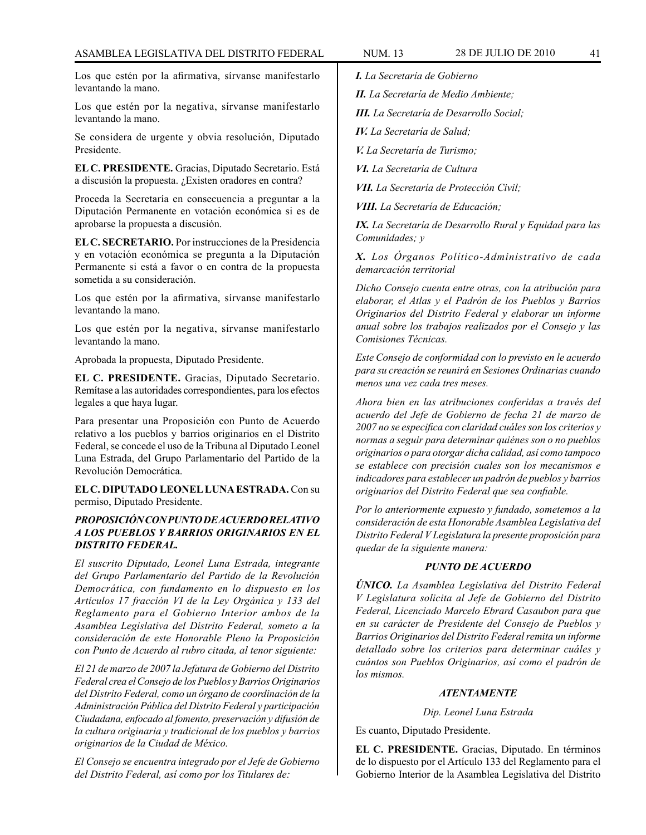Los que estén por la afirmativa, sírvanse manifestarlo levantando la mano.

Los que estén por la negativa, sírvanse manifestarlo levantando la mano.

Se considera de urgente y obvia resolución, Diputado Presidente.

**EL C. PRESIDENTE.** Gracias, Diputado Secretario. Está a discusión la propuesta. ¿Existen oradores en contra?

Proceda la Secretaría en consecuencia a preguntar a la Diputación Permanente en votación económica si es de aprobarse la propuesta a discusión.

**EL C. SECRETARIO.** Por instrucciones de la Presidencia y en votación económica se pregunta a la Diputación Permanente si está a favor o en contra de la propuesta sometida a su consideración.

Los que estén por la afirmativa, sírvanse manifestarlo levantando la mano.

Los que estén por la negativa, sírvanse manifestarlo levantando la mano.

Aprobada la propuesta, Diputado Presidente.

**EL C. PRESIDENTE.** Gracias, Diputado Secretario. Remítase a las autoridades correspondientes, para los efectos legales a que haya lugar.

Para presentar una Proposición con Punto de Acuerdo relativo a los pueblos y barrios originarios en el Distrito Federal, se concede el uso de la Tribuna al Diputado Leonel Luna Estrada, del Grupo Parlamentario del Partido de la Revolución Democrática.

**EL C. DIPUTADO LEONEL LUNA ESTRADA.** Con su permiso, Diputado Presidente.

# *PROPOSICIÓN CON PUNTO DE ACUERDO RELATIVO A LOS PUEBLOS Y BARRIOS ORIGINARIOS EN EL DISTRITO FEDERAL.*

*El suscrito Diputado, Leonel Luna Estrada, integrante del Grupo Parlamentario del Partido de la Revolución Democrática, con fundamento en lo dispuesto en los Artículos 17 fracción VI de la Ley Orgánica y 133 del Reglamento para el Gobierno Interior ambos de la Asamblea Legislativa del Distrito Federal, someto a la consideración de este Honorable Pleno la Proposición con Punto de Acuerdo al rubro citada, al tenor siguiente:*

*El 21 de marzo de 2007 la Jefatura de Gobierno del Distrito Federal crea el Consejo de los Pueblos y Barrios Originarios del Distrito Federal, como un órgano de coordinación de la Administración Pública del Distrito Federal y participación Ciudadana, enfocado al fomento, preservación y difusión de la cultura originaria y tradicional de los pueblos y barrios originarios de la Ciudad de México.*

*El Consejo se encuentra integrado por el Jefe de Gobierno del Distrito Federal, así como por los Titulares de:*

*I. La Secretaría de Gobierno*

*II. La Secretaría de Medio Ambiente;*

*III. La Secretaría de Desarrollo Social;*

*IV. La Secretaría de Salud;*

*V. La Secretaría de Turismo;*

*VI. La Secretaría de Cultura*

*VII. La Secretaría de Protección Civil;*

*VIII. La Secretaría de Educación;*

*IX. La Secretaría de Desarrollo Rural y Equidad para las Comunidades; y*

*X. Los Órganos Político-Administrativo de cada demarcación territorial*

*Dicho Consejo cuenta entre otras, con la atribución para elaborar, el Atlas y el Padrón de los Pueblos y Barrios Originarios del Distrito Federal y elaborar un informe anual sobre los trabajos realizados por el Consejo y las Comisiones Técnicas.*

*Este Consejo de conformidad con lo previsto en le acuerdo para su creación se reunirá en Sesiones Ordinarias cuando menos una vez cada tres meses.*

*Ahora bien en las atribuciones conferidas a través del acuerdo del Jefe de Gobierno de fecha 21 de marzo de 2007 no se especifica con claridad cuáles son los criterios y normas a seguir para determinar quiénes son o no pueblos originarios o para otorgar dicha calidad, así como tampoco se establece con precisión cuales son los mecanismos e indicadores para establecer un padrón de pueblos y barrios originarios del Distrito Federal que sea confiable.*

*Por lo anteriormente expuesto y fundado, sometemos a la consideración de esta Honorable Asamblea Legislativa del Distrito Federal V Legislatura la presente proposición para quedar de la siguiente manera:*

#### *PUNTO DE ACUERDO*

*ÚNICO. La Asamblea Legislativa del Distrito Federal V Legislatura solicita al Jefe de Gobierno del Distrito Federal, Licenciado Marcelo Ebrard Casaubon para que en su carácter de Presidente del Consejo de Pueblos y Barrios Originarios del Distrito Federal remita un informe detallado sobre los criterios para determinar cuáles y cuántos son Pueblos Originarios, así como el padrón de los mismos.*

#### *ATENTAMENTE*

*Dip. Leonel Luna Estrada*

Es cuanto, Diputado Presidente.

**EL C. PRESIDENTE.** Gracias, Diputado. En términos de lo dispuesto por el Artículo 133 del Reglamento para el Gobierno Interior de la Asamblea Legislativa del Distrito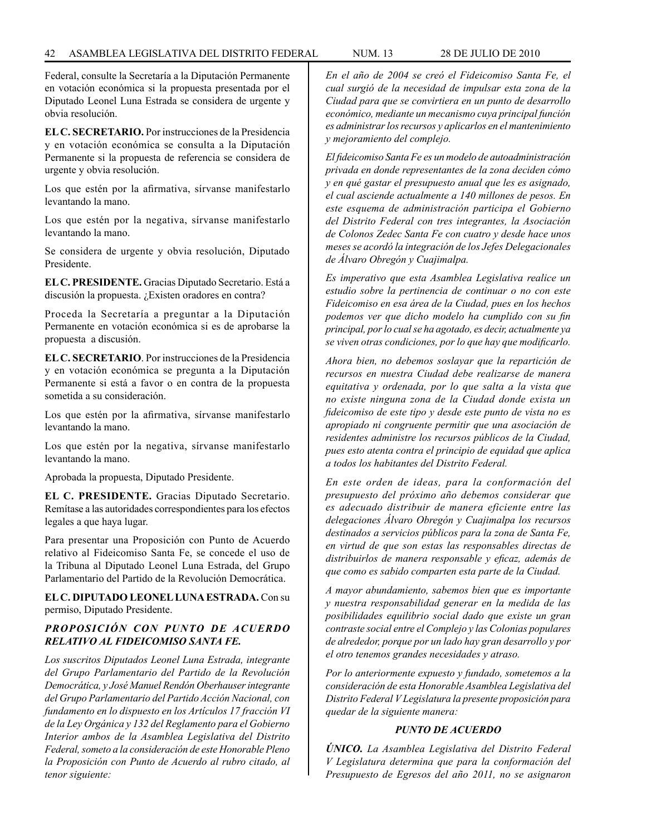Federal, consulte la Secretaría a la Diputación Permanente en votación económica si la propuesta presentada por el Diputado Leonel Luna Estrada se considera de urgente y obvia resolución.

**EL C. SECRETARIO.** Por instrucciones de la Presidencia y en votación económica se consulta a la Diputación Permanente si la propuesta de referencia se considera de urgente y obvia resolución.

Los que estén por la afirmativa, sírvanse manifestarlo levantando la mano.

Los que estén por la negativa, sírvanse manifestarlo levantando la mano.

Se considera de urgente y obvia resolución, Diputado Presidente.

**EL C. PRESIDENTE.** Gracias Diputado Secretario. Está a discusión la propuesta. ¿Existen oradores en contra?

Proceda la Secretaría a preguntar a la Diputación Permanente en votación económica si es de aprobarse la propuesta a discusión.

**EL C. SECRETARIO**. Por instrucciones de la Presidencia y en votación económica se pregunta a la Diputación Permanente si está a favor o en contra de la propuesta sometida a su consideración.

Los que estén por la afirmativa, sírvanse manifestarlo levantando la mano.

Los que estén por la negativa, sírvanse manifestarlo levantando la mano.

Aprobada la propuesta, Diputado Presidente.

**EL C. PRESIDENTE.** Gracias Diputado Secretario. Remítase a las autoridades correspondientes para los efectos legales a que haya lugar.

Para presentar una Proposición con Punto de Acuerdo relativo al Fideicomiso Santa Fe, se concede el uso de la Tribuna al Diputado Leonel Luna Estrada, del Grupo Parlamentario del Partido de la Revolución Democrática.

**EL C. DIPUTADO LEONEL LUNA ESTRADA.** Con su permiso, Diputado Presidente.

# *PROPOSICIÓN CON PUNTO DE ACUERDO RELATIVO AL FIDEICOMISO SANTA FE.*

*Los suscritos Diputados Leonel Luna Estrada, integrante del Grupo Parlamentario del Partido de la Revolución Democrática, y José Manuel Rendón Oberhauser integrante del Grupo Parlamentario del Partido Acción Nacional, con fundamento en lo dispuesto en los Artículos 17 fracción VI de la Ley Orgánica y 132 del Reglamento para el Gobierno Interior ambos de la Asamblea Legislativa del Distrito Federal, someto a la consideración de este Honorable Pleno la Proposición con Punto de Acuerdo al rubro citado, al tenor siguiente:*

*En el año de 2004 se creó el Fideicomiso Santa Fe, el cual surgió de la necesidad de impulsar esta zona de la Ciudad para que se convirtiera en un punto de desarrollo económico, mediante un mecanismo cuya principal función es administrar los recursos y aplicarlos en el mantenimiento y mejoramiento del complejo.*

*El fideicomiso Santa Fe es un modelo de autoadministración privada en donde representantes de la zona deciden cómo y en qué gastar el presupuesto anual que les es asignado, el cual asciende actualmente a 140 millones de pesos. En este esquema de administración participa el Gobierno del Distrito Federal con tres integrantes, la Asociación de Colonos Zedec Santa Fe con cuatro y desde hace unos meses se acordó la integración de los Jefes Delegacionales de Álvaro Obregón y Cuajimalpa.*

*Es imperativo que esta Asamblea Legislativa realice un estudio sobre la pertinencia de continuar o no con este Fideicomiso en esa área de la Ciudad, pues en los hechos podemos ver que dicho modelo ha cumplido con su fin principal, por lo cual se ha agotado, es decir, actualmente ya se viven otras condiciones, por lo que hay que modificarlo.*

*Ahora bien, no debemos soslayar que la repartición de recursos en nuestra Ciudad debe realizarse de manera equitativa y ordenada, por lo que salta a la vista que no existe ninguna zona de la Ciudad donde exista un fideicomiso de este tipo y desde este punto de vista no es apropiado ni congruente permitir que una asociación de residentes administre los recursos públicos de la Ciudad, pues esto atenta contra el principio de equidad que aplica a todos los habitantes del Distrito Federal.*

*En este orden de ideas, para la conformación del presupuesto del próximo año debemos considerar que es adecuado distribuir de manera eficiente entre las delegaciones Álvaro Obregón y Cuajimalpa los recursos destinados a servicios públicos para la zona de Santa Fe, en virtud de que son estas las responsables directas de distribuirlos de manera responsable y eficaz, además de que como es sabido comparten esta parte de la Ciudad.*

*A mayor abundamiento, sabemos bien que es importante y nuestra responsabilidad generar en la medida de las posibilidades equilibrio social dado que existe un gran contraste social entre el Complejo y las Colonias populares de alrededor, porque por un lado hay gran desarrollo y por el otro tenemos grandes necesidades y atraso.*

*Por lo anteriormente expuesto y fundado, sometemos a la consideración de esta Honorable Asamblea Legislativa del Distrito Federal V Legislatura la presente proposición para quedar de la siguiente manera:*

# *PUNTO DE ACUERDO*

*ÚNICO. La Asamblea Legislativa del Distrito Federal V Legislatura determina que para la conformación del Presupuesto de Egresos del año 2011, no se asignaron*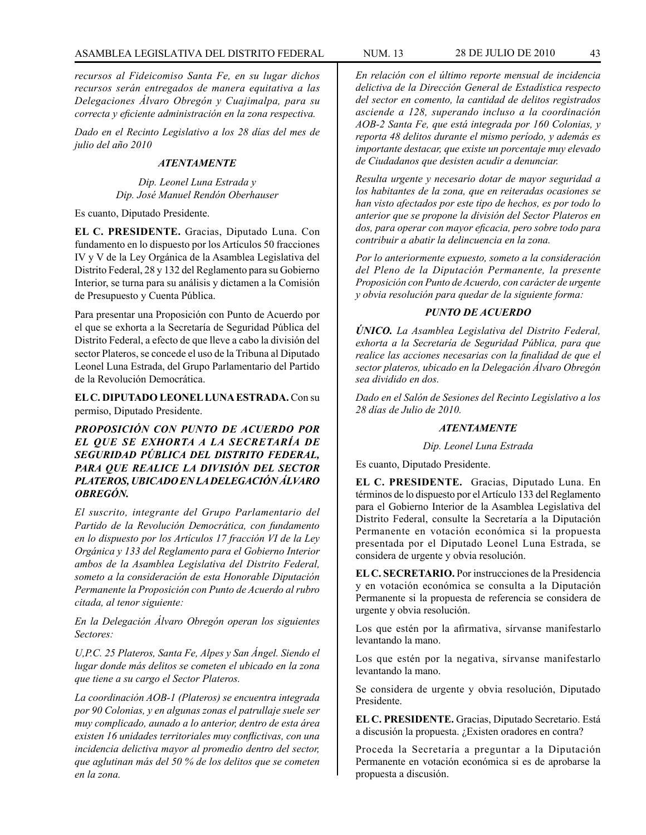*recursos al Fideicomiso Santa Fe, en su lugar dichos recursos serán entregados de manera equitativa a las Delegaciones Álvaro Obregón y Cuajimalpa, para su correcta y eficiente administración en la zona respectiva.*

*Dado en el Recinto Legislativo a los 28 días del mes de julio del año 2010*

# *ATENTAMENTE*

*Dip. Leonel Luna Estrada y Dip. José Manuel Rendón Oberhauser*

Es cuanto, Diputado Presidente.

**EL C. PRESIDENTE.** Gracias, Diputado Luna. Con fundamento en lo dispuesto por los Artículos 50 fracciones IV y V de la Ley Orgánica de la Asamblea Legislativa del Distrito Federal, 28 y 132 del Reglamento para su Gobierno Interior, se turna para su análisis y dictamen a la Comisión de Presupuesto y Cuenta Pública.

Para presentar una Proposición con Punto de Acuerdo por el que se exhorta a la Secretaría de Seguridad Pública del Distrito Federal, a efecto de que lleve a cabo la división del sector Plateros, se concede el uso de la Tribuna al Diputado Leonel Luna Estrada, del Grupo Parlamentario del Partido de la Revolución Democrática.

**EL C. DIPUTADO LEONEL LUNA ESTRADA.** Con su permiso, Diputado Presidente.

*PROPOSICIÓN CON PUNTO DE ACUERDO POR EL QUE SE EXHORTA A LA SECRETARÍA DE SEGURIDAD PÚBLICA DEL DISTRITO FEDERAL, PARA QUE REALICE LA DIVISIÓN DEL SECTOR PLATEROS, UBICADO EN LA DELEGACIÓN ÁLVARO OBREGÓN.*

*El suscrito, integrante del Grupo Parlamentario del Partido de la Revolución Democrática, con fundamento en lo dispuesto por los Artículos 17 fracción VI de la Ley Orgánica y 133 del Reglamento para el Gobierno Interior ambos de la Asamblea Legislativa del Distrito Federal, someto a la consideración de esta Honorable Diputación Permanente la Proposición con Punto de Acuerdo al rubro citada, al tenor siguiente:*

*En la Delegación Álvaro Obregón operan los siguientes Sectores:*

*U,P.C. 25 Plateros, Santa Fe, Alpes y San Ángel. Siendo el lugar donde más delitos se cometen el ubicado en la zona que tiene a su cargo el Sector Plateros.*

*La coordinación AOB-1 (Plateros) se encuentra integrada por 90 Colonias, y en algunas zonas el patrullaje suele ser muy complicado, aunado a lo anterior, dentro de esta área existen 16 unidades territoriales muy conflictivas, con una incidencia delictiva mayor al promedio dentro del sector, que aglutinan más del 50 % de los delitos que se cometen en la zona.*

*En relación con el último reporte mensual de incidencia delictiva de la Dirección General de Estadística respecto del sector en comento, la cantidad de delitos registrados asciende a 128, superando incluso a la coordinación AOB-2 Santa Fe, que está integrada por 160 Colonias, y reporta 48 delitos durante el mismo período, y además es importante destacar, que existe un porcentaje muy elevado de Ciudadanos que desisten acudir a denunciar.*

*Resulta urgente y necesario dotar de mayor seguridad a los habitantes de la zona, que en reiteradas ocasiones se han visto afectados por este tipo de hechos, es por todo lo anterior que se propone la división del Sector Plateros en dos, para operar con mayor eficacia, pero sobre todo para contribuir a abatir la delincuencia en la zona.*

*Por lo anteriormente expuesto, someto a la consideración del Pleno de la Diputación Permanente, la presente Proposición con Punto de Acuerdo, con carácter de urgente y obvia resolución para quedar de la siguiente forma:*

# *PUNTO DE ACUERDO*

*ÚNICO. La Asamblea Legislativa del Distrito Federal, exhorta a la Secretaría de Seguridad Pública, para que realice las acciones necesarias con la finalidad de que el sector plateros, ubicado en la Delegación Álvaro Obregón sea dividido en dos.*

*Dado en el Salón de Sesiones del Recinto Legislativo a los 28 días de Julio de 2010.*

#### *ATENTAMENTE*

*Dip. Leonel Luna Estrada*

Es cuanto, Diputado Presidente.

**EL C. PRESIDENTE.** Gracias, Diputado Luna. En términos de lo dispuesto por el Artículo 133 del Reglamento para el Gobierno Interior de la Asamblea Legislativa del Distrito Federal, consulte la Secretaría a la Diputación Permanente en votación económica si la propuesta presentada por el Diputado Leonel Luna Estrada, se considera de urgente y obvia resolución.

**EL C. SECRETARIO.** Por instrucciones de la Presidencia y en votación económica se consulta a la Diputación Permanente si la propuesta de referencia se considera de urgente y obvia resolución.

Los que estén por la afirmativa, sírvanse manifestarlo levantando la mano.

Los que estén por la negativa, sírvanse manifestarlo levantando la mano.

Se considera de urgente y obvia resolución, Diputado Presidente.

**EL C. PRESIDENTE.** Gracias, Diputado Secretario. Está a discusión la propuesta. ¿Existen oradores en contra?

Proceda la Secretaría a preguntar a la Diputación Permanente en votación económica si es de aprobarse la propuesta a discusión.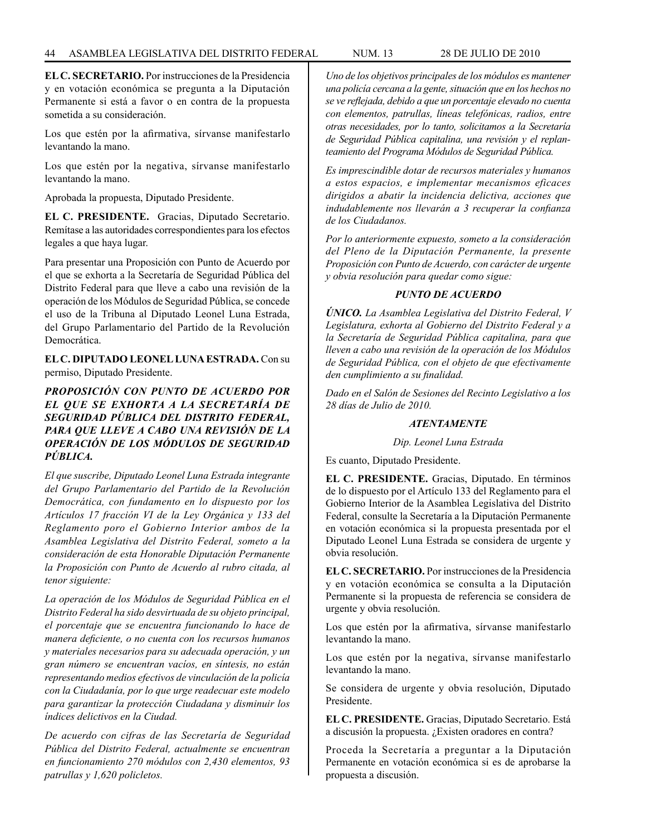**EL C. SECRETARIO.** Por instrucciones de la Presidencia y en votación económica se pregunta a la Diputación Permanente si está a favor o en contra de la propuesta sometida a su consideración.

Los que estén por la afirmativa, sírvanse manifestarlo levantando la mano.

Los que estén por la negativa, sírvanse manifestarlo levantando la mano.

Aprobada la propuesta, Diputado Presidente.

**EL C. PRESIDENTE.** Gracias, Diputado Secretario. Remítase a las autoridades correspondientes para los efectos legales a que haya lugar.

Para presentar una Proposición con Punto de Acuerdo por el que se exhorta a la Secretaría de Seguridad Pública del Distrito Federal para que lleve a cabo una revisión de la operación de los Módulos de Seguridad Pública, se concede el uso de la Tribuna al Diputado Leonel Luna Estrada, del Grupo Parlamentario del Partido de la Revolución Democrática.

**EL C. DIPUTADO LEONEL LUNA ESTRADA.** Con su permiso, Diputado Presidente.

# *PROPOSICIÓN CON PUNTO DE ACUERDO POR EL QUE SE EXHORTA A LA SECRETARÍA DE SEGURIDAD PÚBLICA DEL DISTRITO FEDERAL, PARA QUE LLEVE A CABO UNA REVISIÓN DE LA OPERACIÓN DE LOS MÓDULOS DE SEGURIDAD PÚBLICA.*

*El que suscribe, Diputado Leonel Luna Estrada integrante del Grupo Parlamentario del Partido de la Revolución Democrática, con fundamento en lo dispuesto por los Artículos 17 fracción VI de la Ley Orgánica y 133 del Reglamento poro el Gobierno Interior ambos de la Asamblea Legislativa del Distrito Federal, someto a la consideración de esta Honorable Diputación Permanente la Proposición con Punto de Acuerdo al rubro citada, al tenor siguiente:*

*La operación de los Módulos de Seguridad Pública en el Distrito Federal ha sido desvirtuada de su objeto principal, el porcentaje que se encuentra funcionando lo hace de manera deficiente, o no cuenta con los recursos humanos y materiales necesarios para su adecuada operación, y un gran número se encuentran vacíos, en síntesis, no están representando medios efectivos de vinculación de la policía con la Ciudadanía, por lo que urge readecuar este modelo para garantizar la protección Ciudadana y disminuir los índices delictivos en la Ciudad.*

*De acuerdo con cifras de las Secretaría de Seguridad Pública del Distrito Federal, actualmente se encuentran en funcionamiento 270 módulos con 2,430 elementos, 93 patrullas y 1,620 policletos.*

*Uno de los objetivos principales de los módulos es mantener una policía cercana a la gente, situación que en los hechos no se ve reflejada, debido a que un porcentaje elevado no cuenta con elementos, patrullas, líneas telefónicas, radios, entre otras necesidades, por lo tanto, solicitamos a la Secretaría de Seguridad Pública capitalina, una revisión y el replanteamiento del Programa Módulos de Seguridad Pública.*

*Es imprescindible dotar de recursos materiales y humanos a estos espacios, e implementar mecanismos eficaces dirigidos a abatir la incidencia delictiva, acciones que indudablemente nos llevarán a 3 recuperar la confianza de los Ciudadanos.*

*Por lo anteriormente expuesto, someto a la consideración del Pleno de la Diputación Permanente, la presente Proposición con Punto de Acuerdo, con carácter de urgente y obvia resolución para quedar como sigue:*

# *PUNTO DE ACUERDO*

*ÚNICO. La Asamblea Legislativa del Distrito Federal, V Legislatura, exhorta al Gobierno del Distrito Federal y a la Secretaría de Seguridad Pública capitalina, para que lleven a cabo una revisión de la operación de los Módulos de Seguridad Pública, con el objeto de que efectivamente den cumplimiento a su finalidad.*

*Dado en el Salón de Sesiones del Recinto Legislativo a los 28 días de Julio de 2010.*

# *ATENTAMENTE*

#### *Dip. Leonel Luna Estrada*

Es cuanto, Diputado Presidente.

**EL C. PRESIDENTE.** Gracias, Diputado. En términos de lo dispuesto por el Artículo 133 del Reglamento para el Gobierno Interior de la Asamblea Legislativa del Distrito Federal, consulte la Secretaría a la Diputación Permanente en votación económica si la propuesta presentada por el Diputado Leonel Luna Estrada se considera de urgente y obvia resolución.

**EL C. SECRETARIO.** Por instrucciones de la Presidencia y en votación económica se consulta a la Diputación Permanente si la propuesta de referencia se considera de urgente y obvia resolución.

Los que estén por la afirmativa, sírvanse manifestarlo levantando la mano.

Los que estén por la negativa, sírvanse manifestarlo levantando la mano.

Se considera de urgente y obvia resolución, Diputado Presidente.

**EL C. PRESIDENTE.** Gracias, Diputado Secretario. Está a discusión la propuesta. ¿Existen oradores en contra?

Proceda la Secretaría a preguntar a la Diputación Permanente en votación económica si es de aprobarse la propuesta a discusión.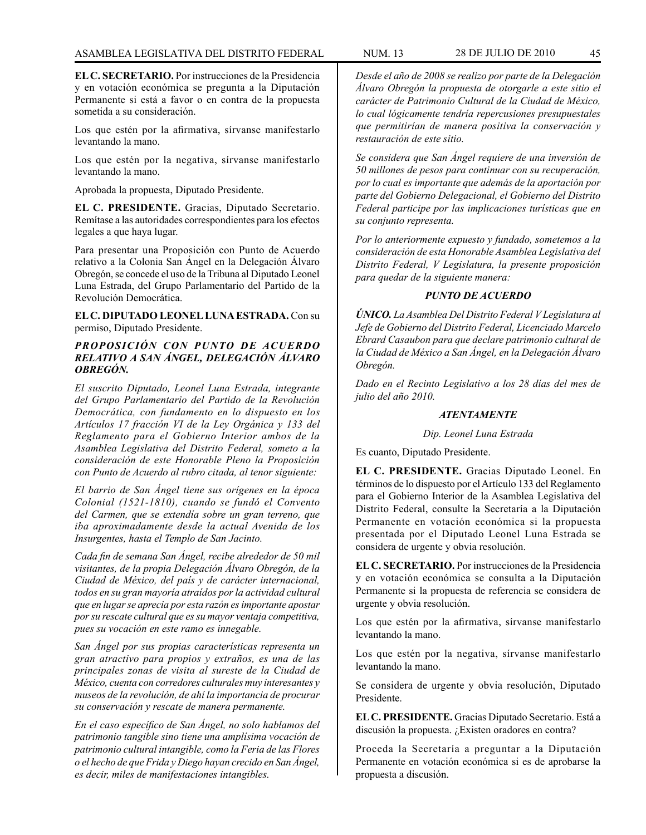**EL C. SECRETARIO.** Por instrucciones de la Presidencia y en votación económica se pregunta a la Diputación Permanente si está a favor o en contra de la propuesta sometida a su consideración.

Los que estén por la afirmativa, sírvanse manifestarlo levantando la mano.

Los que estén por la negativa, sírvanse manifestarlo levantando la mano.

Aprobada la propuesta, Diputado Presidente.

**EL C. PRESIDENTE.** Gracias, Diputado Secretario. Remítase a las autoridades correspondientes para los efectos legales a que haya lugar.

Para presentar una Proposición con Punto de Acuerdo relativo a la Colonia San Ángel en la Delegación Álvaro Obregón, se concede el uso de la Tribuna al Diputado Leonel Luna Estrada, del Grupo Parlamentario del Partido de la Revolución Democrática.

**EL C. DIPUTADO LEONEL LUNA ESTRADA.** Con su permiso, Diputado Presidente.

# *PROPOSICIÓN CON PUNTO DE ACUERDO RELATIVO A SAN ÁNGEL, DELEGACIÓN ÁLVARO OBREGÓN.*

*El suscrito Diputado, Leonel Luna Estrada, integrante del Grupo Parlamentario del Partido de la Revolución Democrática, con fundamento en lo dispuesto en los Artículos 17 fracción VI de la Ley Orgánica y 133 del Reglamento para el Gobierno Interior ambos de la Asamblea Legislativa del Distrito Federal, someto a la consideración de este Honorable Pleno la Proposición con Punto de Acuerdo al rubro citada, al tenor siguiente:*

*El barrio de San Ángel tiene sus orígenes en la época Colonial (1521-1810), cuando se fundó el Convento del Carmen, que se extendía sobre un gran terreno, que iba aproximadamente desde la actual Avenida de los Insurgentes, hasta el Templo de San Jacinto.*

*Cada fin de semana San Ángel, recibe alrededor de 50 mil visitantes, de la propia Delegación Álvaro Obregón, de la Ciudad de México, del país y de carácter internacional, todos en su gran mayoría atraídos por la actividad cultural que en lugar se aprecia por esta razón es importante apostar por su rescate cultural que es su mayor ventaja competitiva, pues su vocación en este ramo es innegable.*

*San Ángel por sus propias características representa un gran atractivo para propios y extraños, es una de las principales zonas de visita al sureste de la Ciudad de México, cuenta con corredores culturales muy interesantes y museos de la revolución, de ahí la importancia de procurar su conservación y rescate de manera permanente.*

*En el caso específico de San Ángel, no solo hablamos del patrimonio tangible sino tiene una amplísima vocación de patrimonio cultural intangible, como la Feria de las Flores o el hecho de que Frida y Diego hayan crecido en San Ángel, es decir, miles de manifestaciones intangibles.*

*Desde el año de 2008 se realizo por parte de la Delegación Álvaro Obregón la propuesta de otorgarle a este sitio el carácter de Patrimonio Cultural de la Ciudad de México, lo cual lógicamente tendría repercusiones presupuestales que permitirían de manera positiva la conservación y restauración de este sitio.*

*Se considera que San Ángel requiere de una inversión de 50 millones de pesos para continuar con su recuperación, por lo cual es importante que además de la aportación por parte del Gobierno Delegacional, el Gobierno del Distrito Federal participe por las implicaciones turísticas que en su conjunto representa.*

*Por lo anteriormente expuesto y fundado, sometemos a la consideración de esta Honorable Asamblea Legislativa del Distrito Federal, V Legislatura, la presente proposición para quedar de la siguiente manera:*

# *PUNTO DE ACUERDO*

*ÚNICO. La Asamblea Del Distrito Federal V Legislatura al Jefe de Gobierno del Distrito Federal, Licenciado Marcelo Ebrard Casaubon para que declare patrimonio cultural de la Ciudad de México a San Ángel, en la Delegación Álvaro Obregón.*

*Dado en el Recinto Legislativo a los 28 días del mes de julio del año 2010.*

# *ATENTAMENTE*

*Dip. Leonel Luna Estrada*

Es cuanto, Diputado Presidente.

**EL C. PRESIDENTE.** Gracias Diputado Leonel. En términos de lo dispuesto por el Artículo 133 del Reglamento para el Gobierno Interior de la Asamblea Legislativa del Distrito Federal, consulte la Secretaría a la Diputación Permanente en votación económica si la propuesta presentada por el Diputado Leonel Luna Estrada se considera de urgente y obvia resolución.

**EL C. SECRETARIO.** Por instrucciones de la Presidencia y en votación económica se consulta a la Diputación Permanente si la propuesta de referencia se considera de urgente y obvia resolución.

Los que estén por la afirmativa, sírvanse manifestarlo levantando la mano.

Los que estén por la negativa, sírvanse manifestarlo levantando la mano.

Se considera de urgente y obvia resolución, Diputado Presidente.

**EL C. PRESIDENTE.** Gracias Diputado Secretario. Está a discusión la propuesta. ¿Existen oradores en contra?

Proceda la Secretaría a preguntar a la Diputación Permanente en votación económica si es de aprobarse la propuesta a discusión.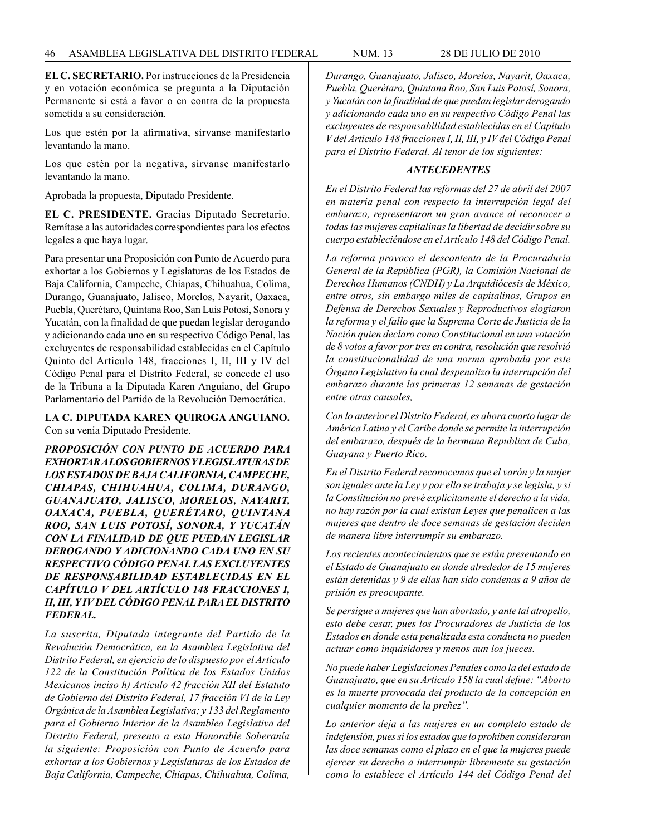**EL C. SECRETARIO.** Por instrucciones de la Presidencia y en votación económica se pregunta a la Diputación Permanente si está a favor o en contra de la propuesta sometida a su consideración.

Los que estén por la afirmativa, sírvanse manifestarlo levantando la mano.

Los que estén por la negativa, sírvanse manifestarlo levantando la mano.

Aprobada la propuesta, Diputado Presidente.

**EL C. PRESIDENTE.** Gracias Diputado Secretario. Remítase a las autoridades correspondientes para los efectos legales a que haya lugar.

Para presentar una Proposición con Punto de Acuerdo para exhortar a los Gobiernos y Legislaturas de los Estados de Baja California, Campeche, Chiapas, Chihuahua, Colima, Durango, Guanajuato, Jalisco, Morelos, Nayarit, Oaxaca, Puebla, Querétaro, Quintana Roo, San Luis Potosí, Sonora y Yucatán, con la finalidad de que puedan legislar derogando y adicionando cada uno en su respectivo Código Penal, las excluyentes de responsabilidad establecidas en el Capítulo Quinto del Artículo 148, fracciones I, II, III y IV del Código Penal para el Distrito Federal, se concede el uso de la Tribuna a la Diputada Karen Anguiano, del Grupo Parlamentario del Partido de la Revolución Democrática.

# **LA C. DIPUTADA KAREN QUIROGA ANGUIANO.** Con su venia Diputado Presidente.

*PROPOSICIÓN CON PUNTO DE ACUERDO PARA EXHORTAR A LOS GOBIERNOS Y LEGISLATURAS DE LOS ESTADOS DE BAJA CALIFORNIA, CAMPECHE, CHIAPAS, CHIHUAHUA, COLIMA, DURANGO, GUANAJUATO, JALISCO, MORELOS, NAYARIT, OAXACA, PUEBLA, QUERÉTARO, QUINTANA ROO, SAN LUIS POTOSÍ, SONORA, Y YUCATÁN CON LA FINALIDAD DE QUE PUEDAN LEGISLAR DEROGANDO Y ADICIONANDO CADA UNO EN SU RESPECTIVO CÓDIGO PENAL LAS EXCLUYENTES DE RESPONSABILIDAD ESTABLECIDAS EN EL CAPÍTULO V DEL ARTÍCULO 148 FRACCIONES I, II, III, Y IV DEL CÓDIGO PENAL PARA EL DISTRITO FEDERAL.*

*La suscrita, Diputada integrante del Partido de la Revolución Democrática, en la Asamblea Legislativa del Distrito Federal, en ejercicio de lo dispuesto por el Artículo 122 de la Constitución Política de los Estados Unidos Mexicanos inciso h) Artículo 42 fracción XII del Estatuto de Gobierno del Distrito Federal, 17 fracción VI de la Ley Orgánica de la Asamblea Legislativa; y 133 del Reglamento para el Gobierno Interior de la Asamblea Legislativa del Distrito Federal, presento a esta Honorable Soberanía la siguiente: Proposición con Punto de Acuerdo para exhortar a los Gobiernos y Legislaturas de los Estados de Baja California, Campeche, Chiapas, Chihuahua, Colima,* 

*Durango, Guanajuato, Jalisco, Morelos, Nayarit, Oaxaca, Puebla, Querétaro, Quintana Roo, San Luis Potosí, Sonora, y Yucatán con la finalidad de que puedan legislar derogando y adicionando cada uno en su respectivo Código Penal las excluyentes de responsabilidad establecidas en el Capítulo V del Artículo 148 fracciones I, II, III, y IV del Código Penal para el Distrito Federal. Al tenor de los siguientes:*

# *ANTECEDENTES*

*En el Distrito Federal las reformas del 27 de abril del 2007 en materia penal con respecto la interrupción legal del embarazo, representaron un gran avance al reconocer a todas las mujeres capitalinas la libertad de decidir sobre su cuerpo estableciéndose en el Artículo 148 del Código Penal.*

*La reforma provoco el descontento de la Procuraduría General de la República (PGR), la Comisión Nacional de Derechos Humanos (CNDH) y La Arquidiócesis de México, entre otros, sin embargo miles de capitalinos, Grupos en Defensa de Derechos Sexuales y Reproductivos elogiaron la reforma y el fallo que la Suprema Corte de Justicia de la Nación quien declaro como Constitucional en una votación de 8 votos a favor por tres en contra, resolución que resolvió la constitucionalidad de una norma aprobada por este Órgano Legislativo la cual despenalizo la interrupción del embarazo durante las primeras 12 semanas de gestación entre otras causales,*

*Con lo anterior el Distrito Federal, es ahora cuarto lugar de América Latina y el Caribe donde se permite la interrupción del embarazo, después de la hermana Republica de Cuba, Guayana y Puerto Rico.*

*En el Distrito Federal reconocemos que el varón y la mujer son iguales ante la Ley y por ello se trabaja y se legisla, y si la Constitución no prevé explícitamente el derecho a la vida, no hay razón por la cual existan Leyes que penalicen a las mujeres que dentro de doce semanas de gestación deciden de manera libre interrumpir su embarazo.*

*Los recientes acontecimientos que se están presentando en el Estado de Guanajuato en donde alrededor de 15 mujeres están detenidas y 9 de ellas han sido condenas a 9 años de prisión es preocupante.*

*Se persigue a mujeres que han abortado, y ante tal atropello, esto debe cesar, pues los Procuradores de Justicia de los Estados en donde esta penalizada esta conducta no pueden actuar como inquisidores y menos aun los jueces.*

*No puede haber Legislaciones Penales como la del estado de Guanajuato, que en su Artículo 158 la cual define: "Aborto es la muerte provocada del producto de la concepción en cualquier momento de la preñez".*

*Lo anterior deja a las mujeres en un completo estado de indefensión, pues si los estados que lo prohíben consideraran las doce semanas como el plazo en el que la mujeres puede ejercer su derecho a interrumpir libremente su gestación como lo establece el Artículo 144 del Código Penal del*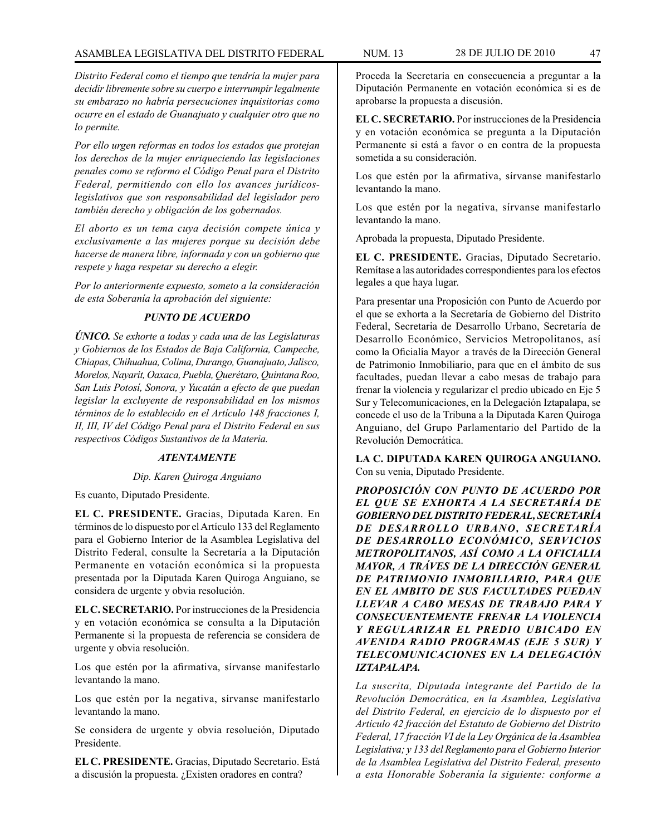*Distrito Federal como el tiempo que tendría la mujer para decidir libremente sobre su cuerpo e interrumpir legalmente su embarazo no habría persecuciones inquisitorias como ocurre en el estado de Guanajuato y cualquier otro que no lo permite.*

*Por ello urgen reformas en todos los estados que protejan los derechos de la mujer enriqueciendo las legislaciones penales como se reformo el Código Penal para el Distrito Federal, permitiendo con ello los avances jurídicoslegislativos que son responsabilidad del legislador pero también derecho y obligación de los gobernados.*

*El aborto es un tema cuya decisión compete única y exclusivamente a las mujeres porque su decisión debe hacerse de manera libre, informada y con un gobierno que respete y haga respetar su derecho a elegir.*

*Por lo anteriormente expuesto, someto a la consideración de esta Soberanía la aprobación del siguiente:*

# *PUNTO DE ACUERDO*

*ÚNICO. Se exhorte a todas y cada una de las Legislaturas y Gobiernos de los Estados de Baja California, Campeche, Chiapas, Chihuahua, Colima, Durango, Guanajuato, Jalisco, Morelos, Nayarit, Oaxaca, Puebla, Querétaro, Quintana Roo, San Luis Potosí, Sonora, y Yucatán a efecto de que puedan legislar la excluyente de responsabilidad en los mismos términos de lo establecido en el Artículo 148 fracciones I, II, III, IV del Código Penal para el Distrito Federal en sus respectivos Códigos Sustantivos de la Materia.*

#### *ATENTAMENTE*

#### *Dip. Karen Quiroga Anguiano*

Es cuanto, Diputado Presidente.

**EL C. PRESIDENTE.** Gracias, Diputada Karen. En términos de lo dispuesto por el Artículo 133 del Reglamento para el Gobierno Interior de la Asamblea Legislativa del Distrito Federal, consulte la Secretaría a la Diputación Permanente en votación económica si la propuesta presentada por la Diputada Karen Quiroga Anguiano, se considera de urgente y obvia resolución.

**EL C. SECRETARIO.** Por instrucciones de la Presidencia y en votación económica se consulta a la Diputación Permanente si la propuesta de referencia se considera de urgente y obvia resolución.

Los que estén por la afirmativa, sírvanse manifestarlo levantando la mano.

Los que estén por la negativa, sírvanse manifestarlo levantando la mano.

Se considera de urgente y obvia resolución, Diputado Presidente.

**EL C. PRESIDENTE.** Gracias, Diputado Secretario. Está a discusión la propuesta. ¿Existen oradores en contra?

Proceda la Secretaría en consecuencia a preguntar a la Diputación Permanente en votación económica si es de aprobarse la propuesta a discusión.

**EL C. SECRETARIO.** Por instrucciones de la Presidencia y en votación económica se pregunta a la Diputación Permanente si está a favor o en contra de la propuesta sometida a su consideración.

Los que estén por la afirmativa, sírvanse manifestarlo levantando la mano.

Los que estén por la negativa, sírvanse manifestarlo levantando la mano.

Aprobada la propuesta, Diputado Presidente.

**EL C. PRESIDENTE.** Gracias, Diputado Secretario. Remítase a las autoridades correspondientes para los efectos legales a que haya lugar.

Para presentar una Proposición con Punto de Acuerdo por el que se exhorta a la Secretaría de Gobierno del Distrito Federal, Secretaria de Desarrollo Urbano, Secretaría de Desarrollo Económico, Servicios Metropolitanos, así como la Oficialía Mayor a través de la Dirección General de Patrimonio Inmobiliario, para que en el ámbito de sus facultades, puedan llevar a cabo mesas de trabajo para frenar la violencia y regularizar el predio ubicado en Eje 5 Sur y Telecomunicaciones, en la Delegación Iztapalapa, se concede el uso de la Tribuna a la Diputada Karen Quiroga Anguiano, del Grupo Parlamentario del Partido de la Revolución Democrática.

**LA C. DIPUTADA KAREN QUIROGA ANGUIANO.**  Con su venia, Diputado Presidente.

*PROPOSICIÓN CON PUNTO DE ACUERDO POR EL QUE SE EXHORTA A LA SECRETARÍA DE GOBIERNO DEL DISTRITO FEDERAL, SECRETARÍA DE DESARROLLO URBANO, SECRETARÍA DE DESARROLLO ECONÓMICO, SERVICIOS METROPOLITANOS, ASÍ COMO A LA OFICIALIA MAYOR, A TRÁVES DE LA DIRECCIÓN GENERAL DE PATRIMONIO INMOBILIARIO, PARA QUE EN EL AMBITO DE SUS FACULTADES PUEDAN LLEVAR A CABO MESAS DE TRABAJO PARA Y CONSECUENTEMENTE FRENAR LA VIOLENCIA Y REGULARIZAR EL PREDIO UBICADO EN AVENIDA RADIO PROGRAMAS (EJE 5 SUR) Y TELECOMUNICACIONES EN LA DELEGACIÓN IZTAPALAPA.*

*La suscrita, Diputada integrante del Partido de la Revolución Democrática, en la Asamblea, Legislativa del Distrito Federal, en ejercicio de lo dispuesto por el Artículo 42 fracción del Estatuto de Gobierno del Distrito Federal, 17 fracción VI de la Ley Orgánica de la Asamblea Legislativa; y 133 del Reglamento para el Gobierno Interior de la Asamblea Legislativa del Distrito Federal, presento a esta Honorable Soberanía la siguiente: conforme a*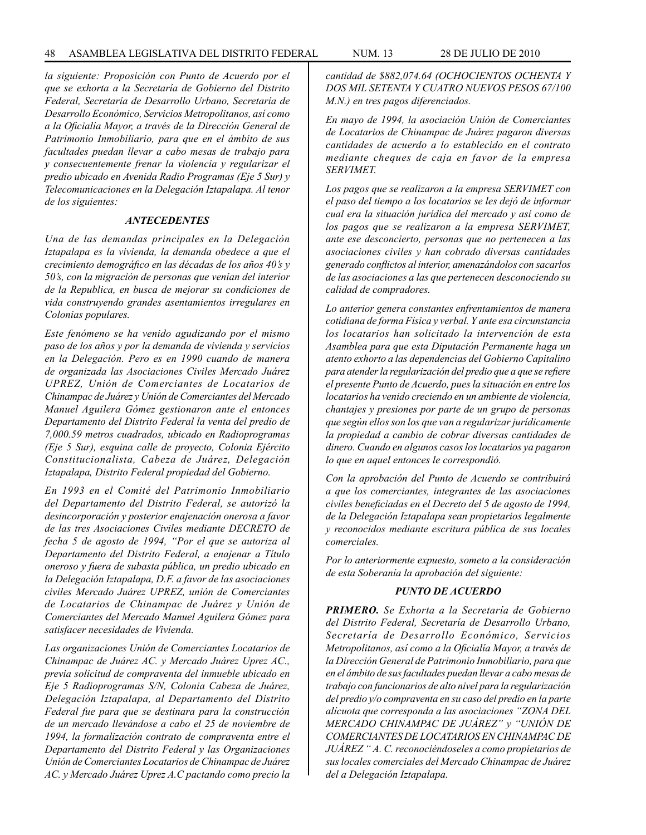*la siguiente: Proposición con Punto de Acuerdo por el que se exhorta a la Secretaría de Gobierno del Distrito Federal, Secretaría de Desarrollo Urbano, Secretaría de Desarrollo Económico, Servicios Metropolitanos, así como a la Oficialía Mayor, a través de la Dirección General de Patrimonio Inmobiliario, para que en el ámbito de sus facultades puedan llevar a cabo mesas de trabajo para y consecuentemente frenar la violencia y regularizar el predio ubicado en Avenida Radio Programas (Eje 5 Sur) y Telecomunicaciones en la Delegación Iztapalapa. Al tenor de los siguientes:*

# *ANTECEDENTES*

*Una de las demandas principales en la Delegación Iztapalapa es la vivienda, la demanda obedece a que el crecimiento demográfico en las décadas de los años 40's y 50's, con la migración de personas que venían del interior de la Republica, en busca de mejorar su condiciones de vida construyendo grandes asentamientos irregulares en Colonias populares.*

*Este fenómeno se ha venido agudizando por el mismo paso de los años y por la demanda de vivienda y servicios en la Delegación. Pero es en 1990 cuando de manera de organizada las Asociaciones Civiles Mercado Juárez UPREZ, Unión de Comerciantes de Locatarios de Chinampac de Juárez y Unión de Comerciantes del Mercado Manuel Aguilera Gómez gestionaron ante el entonces Departamento del Distrito Federal la venta del predio de 7,000.59 metros cuadrados, ubicado en Radioprogramas (Eje 5 Sur), esquina calle de proyecto, Colonia Ejército Constitucionalista, Cabeza de Juárez, Delegación Iztapalapa, Distrito Federal propiedad del Gobierno.*

*En 1993 en el Comité del Patrimonio Inmobiliario del Departamento del Distrito Federal, se autorizó la desincorporación y posterior enajenación onerosa a favor de las tres Asociaciones Civiles mediante DECRETO de fecha 5 de agosto de 1994, "Por el que se autoriza al Departamento del Distrito Federal, a enajenar a Título oneroso y fuera de subasta pública, un predio ubicado en la Delegación Iztapalapa, D.F. a favor de las asociaciones civiles Mercado Juárez UPREZ, unión de Comerciantes de Locatarios de Chinampac de Juárez y Unión de Comerciantes del Mercado Manuel Aguilera Gómez para satisfacer necesidades de Vivienda.*

*Las organizaciones Unión de Comerciantes Locatarios de Chinampac de Juárez AC. y Mercado Juárez Uprez AC., previa solicitud de compraventa del inmueble ubicado en Eje 5 Radioprogramas S/N, Colonia Cabeza de Juárez, Delegación Iztapalapa, al Departamento del Distrito Federal fue para que se destinara para la construcción de un mercado llevándose a cabo el 25 de noviembre de 1994, la formalización contrato de compraventa entre el Departamento del Distrito Federal y las Organizaciones Unión de Comerciantes Locatarios de Chinampac de Juárez AC. y Mercado Juárez Uprez A.C pactando como precio la* 

*cantidad de \$882,074.64 (OCHOCIENTOS OCHENTA Y DOS MIL SETENTA Y CUATRO NUEVOS PESOS 67/100 M.N.) en tres pagos diferenciados.*

*En mayo de 1994, la asociación Unión de Comerciantes de Locatarios de Chinampac de Juárez pagaron diversas cantidades de acuerdo a lo establecido en el contrato mediante cheques de caja en favor de la empresa SERVIMET.*

*Los pagos que se realizaron a la empresa SERVIMET con el paso del tiempo a los locatarios se les dejó de informar cual era la situación jurídica del mercado y así como de los pagos que se realizaron a la empresa SERVIMET, ante ese desconcierto, personas que no pertenecen a las asociaciones civiles y han cobrado diversas cantidades generado conflictos al interior, amenazándolos con sacarlos de las asociaciones a las que pertenecen desconociendo su calidad de compradores.*

*Lo anterior genera constantes enfrentamientos de manera cotidiana de forma Física y verbal. Y ante esa circunstancia los locatarios han solicitado la intervención de esta Asamblea para que esta Diputación Permanente haga un atento exhorto a las dependencias del Gobierno Capitalino para atender la regularización del predio que a que se refiere el presente Punto de Acuerdo, pues la situación en entre los locatarios ha venido creciendo en un ambiente de violencia, chantajes y presiones por parte de un grupo de personas que según ellos son los que van a regularizar jurídicamente la propiedad a cambio de cobrar diversas cantidades de dinero. Cuando en algunos casos los locatarios ya pagaron lo que en aquel entonces le correspondió.*

*Con la aprobación del Punto de Acuerdo se contribuirá a que los comerciantes, integrantes de las asociaciones civiles beneficiadas en el Decreto del 5 de agosto de 1994, de la Delegación Iztapalapa sean propietarios legalmente y reconocidos mediante escritura pública de sus locales comerciales.*

*Por lo anteriormente expuesto, someto a la consideración de esta Soberanía la aprobación del siguiente:*

# *PUNTO DE ACUERDO*

*PRIMERO. Se Exhorta a la Secretaría de Gobierno del Distrito Federal, Secretaría de Desarrollo Urbano, Secretaría de Desarrollo Económico, Servicios Metropolitanos, así como a la Oficialía Mayor, a través de la Dirección General de Patrimonio Inmobiliario, para que en el ámbito de sus facultades puedan llevar a cabo mesas de trabajo con funcionarios de alto nivel para la regularización del predio y/o compraventa en su caso del predio en la parte alícuota que corresponda a las asociaciones "ZONA DEL MERCADO CHINAMPAC DE JUÁREZ" y "UNIÓN DE COMERCIANTES DE LOCATARIOS EN CHINAMPAC DE JUÁREZ " A. C. reconociéndoseles a como propietarios de sus locales comerciales del Mercado Chinampac de Juárez del a Delegación Iztapalapa.*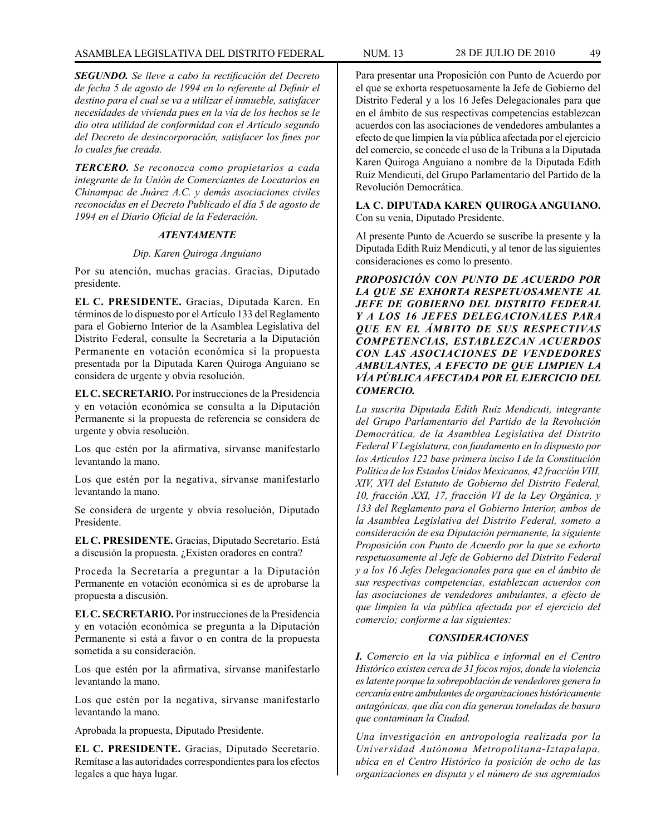*SEGUNDO. Se lleve a cabo la rectificación del Decreto de fecha 5 de agosto de 1994 en lo referente al Definir el destino para el cual se va a utilizar el inmueble, satisfacer necesidades de vivienda pues en la vía de los hechos se le dio otra utilidad de conformidad con el Artículo segundo del Decreto de desincorporación, satisfacer los fines por lo cuales fue creada.*

*TERCERO. Se reconozca como propietarios a cada integrante de la Unión de Comerciantes de Locatarios en Chinampac de Juárez A.C. y demás asociaciones civiles reconocidas en el Decreto Publicado el día 5 de agosto de 1994 en el Diario Oficial de la Federación.*

#### *ATENTAMENTE*

#### *Dip. Karen Quiroga Anguiano*

Por su atención, muchas gracias. Gracias, Diputado presidente.

**EL C. PRESIDENTE.** Gracias, Diputada Karen. En términos de lo dispuesto por el Artículo 133 del Reglamento para el Gobierno Interior de la Asamblea Legislativa del Distrito Federal, consulte la Secretaría a la Diputación Permanente en votación económica si la propuesta presentada por la Diputada Karen Quiroga Anguiano se considera de urgente y obvia resolución.

**EL C. SECRETARIO.** Por instrucciones de la Presidencia y en votación económica se consulta a la Diputación Permanente si la propuesta de referencia se considera de urgente y obvia resolución.

Los que estén por la afirmativa, sírvanse manifestarlo levantando la mano.

Los que estén por la negativa, sírvanse manifestarlo levantando la mano.

Se considera de urgente y obvia resolución, Diputado Presidente.

**EL C. PRESIDENTE.** Gracias, Diputado Secretario. Está a discusión la propuesta. ¿Existen oradores en contra?

Proceda la Secretaría a preguntar a la Diputación Permanente en votación económica si es de aprobarse la propuesta a discusión.

**EL C. SECRETARIO.** Por instrucciones de la Presidencia y en votación económica se pregunta a la Diputación Permanente si está a favor o en contra de la propuesta sometida a su consideración.

Los que estén por la afirmativa, sírvanse manifestarlo levantando la mano.

Los que estén por la negativa, sírvanse manifestarlo levantando la mano.

Aprobada la propuesta, Diputado Presidente.

**EL C. PRESIDENTE.** Gracias, Diputado Secretario. Remítase a las autoridades correspondientes para los efectos legales a que haya lugar.

Para presentar una Proposición con Punto de Acuerdo por el que se exhorta respetuosamente la Jefe de Gobierno del Distrito Federal y a los 16 Jefes Delegacionales para que en el ámbito de sus respectivas competencias establezcan acuerdos con las asociaciones de vendedores ambulantes a efecto de que limpien la vía pública afectada por el ejercicio del comercio, se concede el uso de la Tribuna a la Diputada Karen Quiroga Anguiano a nombre de la Diputada Edith Ruiz Mendicuti, del Grupo Parlamentario del Partido de la Revolución Democrática.

**LA C. DIPUTADA KAREN QUIROGA ANGUIANO.** Con su venia, Diputado Presidente.

Al presente Punto de Acuerdo se suscribe la presente y la Diputada Edith Ruiz Mendicuti, y al tenor de las siguientes consideraciones es como lo presento.

*PROPOSICIÓN CON PUNTO DE ACUERDO POR LA QUE SE EXHORTA RESPETUOSAMENTE AL JEFE DE GOBIERNO DEL DISTRITO FEDERAL Y A LOS 16 JEFES DELEGACIONALES PARA QUE EN EL ÁMBITO DE SUS RESPECTIVAS COMPETENCIAS, ESTABLEZCAN ACUERDOS CON LAS ASOCIACIONES DE VENDEDORES AMBULANTES, A EFECTO DE QUE LIMPIEN LA VÍA PÚBLICA AFECTADA POR EL EJERCICIO DEL COMERCIO.*

*La suscrita Diputada Edith Ruiz Mendicuti, integrante del Grupo Parlamentario del Partido de la Revolución Democrática, de la Asamblea Legislativa del Distrito Federal V Legislatura, con fundamento en lo dispuesto por los Artículos 122 base primera inciso I de la Constitución Política de los Estados Unidos Mexicanos, 42 fracción VIII, XIV, XVI del Estatuto de Gobierno del Distrito Federal, 10, fracción XXI, 17, fracción VI de la Ley Orgánica, y 133 del Reglamento para el Gobierno Interior, ambos de la Asamblea Legislativa del Distrito Federal, someto a consideración de esa Diputación permanente, la siguiente Proposición con Punto de Acuerdo por la que se exhorta respetuosamente al Jefe de Gobierno del Distrito Federal y a los 16 Jefes Delegacionales para que en el ámbito de sus respectivas competencias, establezcan acuerdos con las asociaciones de vendedores ambulantes, a efecto de que limpien la vía pública afectada por el ejercicio del comercio; conforme a las siguientes:*

#### *CONSIDERACIONES*

*I. Comercio en la vía pública e informal en el Centro Histórico existen cerca de 31 focos rojos, donde la violencia es latente porque la sobrepoblación de vendedores genera la cercanía entre ambulantes de organizaciones históricamente antagónicas, que día con día generan toneladas de basura que contaminan la Ciudad.*

*Una investigación en antropología realizada por la Universidad Autónoma Metropolitana-Iztapalapa, ubica en el Centro Histórico la posición de ocho de las organizaciones en disputa y el número de sus agremiados*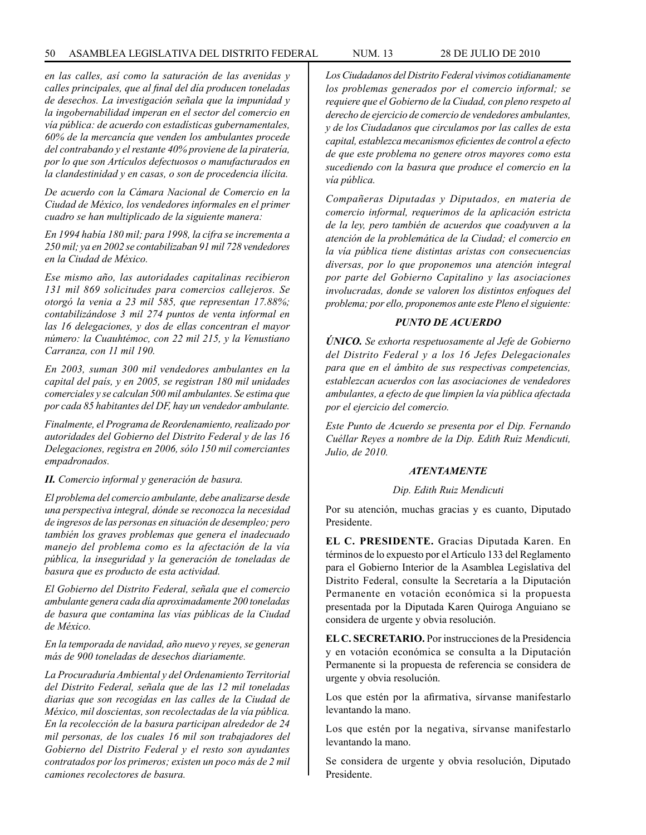*en las calles, así como la saturación de las avenidas y calles principales, que al final del día producen toneladas de desechos. La investigación señala que la impunidad y la ingobernabilidad imperan en el sector del comercio en vía pública: de acuerdo con estadísticas gubernamentales, 60% de la mercancía que venden los ambulantes procede del contrabando y el restante 40% proviene de la piratería, por lo que son Artículos defectuosos o manufacturados en la clandestinidad y en casas, o son de procedencia ilícita.*

*De acuerdo con la Cámara Nacional de Comercio en la Ciudad de México, los vendedores informales en el primer cuadro se han multiplicado de la siguiente manera:*

*En 1994 había 180 mil; para 1998, la cifra se incrementa a 250 mil; ya en 2002 se contabilizaban 91 mil 728 vendedores en la Ciudad de México.*

*Ese mismo año, las autoridades capitalinas recibieron 131 mil 869 solicitudes para comercios callejeros. Se otorgó la venia a 23 mil 585, que representan 17.88%; contabilizándose 3 mil 274 puntos de venta informal en las 16 delegaciones, y dos de ellas concentran el mayor número: la Cuauhtémoc, con 22 mil 215, y la Venustiano Carranza, con 11 mil 190.*

*En 2003, suman 300 mil vendedores ambulantes en la capital del país, y en 2005, se registran 180 mil unidades comerciales y se calculan 500 mil ambulantes. Se estima que por cada 85 habitantes del DF, hay un vendedor ambulante.*

*Finalmente, el Programa de Reordenamiento, realizado por autoridades del Gobierno del Distrito Federal y de las 16 Delegaciones, registra en 2006, sólo 150 mil comerciantes empadronados.*

*II. Comercio informal y generación de basura.*

*El problema del comercio ambulante, debe analizarse desde una perspectiva integral, dónde se reconozca la necesidad de ingresos de las personas en situación de desempleo; pero también los graves problemas que genera el inadecuado manejo del problema como es la afectación de la vía pública, la inseguridad y la generación de toneladas de basura que es producto de esta actividad.*

*El Gobierno del Distrito Federal, señala que el comercio ambulante genera cada día aproximadamente 200 toneladas de basura que contamina las vías públicas de la Ciudad de México.*

*En la temporada de navidad, año nuevo y reyes, se generan más de 900 toneladas de desechos diariamente.*

*La Procuraduría Ambiental y del Ordenamiento Territorial del Distrito Federal, señala que de las 12 mil toneladas diarias que son recogidas en las calles de la Ciudad de México, mil doscientas, son recolectadas de la vía pública. En la recolección de la basura participan alrededor de 24 mil personas, de los cuales 16 mil son trabajadores del Gobierno del Distrito Federal y el resto son ayudantes contratados por los primeros; existen un poco más de 2 mil camiones recolectores de basura.*

*Los Ciudadanos del Distrito Federal vivimos cotidianamente los problemas generados por el comercio informal; se requiere que el Gobierno de la Ciudad, con pleno respeto al derecho de ejercicio de comercio de vendedores ambulantes, y de los Ciudadanos que circulamos por las calles de esta capital, establezca mecanismos eficientes de control a efecto de que este problema no genere otros mayores como esta sucediendo con la basura que produce el comercio en la vía pública.*

*Compañeras Diputadas y Diputados, en materia de comercio informal, requerimos de la aplicación estricta de la ley, pero también de acuerdos que coadyuven a la atención de la problemática de la Ciudad; el comercio en la vía pública tiene distintas aristas con consecuencias diversas, por lo que proponemos una atención integral por parte del Gobierno Capitalino y las asociaciones involucradas, donde se valoren los distintos enfoques del problema; por ello, proponemos ante este Pleno el siguiente:*

#### *PUNTO DE ACUERDO*

*ÚNICO. Se exhorta respetuosamente al Jefe de Gobierno del Distrito Federal y a los 16 Jefes Delegacionales para que en el ámbito de sus respectivas competencias, establezcan acuerdos con las asociaciones de vendedores ambulantes, a efecto de que limpien la vía pública afectada por el ejercicio del comercio.*

*Este Punto de Acuerdo se presenta por el Dip. Fernando Cuéllar Reyes a nombre de la Dip. Edith Ruiz Mendicuti, Julio, de 2010.*

#### *ATENTAMENTE*

#### *Dip. Edith Ruiz Mendicuti*

Por su atención, muchas gracias y es cuanto, Diputado Presidente.

**EL C. PRESIDENTE.** Gracias Diputada Karen. En términos de lo expuesto por el Artículo 133 del Reglamento para el Gobierno Interior de la Asamblea Legislativa del Distrito Federal, consulte la Secretaría a la Diputación Permanente en votación económica si la propuesta presentada por la Diputada Karen Quiroga Anguiano se considera de urgente y obvia resolución.

**EL C. SECRETARIO.** Por instrucciones de la Presidencia y en votación económica se consulta a la Diputación Permanente si la propuesta de referencia se considera de urgente y obvia resolución.

Los que estén por la afirmativa, sírvanse manifestarlo levantando la mano.

Los que estén por la negativa, sírvanse manifestarlo levantando la mano.

Se considera de urgente y obvia resolución, Diputado Presidente.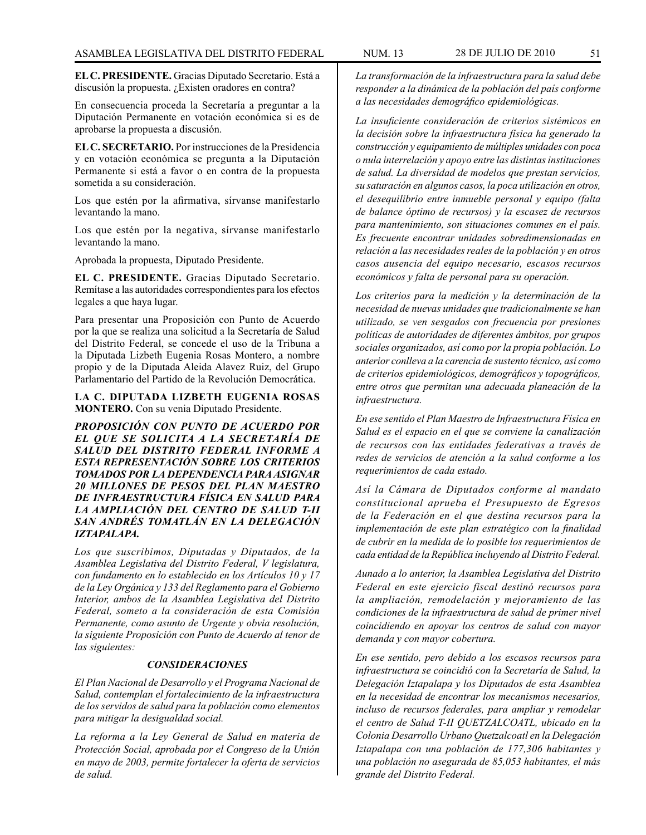**EL C. PRESIDENTE.** Gracias Diputado Secretario. Está a discusión la propuesta. ¿Existen oradores en contra?

En consecuencia proceda la Secretaría a preguntar a la Diputación Permanente en votación económica si es de aprobarse la propuesta a discusión.

**EL C. SECRETARIO.** Por instrucciones de la Presidencia y en votación económica se pregunta a la Diputación Permanente si está a favor o en contra de la propuesta sometida a su consideración.

Los que estén por la afirmativa, sírvanse manifestarlo levantando la mano.

Los que estén por la negativa, sírvanse manifestarlo levantando la mano.

Aprobada la propuesta, Diputado Presidente.

**EL C. PRESIDENTE.** Gracias Diputado Secretario. Remítase a las autoridades correspondientes para los efectos legales a que haya lugar.

Para presentar una Proposición con Punto de Acuerdo por la que se realiza una solicitud a la Secretaría de Salud del Distrito Federal, se concede el uso de la Tribuna a la Diputada Lizbeth Eugenia Rosas Montero, a nombre propio y de la Diputada Aleida Alavez Ruiz, del Grupo Parlamentario del Partido de la Revolución Democrática.

**LA C. DIPUTADA LIZBETH EUGENIA ROSAS MONTERO.** Con su venia Diputado Presidente.

*PROPOSICIÓN CON PUNTO DE ACUERDO POR EL QUE SE SOLICITA A LA SECRETARÍA DE SALUD DEL DISTRITO FEDERAL INFORME A ESTA REPRESENTACIÓN SOBRE LOS CRITERIOS TOMADOS POR LA DEPENDENCIA PARA ASIGNAR 20 MILLONES DE PESOS DEL PLAN MAESTRO DE INFRAESTRUCTURA FÍSICA EN SALUD PARA LA AMPLIACIÓN DEL CENTRO DE SALUD T-II SAN ANDRÉS TOMATLÁN EN LA DELEGACIÓN IZTAPALAPA.*

*Los que suscribimos, Diputadas y Diputados, de la Asamblea Legislativa del Distrito Federal, V legislatura, con fundamento en lo establecido en los Artículos 10 y 17 de la Ley Orgánica y 133 del Reglamento para el Gobierno Interior, ambos de la Asamblea Legislativa del Distrito Federal, someto a la consideración de esta Comisión Permanente, como asunto de Urgente y obvia resolución, la siguiente Proposición con Punto de Acuerdo al tenor de las siguientes:*

#### *CONSIDERACIONES*

*El Plan Nacional de Desarrollo y el Programa Nacional de Salud, contemplan el fortalecimiento de la infraestructura de los servidos de salud para la población como elementos para mitigar la desigualdad social.*

*La reforma a la Ley General de Salud en materia de Protección Social, aprobada por el Congreso de la Unión en mayo de 2003, permite fortalecer la oferta de servicios de salud.*

*La transformación de la infraestructura para la salud debe responder a la dinámica de la población del país conforme a las necesidades demográfico epidemiológicas.*

*La insuficiente consideración de criterios sistémicos en la decisión sobre la infraestructura física ha generado la construcción y equipamiento de múltiples unidades con poca o nula interrelación y apoyo entre las distintas instituciones de salud. La diversidad de modelos que prestan servicios, su saturación en algunos casos, la poca utilización en otros, el desequilibrio entre inmueble personal y equipo (falta de balance óptimo de recursos) y la escasez de recursos para mantenimiento, son situaciones comunes en el país. Es frecuente encontrar unidades sobredimensionadas en relación a las necesidades reales de la población y en otros casos ausencia del equipo necesario, escasos recursos económicos y falta de personal para su operación.*

*Los criterios para la medición y la determinación de la necesidad de nuevas unidades que tradicionalmente se han utilizado, se ven sesgados con frecuencia por presiones políticas de autoridades de diferentes ámbitos, por grupos sociales organizados, así como por la propia población. Lo anterior conlleva a la carencia de sustento técnico, así como de criterios epidemiológicos, demográficos y topográficos, entre otros que permitan una adecuada planeación de la infraestructura.*

*En ese sentido el Plan Maestro de Infraestructura Física en Salud es el espacio en el que se conviene la canalización de recursos con las entidades federativas a través de redes de servicios de atención a la salud conforme a los requerimientos de cada estado.*

*Así la Cámara de Diputados conforme al mandato constitucional aprueba el Presupuesto de Egresos de la Federación en el que destina recursos para la implementación de este plan estratégico con la finalidad de cubrir en la medida de lo posible los requerimientos de cada entidad de la República incluyendo al Distrito Federal.*

*Aunado a lo anterior, la Asamblea Legislativa del Distrito Federal en este ejercicio fiscal destinó recursos para la ampliación, remodelación y mejoramiento de las condiciones de la infraestructura de salud de primer nivel coincidiendo en apoyar los centros de salud con mayor demanda y con mayor cobertura.*

*En ese sentido, pero debido a los escasos recursos para infraestructura se coincidió con la Secretaría de Salud, la Delegación Iztapalapa y los Diputados de esta Asamblea en la necesidad de encontrar los mecanismos necesarios, incluso de recursos federales, para ampliar y remodelar el centro de Salud T-II QUETZALCOATL, ubicado en la Colonia Desarrollo Urbano Quetzalcoatl en la Delegación Iztapalapa con una población de 177,306 habitantes y una población no asegurada de 85,053 habitantes, el más grande del Distrito Federal.*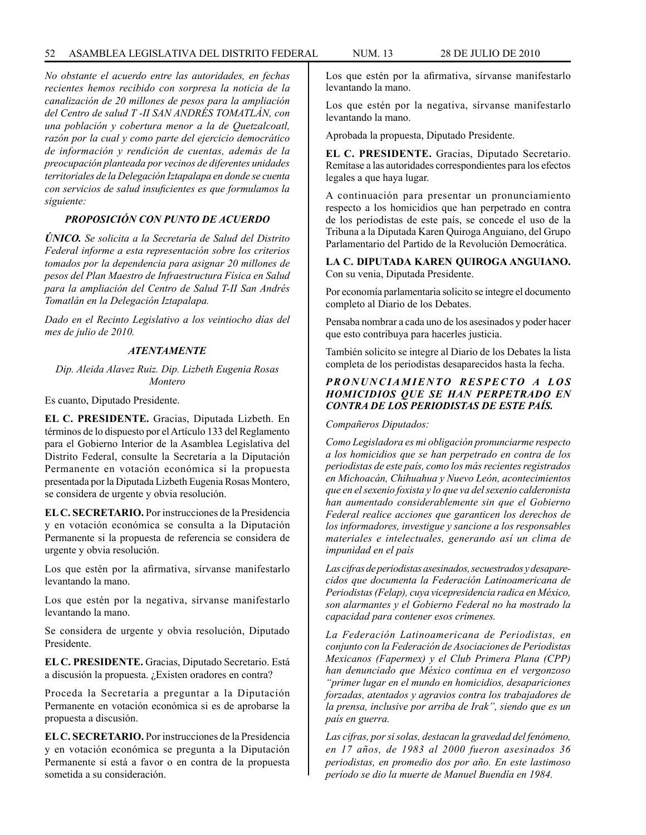*No obstante el acuerdo entre las autoridades, en fechas recientes hemos recibido con sorpresa la noticia de la canalización de 20 millones de pesos para la ampliación del Centro de salud T -II SAN ANDRÉS TOMATLÁN, con una población y cobertura menor a la de Quetzalcoatl, razón por la cual y como parte del ejercicio democrático de información y rendición de cuentas, además de la preocupación planteada por vecinos de diferentes unidades territoriales de la Delegación Iztapalapa en donde se cuenta con servicios de salud insuficientes es que formulamos la siguiente:*

# *PROPOSICIÓN CON PUNTO DE ACUERDO*

*ÚNICO. Se solicita a la Secretaría de Salud del Distrito Federal informe a esta representación sobre los criterios tomados por la dependencia para asignar 20 millones de pesos del Plan Maestro de Infraestructura Física en Salud para la ampliación del Centro de Salud T-II San Andrés Tomatlán en la Delegación Iztapalapa.*

*Dado en el Recinto Legislativo a los veintiocho días del mes de julio de 2010.*

#### *ATENTAMENTE*

*Dip. Aleida Alavez Ruiz. Dip. Lizbeth Eugenia Rosas Montero*

Es cuanto, Diputado Presidente.

**EL C. PRESIDENTE.** Gracias, Diputada Lizbeth. En términos de lo dispuesto por el Artículo 133 del Reglamento para el Gobierno Interior de la Asamblea Legislativa del Distrito Federal, consulte la Secretaría a la Diputación Permanente en votación económica si la propuesta presentada por la Diputada Lizbeth Eugenia Rosas Montero, se considera de urgente y obvia resolución.

**EL C. SECRETARIO.** Por instrucciones de la Presidencia y en votación económica se consulta a la Diputación Permanente si la propuesta de referencia se considera de urgente y obvia resolución.

Los que estén por la afirmativa, sírvanse manifestarlo levantando la mano.

Los que estén por la negativa, sírvanse manifestarlo levantando la mano.

Se considera de urgente y obvia resolución, Diputado Presidente.

**EL C. PRESIDENTE.** Gracias, Diputado Secretario. Está a discusión la propuesta. ¿Existen oradores en contra?

Proceda la Secretaría a preguntar a la Diputación Permanente en votación económica si es de aprobarse la propuesta a discusión.

**EL C. SECRETARIO.** Por instrucciones de la Presidencia y en votación económica se pregunta a la Diputación Permanente si está a favor o en contra de la propuesta sometida a su consideración.

Los que estén por la afirmativa, sírvanse manifestarlo levantando la mano.

Los que estén por la negativa, sírvanse manifestarlo levantando la mano.

Aprobada la propuesta, Diputado Presidente.

**EL C. PRESIDENTE.** Gracias, Diputado Secretario. Remítase a las autoridades correspondientes para los efectos legales a que haya lugar.

A continuación para presentar un pronunciamiento respecto a los homicidios que han perpetrado en contra de los periodistas de este país, se concede el uso de la Tribuna a la Diputada Karen Quiroga Anguiano, del Grupo Parlamentario del Partido de la Revolución Democrática.

**LA C. DIPUTADA KAREN QUIROGA ANGUIANO.** Con su venia, Diputada Presidente.

Por economía parlamentaria solicito se integre el documento completo al Diario de los Debates.

Pensaba nombrar a cada uno de los asesinados y poder hacer que esto contribuya para hacerles justicia.

También solicito se integre al Diario de los Debates la lista completa de los periodistas desaparecidos hasta la fecha.

# *PRONUNCIAMIENTO RESPECTO A LOS HOMICIDIOS QUE SE HAN PERPETRADO EN CONTRA DE LOS PERIODISTAS DE ESTE PAÍS.*

*Compañeros Diputados:* 

*Como Legisladora es mi obligación pronunciarme respecto a los homicidios que se han perpetrado en contra de los periodistas de este país, como los más recientes registrados en Michoacán, Chihuahua y Nuevo León, acontecimientos que en el sexenio foxista y lo que va del sexenio calderonista han aumentado considerablemente sin que el Gobierno Federal realice acciones que garanticen los derechos de los informadores, investigue y sancione a los responsables materiales e intelectuales, generando así un clima de impunidad en el país*

*Las cifras de periodistas asesinados, secuestrados y desaparecidos que documenta la Federación Latinoamericana de Periodistas (Felap), cuya vicepresidencia radica en México, son alarmantes y el Gobierno Federal no ha mostrado la capacidad para contener esos crímenes.*

*La Federación Latinoamericana de Periodistas, en conjunto con la Federación de Asociaciones de Periodistas Mexicanos (Fapermex) y el Club Primera Plana (CPP) han denunciado que México continua en el vergonzoso "primer lugar en el mundo en homicidios, desapariciones forzadas, atentados y agravios contra los trabajadores de la prensa, inclusive por arriba de Irak", siendo que es un país en guerra.*

*Las cifras, por si solas, destacan la gravedad del fenómeno, en 17 años, de 1983 al 2000 fueron asesinados 36 periodistas, en promedio dos por año. En este lastimoso período se dio la muerte de Manuel Buendía en 1984.*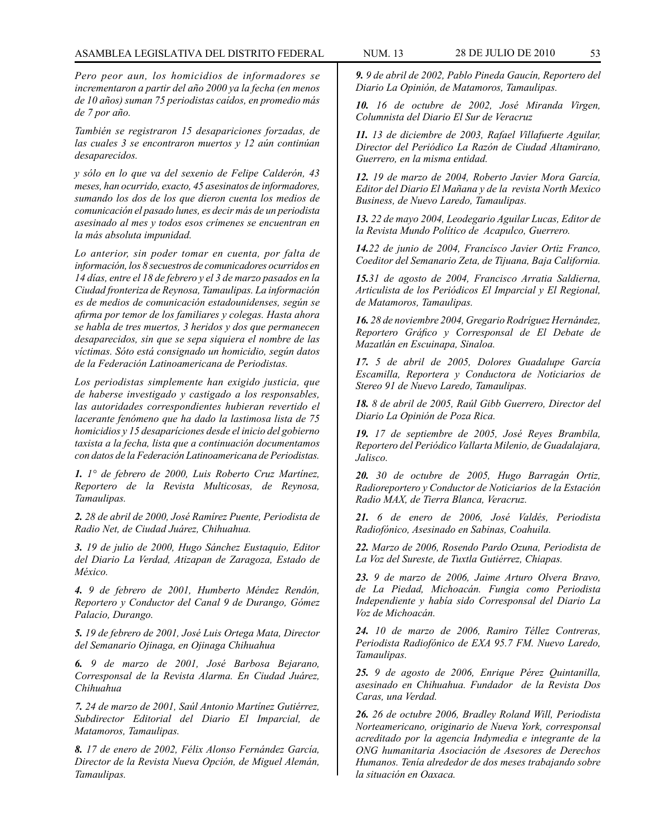*Pero peor aun, los homicidios de informadores se incrementaron a partir del año 2000 ya la fecha (en menos de 10 años) suman 75 periodistas caídos, en promedio más de 7 por año.*

*También se registraron 15 desapariciones forzadas, de las cuales 3 se encontraron muertos y 12 aún continúan desaparecidos.* 

*y sólo en lo que va del sexenio de Felipe Calderón, 43 meses, han ocurrido, exacto, 45 asesinatos de informadores, sumando los dos de los que dieron cuenta los medios de comunicación el pasado lunes, es decir más de un periodista asesinado al mes y todos esos crímenes se encuentran en la más absoluta impunidad.* 

*Lo anterior, sin poder tomar en cuenta, por falta de información, los 8 secuestros de comunicadores ocurridos en 14 días, entre el 18 de febrero y el 3 de marzo pasados en la Ciudad fronteriza de Reynosa, Tamaulipas. La información es de medios de comunicación estadounidenses, según se afirma por temor de los familiares y colegas. Hasta ahora se habla de tres muertos, 3 heridos y dos que permanecen desaparecidos, sin que se sepa siquiera el nombre de las víctimas. Sóto está consignado un homicidio, según datos de la Federación Latinoamericana de Periodistas.* 

*Los periodistas simplemente han exigido justicia, que de haberse investigado y castigado a los responsables, las autoridades correspondientes hubieran revertido el lacerante fenómeno que ha dado la lastimosa lista de 75 homicidios y 15 desaparíciones desde el inicio del gobierno taxista a la fecha, lista que a continuación documentamos con datos de la Federación Latinoamericana de Periodistas.*

*1. 1° de febrero de 2000, Luis Roberto Cruz Martínez, Reportero de la Revista Multicosas, de Reynosa, Tamaulipas.* 

*2. 28 de abril de 2000, José Ramírez Puente, Periodista de Radio Net, de Ciudad Juárez, Chihuahua.* 

*3. 19 de julio de 2000, Hugo Sánchez Eustaquio, Editor del Diario La Verdad, Atizapan de Zaragoza, Estado de México.* 

*4. 9 de febrero de 2001, Humberto Méndez Rendón, Reportero y Conductor del Canal 9 de Durango, Gómez Palacio, Durango.* 

*5. 19 de febrero de 2001, José Luis Ortega Mata, Director del Semanario Ojinaga, en Ojinaga Chihuahua*

*6. 9 de marzo de 2001, José Barbosa Bejarano, Corresponsal de la Revista Alarma. En Ciudad Juárez, Chihuahua* 

*7. 24 de marzo de 2001, Saúl Antonio Martínez Gutiérrez, Subdirector Editorial del Diario El Imparcial, de Matamoros, Tamaulipas.* 

*8. 17 de enero de 2002, Félix Alonso Fernández García, Director de la Revista Nueva Opción, de Miguel Alemán, Tamaulipas.* 

*9. 9 de abril de 2002, Pablo Pineda Gaucín, Reportero del Diario La Opinión, de Matamoros, Tamaulipas.* 

*10. 16 de octubre de 2002, José Miranda Virgen, Columnista del Diario El Sur de Veracruz* 

*11. 13 de diciembre de 2003, Rafael Villafuerte Aguilar, Director del Periódico La Razón de Ciudad Altamirano, Guerrero, en la misma entidad.* 

*12. 19 de marzo de 2004, Roberto Javier Mora García, Editor del Diario El Mañana y de la revista North Mexico Business, de Nuevo Laredo, Tamaulipas.* 

*13. 22 de mayo 2004, Leodegario Aguilar Lucas, Editor de la Revista Mundo Político de Acapulco, Guerrero.* 

*14.22 de junio de 2004, Francísco Javier Ortiz Franco, Coeditor del Semanario Zeta, de Tijuana, Baja California.* 

*15.31 de agosto de 2004, Francisco Arratia Saldierna, Articulista de los Periódicos El Imparcial y El Regional, de Matamoros, Tamaulipas.* 

*16. 28 de noviembre 2004, Gregario Rodríguez Hernández, Reportero Gráfico y Corresponsal de El Debate de Mazatlán en Escuinapa, Sinaloa.* 

*17. 5 de abril de 2005, Dolores Guadalupe García Escamilla, Reportera y Conductora de Noticiarios de Stereo 91 de Nuevo Laredo, Tamaulipas.* 

*18. 8 de abril de 2005, Raúl Gibb Guerrero, Director del Diario La Opinión de Poza Rica.* 

*19. 17 de septiembre de 2005, José Reyes Brambila, Reportero del Periódico Vallarta Milenio, de Guadalajara, Jalisco.* 

*20. 30 de octubre de 2005, Hugo Barragán Ortiz, Radioreportero y Conductor de Noticiarios de la Estación Radio MAX, de Tierra Blanca, Veracruz.* 

*21. 6 de enero de 2006, José Valdés, Periodista Radiofónico, Asesinado en Sabinas, Coahuila.* 

*22. Marzo de 2006, Rosendo Pardo Ozuna, Periodista de La Voz del Sureste, de Tuxtla Gutiérrez, Chiapas.* 

*23. 9 de marzo de 2006, Jaime Arturo Olvera Bravo, de La Piedad, Michoacán. Fungia como Periodista Independiente y había sido Corresponsal del Diario La Voz de Michoacán.* 

*24. 10 de marzo de 2006, Ramiro Téllez Contreras, Periodista Radiofónico de EXA 95.7 FM. Nuevo Laredo, Tamaulipas.* 

*25. 9 de agosto de 2006, Enrique Pérez Quintanilla, asesinado en Chihuahua. Fundador de la Revista Dos Caras, una Verdad.* 

*26. 26 de octubre 2006, Bradley Roland Will, Periodista Norteamericano, originario de Nueva York, corresponsal acreditado por la agencia Indymedia e integrante de la ONG humanitaria Asociación de Asesores de Derechos Humanos. Tenía alrededor de dos meses trabajando sobre la situación en Oaxaca.*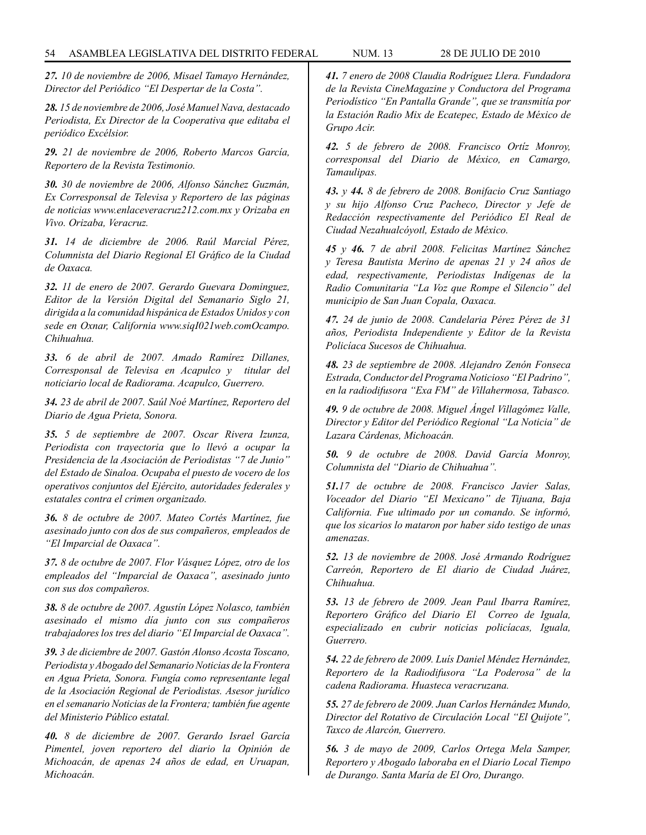*27. 10 de noviembre de 2006, Misael Tamayo Hernández, Director del Periódico "El Despertar de la Costa".* 

*28. 15 de noviembre de 2006, José Manuel Nava, destacado Periodista, Ex Director de la Cooperativa que editaba el periódico Excélsior.* 

*29. 21 de noviembre de 2006, Roberto Marcos García, Reportero de la Revista Testimonio.* 

*30. 30 de noviembre de 2006, Alfonso Sánchez Guzmán, Ex Corresponsal de Televisa y Reportero de las páginas de noticias www.enlaceveracruz212.com.mx y Orizaba en Vivo. Orizaba, Veracruz.* 

*31. 14 de diciembre de 2006. Raúl Marcial Pérez, Columnista del Diario Regional El Gráfico de la Ciudad de Oaxaca.* 

*32. 11 de enero de 2007. Gerardo Guevara Dominguez, Editor de la Versión Digital del Semanario Siglo 21, dirigida a la comunidad hispánica de Estados Unidos y con sede en Oxnar, California www.siqI021web.comOcampo. Chihuahua.* 

*33. 6 de abril de 2007. Amado Ramírez Dillanes, Corresponsal de Televisa en Acapulco y titular del noticiario local de Radiorama. Acapulco, Guerrero.* 

*34. 23 de abril de 2007. Saúl Noé Martínez, Reportero del Diario de Agua Prieta, Sonora.* 

*35. 5 de septiembre de 2007. Oscar Rivera Izunza, Periodista con trayectoria que lo llevó a ocupar la Presidencia de la Asociación de Periodistas "7 de Junio" del Estado de Sinaloa. Ocupaba el puesto de vocero de los operativos conjuntos del Ejército, autoridades federales y estatales contra el crimen organizado.* 

*36. 8 de octubre de 2007. Mateo Cortés Martínez, fue asesinado junto con dos de sus compañeros, empleados de "El Imparcial de Oaxaca".* 

*37. 8 de octubre de 2007. Flor Vásquez López, otro de los empleados del "Imparcial de Oaxaca", asesinado junto con sus dos compañeros.* 

*38. 8 de octubre de 2007. Agustín López Nolasco, también asesinado el mismo día junto con sus compañeros trabajadores los tres del diario "El Imparcial de Oaxaca".* 

*39. 3 de diciembre de 2007. Gastón Alonso Acosta Toscano, Periodista y Abogado del Semanario Noticias de la Frontera en Agua Prieta, Sonora. Fungía como representante legal de la Asociación Regional de Periodistas. Asesor jurídico en el semanario Noticias de la Frontera; también fue agente del Ministerio Público estatal.*

*40. 8 de diciembre de 2007. Gerardo Israel García Pimentel, joven reportero del diario la Opinión de Michoacán, de apenas 24 años de edad, en Uruapan, Michoacán.* 

*41. 7 enero de 2008 Claudia Rodríguez Llera. Fundadora de la Revista CineMagazine y Conductora del Programa Periodístico "En Pantalla Grande", que se transmitía por la Estación Radio Mix de Ecatepec, Estado de México de Grupo Acir.* 

*42. 5 de febrero de 2008. Francisco Ortíz Monroy, corresponsal del Diario de México, en Camargo, Tamaulipas.* 

*43. y 44. 8 de febrero de 2008. Bonifacio Cruz Santiago y su hijo Alfonso Cruz Pacheco, Director y Jefe de Redacción respectivamente del Periódico El Real de Ciudad Nezahualcóyotl, Estado de México.*

*45 y 46. 7 de abril 2008. Felicitas Martínez Sánchez y Teresa Bautista Merino de apenas 21 y 24 años de edad, respectivamente, Periodistas Indígenas de la Radio Comunitaria "La Voz que Rompe el Silencio" del municipio de San Juan Copala, Oaxaca.* 

*47. 24 de junio de 2008. Candelaria Pérez Pérez de 31 años, Periodista Independiente y Editor de la Revista Policíaca Sucesos de Chihuahua.* 

*48. 23 de septiembre de 2008. Alejandro Zenón Fonseca Estrada, Conductor del Programa Noticioso "El Padrino", en la radiodifusora "Exa FM" de Villahermosa, Tabasco.* 

*49. 9 de octubre de 2008. Miguel Ángel Villagómez Valle, Director y Editor del Periódico Regional "La Noticia" de Lazara Cárdenas, Michoacán.* 

*50. 9 de octubre de 2008. David García Monroy, Columnista del "Diario de Chihuahua".* 

*51.17 de octubre de 2008. Francisco Javier Salas, Voceador del Diario "El Mexicano" de Tijuana, Baja California. Fue ultimado por un comando. Se informó, que los sicarios lo mataron por haber sido testigo de unas amenazas.* 

*52. 13 de noviembre de 2008. José Armando Rodríguez Carreón, Reportero de El diario de Ciudad Juárez, Chihuahua.* 

*53. 13 de febrero de 2009. Jean Paul Ibarra Ramírez, Reportero Gráfico del Diario El Correo de Iguala, especializado en cubrir noticias policíacas, Iguala, Guerrero.* 

*54. 22 de febrero de 2009. Luís Daniel Méndez Hernández, Reportero de la Radiodifusora "La Poderosa" de la cadena Radiorama. Huasteca veracruzana.* 

*55. 27 de febrero de 2009. Juan Carlos Hernández Mundo, Director del Rotativo de Circulación Local "El Quijote", Taxco de Alarcón, Guerrero.* 

*56. 3 de mayo de 2009, Carlos Ortega Mela Samper, Reportero y Abogado laboraba en el Diario Local Tiempo de Durango. Santa María de El Oro, Durango.*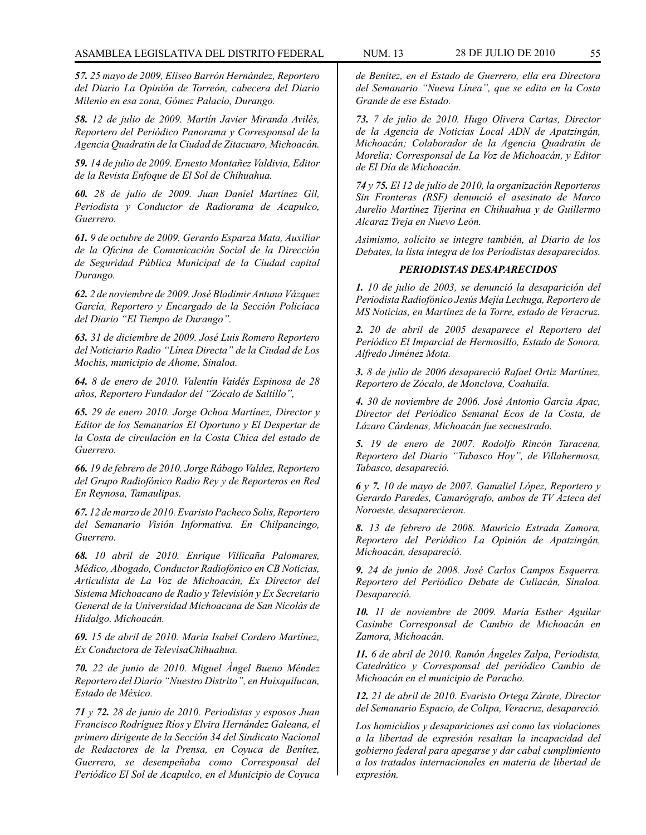*57. 25 mayo de 2009, Eliseo Barrón Hernández, Reportero del Diario La Opinión de Torreón, cabecera del Diario Milenio en esa zona, Gómez Palacio, Durango.* 

*58. 12 de julio de 2009. Martín Javier Miranda Avilés, Reportero del Periódico Panorama y Corresponsal de la Agencia Quadratin de la Ciudad de Zitacuaro, Michoacán.* 

*59. 14 de julio de 2009. Ernesto Montañez Valdivia, Editor de la Revista Enfoque de El Sol de Chihuahua.* 

*60. 28 de julio de 2009. Juan Daniel Martínez Gil, Periodista y Conductor de Radiorama de Acapulco, Guerrero.* 

*61. 9 de octubre de 2009. Gerardo Esparza Mata, Auxiliar de la Oficina de Comunicación Social de la Dirección de Seguridad Pública Municipal de la Ciudad capital Durango.* 

*62. 2 de noviembre de 2009. José Bladimir Antuna Vázquez García, Reportero y Encargado de la Sección Policíaca del Diario "El Tiempo de Durango".* 

*63. 31 de diciembre de 2009. José Luis Romero Reportero del Noticiario Radio "Línea Directa" de la Ciudad de Los Mochis, municipio de Ahome, Sinaloa.* 

*64. 8 de enero de 2010. Valentín Vaidés Espinosa de 28 años, Reportero Fundador del "Zócalo de Saltillo",* 

*65. 29 de enero 2010. Jorge Ochoa Martínez, Director y Editor de los Semanarios El Oportuno y El Despertar de la Costa de circulación en la Costa Chica del estado de Guerrero.* 

*66. 19 de febrero de 2010. Jorge Rábago Valdez, Reportero del Grupo Radiofónico Radio Rey y de Reporteros en Red En Reynosa, Tamaulipas.*

*67. 12 de marzo de 2010. Evaristo Pacheco Solis, Reportero del Semanario Visión Informativa. En Chilpancingo, Guerrero.* 

*68. 10 abril de 2010. Enrique Villicaña Palomares, Médico, Abogado, Conductor Radiofónico en CB Noticias, Articulista de La Voz de Michoacán, Ex Director del Sistema Michoacano de Radio y Televisión y Ex Secretario General de la Universidad Michoacana de San Nicolás de Hidalgo. Michoacán.* 

*69. 15 de abril de 2010. Maria Isabel Cordero Martínez, Ex Conductora de TelevisaChihuahua.* 

*70. 22 de junio de 2010. Miguel Ángel Bueno Méndez Reportero del Diario "Nuestro Distrito", en Huixquilucan, Estado de México.* 

*71 y 72. 28 de junio de 2010. Periodistas y esposos Juan Francisco Rodríguez Ríos y Elvira Hernández Galeana, el primero dirigente de la Sección 34 del Sindicato Nacional de Redactores de la Prensa, en Coyuca de Benítez, Guerrero, se desempeñaba como Corresponsal del Periódico El Sol de Acapulco, en el Municipio de Coyuca* 

*de Benítez, en el Estado de Guerrero, ella era Directora del Semanario "Nueva Línea", que se edita en la Costa Grande de ese Estado.* 

*73. 7 de julio de 2010. Hugo Olivera Cartas, Director de la Agencia de Noticias Local ADN de Apatzingán, Michoacán; Colaborador de la Agencia Quadratin de Morelia; Corresponsal de La Voz de Michoacán, y Editor de El Día de Michoacán.* 

*74 y 75. El 12 de julio de 2010, la organización Reporteros Sin Fronteras (RSF) denunció el asesinato de Marco Aurelio Martínez Tijerina en Chihuahua y de Guillermo Alcaraz Treja en Nuevo León.* 

*Asimismo, solícito se integre también, al Diario de los Debates, la lista íntegra de los Periodistas desaparecidos.* 

#### *PERIODISTAS DESAPARECIDOS*

*1. 10 de julio de 2003, se denunció la desaparición del Periodista Radiofónico Jesús Mejía Lechuga, Reportero de MS Noticias, en Martínez de la Torre, estado de Veracruz.* 

*2. 20 de abril de 2005 desaparece el Reportero del Periódico El Imparcial de Hermosillo, Estado de Sonora, Alfredo Jiménez Mota.* 

*3. 8 de julio de 2006 desapareció Rafael Ortiz Martínez, Reportero de Zócalo, de Monclova, Coahuila.* 

*4. 30 de noviembre de 2006. José Antonio Garcia Apac, Director del Periódico Semanal Ecos de la Costa, de Lázaro Cárdenas, Michoacán fue secuestrado.* 

*5. 19 de enero de 2007. Rodolfo Rincón Taracena, Reportero del Diario "Tabasco Hoy", de Villahermosa, Tabasco, desapareció.* 

*6 y 7. 10 de mayo de 2007. Gamaliel López, Reportero y Gerardo Paredes, Camarógrafo, ambos de TV Azteca del Noroeste, desaparecieron.* 

*8. 13 de febrero de 2008. Mauricio Estrada Zamora, Reportero del Periódico La Opinión de Apatzingán, Michoacán, desapareció.* 

*9. 24 de junio de 2008. José Carlos Campos Esquerra. Reportero del Periódico Debate de Culiacán, Sinaloa. Desapareció.*

*10. 11 de noviembre de 2009. María Esther Aguilar Casimbe Corresponsal de Cambio de Michoacán en Zamora, Michoacán.* 

*11. 6 de abril de 2010. Ramón Ángeles Zalpa, Periodista, Catedrático y Corresponsal del periódico Cambio de Michoacán en el municipio de Paracho.* 

*12. 21 de abril de 2010. Evaristo Ortega Zárate, Director del Semanario Espacio, de Colipa, Veracruz, desapareció.* 

*Los homicidios y desapariciones así como las violaciones a la libertad de expresión resaltan la incapacidad del gobierno federal para apegarse y dar cabal cumplimiento a los tratados internacionales en materia de libertad de expresión.*